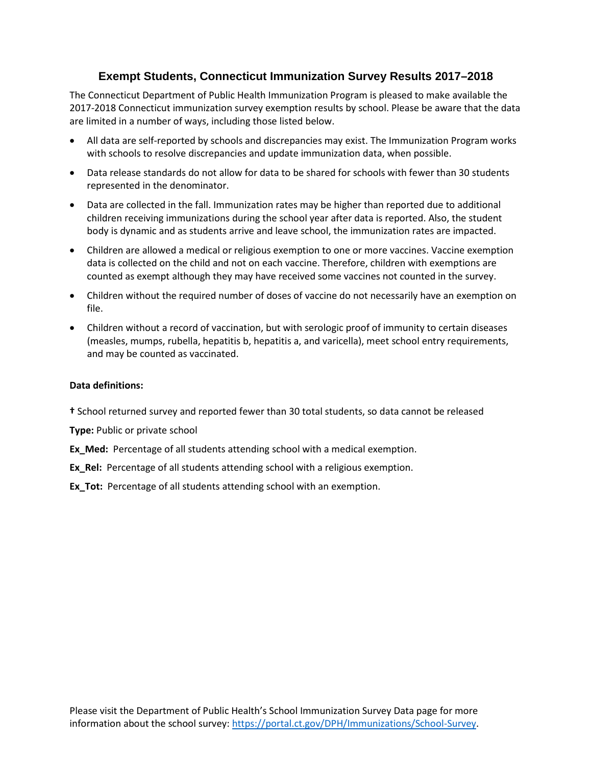## **Exempt Students, Connecticut Immunization Survey Results 2017–2018**

The Connecticut Department of Public Health Immunization Program is pleased to make available the 2017-2018 Connecticut immunization survey exemption results by school. Please be aware that the data are limited in a number of ways, including those listed below.

- All data are self-reported by schools and discrepancies may exist. The Immunization Program works with schools to resolve discrepancies and update immunization data, when possible.
- Data release standards do not allow for data to be shared for schools with fewer than 30 students represented in the denominator.
- Data are collected in the fall. Immunization rates may be higher than reported due to additional children receiving immunizations during the school year after data is reported. Also, the student body is dynamic and as students arrive and leave school, the immunization rates are impacted.
- Children are allowed a medical or religious exemption to one or more vaccines. Vaccine exemption data is collected on the child and not on each vaccine. Therefore, children with exemptions are counted as exempt although they may have received some vaccines not counted in the survey.
- Children without the required number of doses of vaccine do not necessarily have an exemption on file.
- Children without a record of vaccination, but with serologic proof of immunity to certain diseases (measles, mumps, rubella, hepatitis b, hepatitis a, and varicella), meet school entry requirements, and may be counted as vaccinated.

## **Data definitions:**

**†** School returned survey and reported fewer than 30 total students, so data cannot be released

**Type:** Public or private school

- **Ex\_Med:** Percentage of all students attending school with a medical exemption.
- **Ex\_Rel:** Percentage of all students attending school with a religious exemption.

**Ex Tot:** Percentage of all students attending school with an exemption.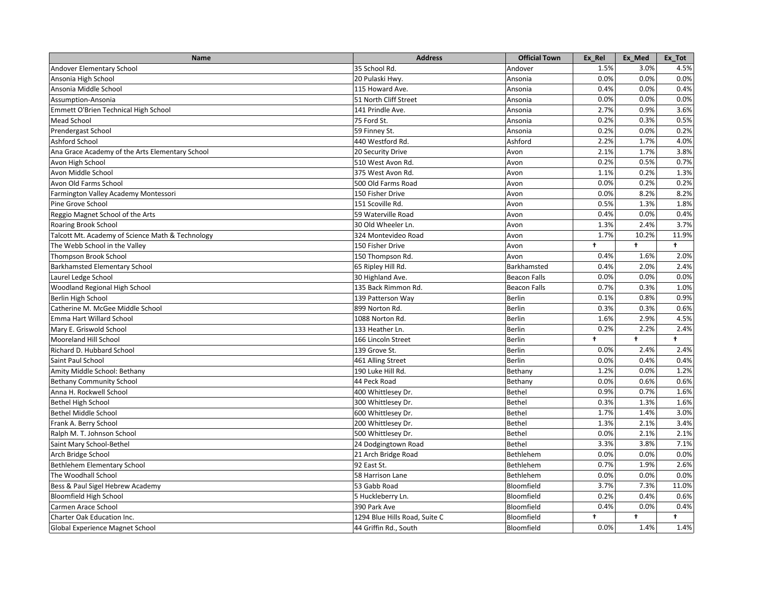| Name                                             | <b>Address</b>                | <b>Official Town</b> | Ex_Rel               | Ex Med     | Ex_Tot     |
|--------------------------------------------------|-------------------------------|----------------------|----------------------|------------|------------|
| Andover Elementary School                        | 35 School Rd.                 | Andover              | 1.5%                 | 3.0%       | 4.5%       |
| Ansonia High School                              | 20 Pulaski Hwy.               | Ansonia              | 0.0%                 | 0.0%       | 0.0%       |
| Ansonia Middle School                            | 115 Howard Ave.               | Ansonia              | 0.4%                 | 0.0%       | 0.4%       |
| Assumption-Ansonia                               | 51 North Cliff Street         | Ansonia              | 0.0%                 | 0.0%       | 0.0%       |
| Emmett O'Brien Technical High School             | 141 Prindle Ave.              | Ansonia              | 2.7%                 | 0.9%       | 3.6%       |
| <b>Mead School</b>                               | 75 Ford St.                   | Ansonia              | 0.2%                 | 0.3%       | 0.5%       |
| Prendergast School                               | 59 Finney St.                 | Ansonia              | 0.2%                 | 0.0%       | 0.2%       |
| Ashford School                                   | 440 Westford Rd.              | Ashford              | 2.2%                 | 1.7%       | 4.0%       |
| Ana Grace Academy of the Arts Elementary School  | 20 Security Drive             | Avon                 | 2.1%                 | 1.7%       | 3.8%       |
| Avon High School                                 | 510 West Avon Rd.             | Avon                 | 0.2%                 | 0.5%       | 0.7%       |
| Avon Middle School                               | 375 West Avon Rd.             | Avon                 | 1.1%                 | 0.2%       | 1.3%       |
| Avon Old Farms School                            | 500 Old Farms Road            | Avon                 | 0.0%                 | 0.2%       | 0.2%       |
| Farmington Valley Academy Montessori             | 150 Fisher Drive              | Avon                 | 0.0%                 | 8.2%       | 8.2%       |
| Pine Grove School                                | 151 Scoville Rd.              | Avon                 | 0.5%                 | 1.3%       | 1.8%       |
| Reggio Magnet School of the Arts                 | 59 Waterville Road            | Avon                 | 0.4%                 | 0.0%       | 0.4%       |
| Roaring Brook School                             | 30 Old Wheeler Ln.            | Avon                 | 1.3%                 | 2.4%       | 3.7%       |
| Talcott Mt. Academy of Science Math & Technology | 324 Montevideo Road           | Avon                 | 1.7%                 | 10.2%      | 11.9%      |
| The Webb School in the Valley                    | 150 Fisher Drive              | Avon                 | $\ddot{\phantom{1}}$ | $\ddagger$ | $\ddagger$ |
| <b>Thompson Brook School</b>                     | 150 Thompson Rd.              | Avon                 | 0.4%                 | 1.6%       | 2.0%       |
| <b>Barkhamsted Elementary School</b>             | 65 Ripley Hill Rd.            | Barkhamsted          | 0.4%                 | 2.0%       | 2.4%       |
| Laurel Ledge School                              | 30 Highland Ave.              | <b>Beacon Falls</b>  | 0.0%                 | 0.0%       | 0.0%       |
| Woodland Regional High School                    | 135 Back Rimmon Rd.           | <b>Beacon Falls</b>  | 0.7%                 | 0.3%       | 1.0%       |
| Berlin High School                               | 139 Patterson Way             | <b>Berlin</b>        | 0.1%                 | 0.8%       | 0.9%       |
| Catherine M. McGee Middle School                 | 899 Norton Rd.                | <b>Berlin</b>        | 0.3%                 | 0.3%       | 0.6%       |
| Emma Hart Willard School                         | 1088 Norton Rd.               | <b>Berlin</b>        | 1.6%                 | 2.9%       | 4.5%       |
| Mary E. Griswold School                          | 133 Heather Ln.               | <b>Berlin</b>        | 0.2%                 | 2.2%       | 2.4%       |
| Mooreland Hill School                            | 166 Lincoln Street            | <b>Berlin</b>        | $\ddagger$           | $\ddagger$ | $\ddagger$ |
| Richard D. Hubbard School                        | 139 Grove St.                 | <b>Berlin</b>        | 0.0%                 | 2.4%       | 2.4%       |
| Saint Paul School                                | 461 Alling Street             | <b>Berlin</b>        | 0.0%                 | 0.4%       | 0.4%       |
| Amity Middle School: Bethany                     | 190 Luke Hill Rd.             | Bethany              | 1.2%                 | 0.0%       | 1.2%       |
| <b>Bethany Community School</b>                  | 44 Peck Road                  | Bethany              | 0.0%                 | 0.6%       | 0.6%       |
| Anna H. Rockwell School                          | 400 Whittlesey Dr.            | <b>Bethel</b>        | 0.9%                 | 0.7%       | 1.6%       |
| <b>Bethel High School</b>                        | 300 Whittlesey Dr.            | <b>Bethel</b>        | 0.3%                 | 1.3%       | 1.6%       |
| <b>Bethel Middle School</b>                      | 600 Whittlesey Dr.            | <b>Bethel</b>        | 1.7%                 | 1.4%       | 3.0%       |
| Frank A. Berry School                            | 200 Whittlesey Dr.            | <b>Bethel</b>        | 1.3%                 | 2.1%       | 3.4%       |
| Ralph M. T. Johnson School                       | 500 Whittlesey Dr.            | Bethel               | 0.0%                 | 2.1%       | 2.1%       |
| Saint Mary School-Bethel                         | 24 Dodgingtown Road           | <b>Bethel</b>        | 3.3%                 | 3.8%       | 7.1%       |
| Arch Bridge School                               | 21 Arch Bridge Road           | Bethlehem            | 0.0%                 | 0.0%       | 0.0%       |
| Bethlehem Elementary School                      | 92 East St.                   | Bethlehem            | 0.7%                 | 1.9%       | 2.6%       |
| The Woodhall School                              | 58 Harrison Lane              | Bethlehem            | 0.0%                 | 0.0%       | 0.0%       |
| Bess & Paul Sigel Hebrew Academy                 | 53 Gabb Road                  | Bloomfield           | 3.7%                 | 7.3%       | 11.0%      |
| Bloomfield High School                           | 5 Huckleberry Ln.             | Bloomfield           | 0.2%                 | 0.4%       | 0.6%       |
| Carmen Arace School                              | 390 Park Ave                  | Bloomfield           | 0.4%                 | 0.0%       | 0.4%       |
| Charter Oak Education Inc.                       | 1294 Blue Hills Road, Suite C | Bloomfield           | $\ddot{\phantom{1}}$ | $\ddagger$ | $\ddagger$ |
| Global Experience Magnet School                  | 44 Griffin Rd., South         | Bloomfield           | 0.0%                 | 1.4%       | 1.4%       |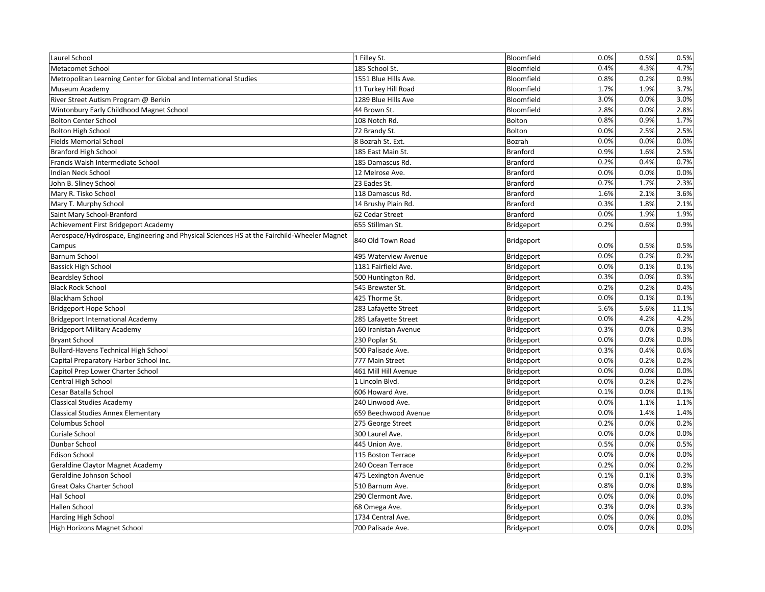| Laurel School                                                                              | 1 Filley St.         | Bloomfield      | 0.0% | 0.5% | 0.5%  |
|--------------------------------------------------------------------------------------------|----------------------|-----------------|------|------|-------|
| <b>Metacomet School</b>                                                                    | 185 School St.       | Bloomfield      | 0.4% | 4.3% | 4.7%  |
| Metropolitan Learning Center for Global and International Studies                          | 1551 Blue Hills Ave. | Bloomfield      | 0.8% | 0.2% | 0.9%  |
| Museum Academy                                                                             | 11 Turkey Hill Road  | Bloomfield      | 1.7% | 1.9% | 3.7%  |
| River Street Autism Program @ Berkin                                                       | 1289 Blue Hills Ave  | Bloomfield      | 3.0% | 0.0% | 3.0%  |
| Wintonbury Early Childhood Magnet School                                                   | 44 Brown St.         | Bloomfield      | 2.8% | 0.0% | 2.8%  |
| <b>Bolton Center School</b>                                                                | 108 Notch Rd.        | Bolton          | 0.8% | 0.9% | 1.7%  |
| <b>Bolton High School</b>                                                                  | 72 Brandy St.        | Bolton          | 0.0% | 2.5% | 2.5%  |
| <b>Fields Memorial School</b>                                                              | 8 Bozrah St. Ext.    | Bozrah          | 0.0% | 0.0% | 0.0%  |
| <b>Branford High School</b>                                                                | 185 East Main St.    | <b>Branford</b> | 0.9% | 1.6% | 2.5%  |
| Francis Walsh Intermediate School                                                          | 185 Damascus Rd.     | <b>Branford</b> | 0.2% | 0.4% | 0.7%  |
| Indian Neck School                                                                         | 12 Melrose Ave.      | <b>Branford</b> | 0.0% | 0.0% | 0.0%  |
| John B. Sliney School                                                                      | 23 Eades St.         | Branford        | 0.7% | 1.7% | 2.3%  |
| Mary R. Tisko School                                                                       | 118 Damascus Rd.     | <b>Branford</b> | 1.6% | 2.1% | 3.6%  |
| Mary T. Murphy School                                                                      | 14 Brushy Plain Rd.  | <b>Branford</b> | 0.3% | 1.8% | 2.1%  |
| Saint Mary School-Branford                                                                 | 62 Cedar Street      | <b>Branford</b> | 0.0% | 1.9% | 1.9%  |
| Achievement First Bridgeport Academy                                                       | 655 Stillman St.     | Bridgeport      | 0.2% | 0.6% | 0.9%  |
| Aerospace/Hydrospace, Engineering and Physical Sciences HS at the Fairchild-Wheeler Magnet | 840 Old Town Road    |                 |      |      |       |
| Campus                                                                                     |                      | Bridgeport      | 0.0% | 0.5% | 0.5%  |
| Barnum School                                                                              | 495 Waterview Avenue | Bridgeport      | 0.0% | 0.2% | 0.2%  |
| <b>Bassick High School</b>                                                                 | 1181 Fairfield Ave.  | Bridgeport      | 0.0% | 0.1% | 0.1%  |
| <b>Beardsley School</b>                                                                    | 500 Huntington Rd.   | Bridgeport      | 0.3% | 0.0% | 0.3%  |
| <b>Black Rock School</b>                                                                   | 545 Brewster St.     | Bridgeport      | 0.2% | 0.2% | 0.4%  |
| <b>Blackham School</b>                                                                     | 425 Thorme St.       | Bridgeport      | 0.0% | 0.1% | 0.1%  |
| <b>Bridgeport Hope School</b>                                                              | 283 Lafayette Street | Bridgeport      | 5.6% | 5.6% | 11.1% |
| <b>Bridgeport International Academy</b>                                                    | 285 Lafayette Street | Bridgeport      | 0.0% | 4.2% | 4.2%  |
| <b>Bridgeport Military Academy</b>                                                         | 160 Iranistan Avenue | Bridgeport      | 0.3% | 0.0% | 0.3%  |
| <b>Bryant School</b>                                                                       | 230 Poplar St.       | Bridgeport      | 0.0% | 0.0% | 0.0%  |
| <b>Bullard-Havens Technical High School</b>                                                | 500 Palisade Ave.    | Bridgeport      | 0.3% | 0.4% | 0.6%  |
| Capital Preparatory Harbor School Inc.                                                     | 777 Main Street      | Bridgeport      | 0.0% | 0.2% | 0.2%  |
| Capitol Prep Lower Charter School                                                          | 461 Mill Hill Avenue | Bridgeport      | 0.0% | 0.0% | 0.0%  |
| Central High School                                                                        | 1 Lincoln Blvd.      | Bridgeport      | 0.0% | 0.2% | 0.2%  |
| Cesar Batalla School                                                                       | 606 Howard Ave.      | Bridgeport      | 0.1% | 0.0% | 0.1%  |
| <b>Classical Studies Academy</b>                                                           | 240 Linwood Ave.     | Bridgeport      | 0.0% | 1.1% | 1.1%  |
| <b>Classical Studies Annex Elementary</b>                                                  | 659 Beechwood Avenue | Bridgeport      | 0.0% | 1.4% | 1.4%  |
| <b>Columbus School</b>                                                                     | 275 George Street    | Bridgeport      | 0.2% | 0.0% | 0.2%  |
| Curiale School                                                                             | 300 Laurel Ave.      | Bridgeport      | 0.0% | 0.0% | 0.0%  |
| Dunbar School                                                                              | 445 Union Ave.       | Bridgeport      | 0.5% | 0.0% | 0.5%  |
| <b>Edison School</b>                                                                       | 115 Boston Terrace   | Bridgeport      | 0.0% | 0.0% | 0.0%  |
| Geraldine Claytor Magnet Academy                                                           | 240 Ocean Terrace    | Bridgeport      | 0.2% | 0.0% | 0.2%  |
| Geraldine Johnson School                                                                   | 475 Lexington Avenue | Bridgeport      | 0.1% | 0.1% | 0.3%  |
| <b>Great Oaks Charter School</b>                                                           | 510 Barnum Ave.      | Bridgeport      | 0.8% | 0.0% | 0.8%  |
| <b>Hall School</b>                                                                         | 290 Clermont Ave.    | Bridgeport      | 0.0% | 0.0% | 0.0%  |
| Hallen School                                                                              | 68 Omega Ave.        | Bridgeport      | 0.3% | 0.0% | 0.3%  |
| Harding High School                                                                        | 1734 Central Ave.    | Bridgeport      | 0.0% | 0.0% | 0.0%  |
| High Horizons Magnet School                                                                | 700 Palisade Ave.    | Bridgeport      | 0.0% | 0.0% | 0.0%  |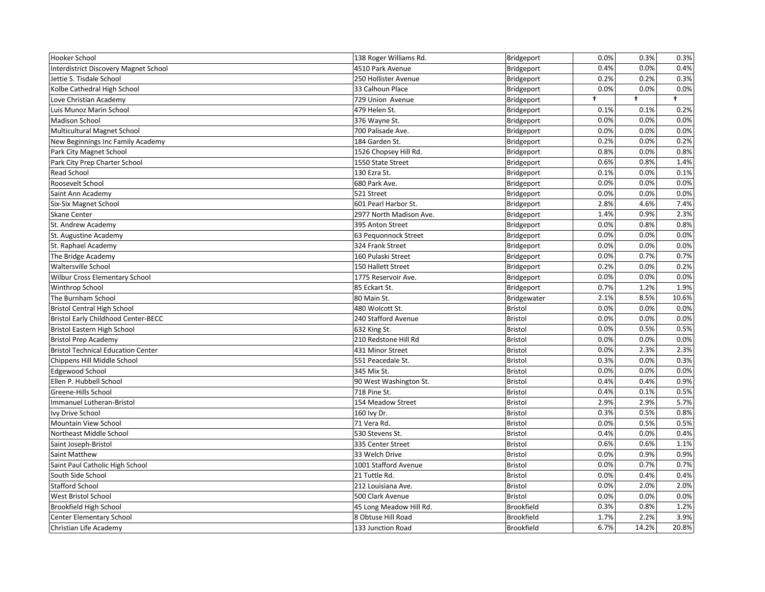| Hooker School                                | 138 Roger Williams Rd.  | Bridgeport        | 0.0% | 0.3%  | 0.3%                 |
|----------------------------------------------|-------------------------|-------------------|------|-------|----------------------|
| <b>Interdistrict Discovery Magnet School</b> | 4510 Park Avenue        | Bridgeport        | 0.4% | 0.0%  | 0.4%                 |
| Jettie S. Tisdale School                     | 250 Hollister Avenue    | Bridgeport        | 0.2% | 0.2%  | 0.3%                 |
| Kolbe Cathedral High School                  | 33 Calhoun Place        | Bridgeport        | 0.0% | 0.0%  | 0.0%                 |
| Love Christian Academy                       | 729 Union Avenue        | Bridgeport        | t    | t     | $\ddot{\phantom{1}}$ |
| Luis Munoz Marin School                      | 479 Helen St.           | Bridgeport        | 0.1% | 0.1%  | 0.2%                 |
| <b>Madison School</b>                        | 376 Wayne St.           | Bridgeport        | 0.0% | 0.0%  | 0.0%                 |
| <b>Multicultural Magnet School</b>           | 700 Palisade Ave.       | Bridgeport        | 0.0% | 0.0%  | 0.0%                 |
| New Beginnings Inc Family Academy            | 184 Garden St.          | Bridgeport        | 0.2% | 0.0%  | 0.2%                 |
| Park City Magnet School                      | 1526 Chopsey Hill Rd.   | Bridgeport        | 0.8% | 0.0%  | 0.8%                 |
| Park City Prep Charter School                | 1550 State Street       | Bridgeport        | 0.6% | 0.8%  | 1.4%                 |
| Read School                                  | 130 Ezra St.            | Bridgeport        | 0.1% | 0.0%  | 0.1%                 |
| Roosevelt School                             | 680 Park Ave.           | Bridgeport        | 0.0% | 0.0%  | 0.0%                 |
| Saint Ann Academy                            | 521 Street              | Bridgeport        | 0.0% | 0.0%  | 0.0%                 |
| Six-Six Magnet School                        | 601 Pearl Harbor St.    | Bridgeport        | 2.8% | 4.6%  | 7.4%                 |
| <b>Skane Center</b>                          | 2977 North Madison Ave. | Bridgeport        | 1.4% | 0.9%  | 2.3%                 |
| St. Andrew Academy                           | 395 Anton Street        | Bridgeport        | 0.0% | 0.8%  | 0.8%                 |
| St. Augustine Academy                        | 63 Pequonnock Street    | Bridgeport        | 0.0% | 0.0%  | 0.0%                 |
| St. Raphael Academy                          | 324 Frank Street        | Bridgeport        | 0.0% | 0.0%  | 0.0%                 |
| The Bridge Academy                           | 160 Pulaski Street      | Bridgeport        | 0.0% | 0.7%  | 0.7%                 |
| Waltersville School                          | 150 Hallett Street      | Bridgeport        | 0.2% | 0.0%  | 0.2%                 |
| Wilbur Cross Elementary School               | 1775 Reservoir Ave.     | Bridgeport        | 0.0% | 0.0%  | 0.0%                 |
| Winthrop School                              | 85 Eckart St.           | Bridgeport        | 0.7% | 1.2%  | 1.9%                 |
| The Burnham School                           | 80 Main St.             | Bridgewater       | 2.1% | 8.5%  | 10.6%                |
| <b>Bristol Central High School</b>           | 480 Wolcott St.         | <b>Bristol</b>    | 0.0% | 0.0%  | 0.0%                 |
| <b>Bristol Early Childhood Center-BECC</b>   | 240 Stafford Avenue     | <b>Bristol</b>    | 0.0% | 0.0%  | 0.0%                 |
| Bristol Eastern High School                  | 632 King St.            | <b>Bristol</b>    | 0.0% | 0.5%  | 0.5%                 |
| <b>Bristol Prep Academy</b>                  | 210 Redstone Hill Rd    | <b>Bristol</b>    | 0.0% | 0.0%  | 0.0%                 |
| <b>Bristol Technical Education Center</b>    | 431 Minor Street        | <b>Bristol</b>    | 0.0% | 2.3%  | 2.3%                 |
| Chippens Hill Middle School                  | 551 Peacedale St.       | Bristol           | 0.3% | 0.0%  | 0.3%                 |
| Edgewood School                              | 345 Mix St.             | <b>Bristol</b>    | 0.0% | 0.0%  | 0.0%                 |
| Ellen P. Hubbell School                      | 90 West Washington St.  | <b>Bristol</b>    | 0.4% | 0.4%  | 0.9%                 |
| Greene-Hills School                          | 718 Pine St.            | <b>Bristol</b>    | 0.4% | 0.1%  | 0.5%                 |
| Immanuel Lutheran-Bristol                    | 154 Meadow Street       | Bristol           | 2.9% | 2.9%  | 5.7%                 |
| Ivy Drive School                             | 160 lvy Dr.             | <b>Bristol</b>    | 0.3% | 0.5%  | 0.8%                 |
| Mountain View School                         | 71 Vera Rd.             | <b>Bristol</b>    | 0.0% | 0.5%  | 0.5%                 |
| Northeast Middle School                      | 530 Stevens St.         | <b>Bristol</b>    | 0.4% | 0.0%  | 0.4%                 |
| Saint Joseph-Bristol                         | 335 Center Street       | <b>Bristol</b>    | 0.6% | 0.6%  | 1.1%                 |
| Saint Matthew                                | 33 Welch Drive          | Bristol           | 0.0% | 0.9%  | 0.9%                 |
| Saint Paul Catholic High School              | 1001 Stafford Avenue    | Bristol           | 0.0% | 0.7%  | 0.7%                 |
| South Side School                            | 21 Tuttle Rd.           | <b>Bristol</b>    | 0.0% | 0.4%  | 0.4%                 |
| <b>Stafford School</b>                       | 212 Louisiana Ave.      | <b>Bristol</b>    | 0.0% | 2.0%  | 2.0%                 |
| West Bristol School                          | 500 Clark Avenue        | <b>Bristol</b>    | 0.0% | 0.0%  | 0.0%                 |
| Brookfield High School                       | 45 Long Meadow Hill Rd. | <b>Brookfield</b> | 0.3% | 0.8%  | 1.2%                 |
| Center Elementary School                     | 8 Obtuse Hill Road      | <b>Brookfield</b> | 1.7% | 2.2%  | 3.9%                 |
| Christian Life Academy                       | 133 Junction Road       | <b>Brookfield</b> | 6.7% | 14.2% | 20.8%                |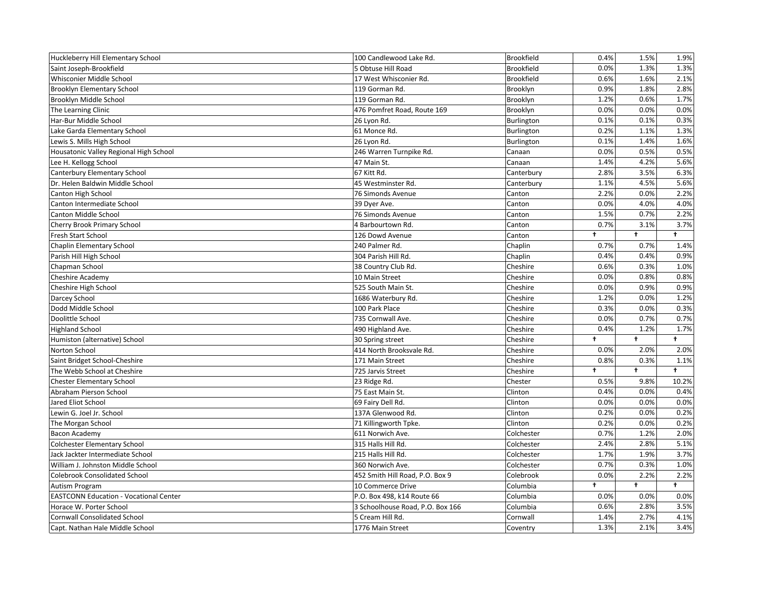| Huckleberry Hill Elementary School            | 100 Candlewood Lake Rd.          | Brookfield        | 0.4%                 | 1.5%       | 1.9%       |
|-----------------------------------------------|----------------------------------|-------------------|----------------------|------------|------------|
| Saint Joseph-Brookfield                       | 5 Obtuse Hill Road               | <b>Brookfield</b> | 0.0%                 | 1.3%       | 1.3%       |
| Whisconier Middle School                      | 17 West Whisconier Rd.           | <b>Brookfield</b> | 0.6%                 | 1.6%       | 2.1%       |
| <b>Brooklyn Elementary School</b>             | 119 Gorman Rd.                   | Brooklyn          | 0.9%                 | 1.8%       | 2.8%       |
| Brooklyn Middle School                        | 119 Gorman Rd.                   | Brooklyn          | 1.2%                 | 0.6%       | 1.7%       |
| The Learning Clinic                           | 476 Pomfret Road, Route 169      | Brooklyn          | 0.0%                 | 0.0%       | 0.0%       |
| Har-Bur Middle School                         | 26 Lyon Rd.                      | Burlington        | 0.1%                 | 0.1%       | 0.3%       |
| Lake Garda Elementary School                  | 61 Monce Rd.                     | Burlington        | 0.2%                 | 1.1%       | 1.3%       |
| Lewis S. Mills High School                    | 26 Lyon Rd.                      | Burlington        | 0.1%                 | 1.4%       | 1.6%       |
| Housatonic Valley Regional High School        | 246 Warren Turnpike Rd.          | Canaan            | 0.0%                 | 0.5%       | 0.5%       |
| Lee H. Kellogg School                         | 47 Main St.                      | Canaan            | 1.4%                 | 4.2%       | 5.6%       |
| Canterbury Elementary School                  | 67 Kitt Rd.                      | Canterbury        | 2.8%                 | 3.5%       | 6.3%       |
| Dr. Helen Baldwin Middle School               | 45 Westminster Rd.               | Canterbury        | 1.1%                 | 4.5%       | 5.6%       |
| Canton High School                            | 76 Simonds Avenue                | Canton            | 2.2%                 | 0.0%       | 2.2%       |
| Canton Intermediate School                    | 39 Dyer Ave.                     | Canton            | 0.0%                 | 4.0%       | 4.0%       |
| <b>Canton Middle School</b>                   | 76 Simonds Avenue                | Canton            | 1.5%                 | 0.7%       | 2.2%       |
| Cherry Brook Primary School                   | 4 Barbourtown Rd.                | Canton            | 0.7%                 | 3.1%       | 3.7%       |
| Fresh Start School                            | 126 Dowd Avenue                  | Canton            | t                    | $\ddagger$ | $\ddagger$ |
| Chaplin Elementary School                     | 240 Palmer Rd.                   | Chaplin           | 0.7%                 | 0.7%       | 1.4%       |
| Parish Hill High School                       | 304 Parish Hill Rd.              | Chaplin           | 0.4%                 | 0.4%       | 0.9%       |
| Chapman School                                | 38 Country Club Rd.              | Cheshire          | 0.6%                 | 0.3%       | 1.0%       |
| Cheshire Academy                              | 10 Main Street                   | Cheshire          | 0.0%                 | 0.8%       | 0.8%       |
| Cheshire High School                          | 525 South Main St.               | Cheshire          | 0.0%                 | 0.9%       | 0.9%       |
| Darcey School                                 | 1686 Waterbury Rd.               | Cheshire          | 1.2%                 | 0.0%       | 1.2%       |
| Dodd Middle School                            | 100 Park Place                   | Cheshire          | 0.3%                 | 0.0%       | 0.3%       |
| Doolittle School                              | 735 Cornwall Ave.                | Cheshire          | 0.0%                 | 0.7%       | 0.7%       |
| <b>Highland School</b>                        | 490 Highland Ave.                | Cheshire          | 0.4%                 | 1.2%       | 1.7%       |
| Humiston (alternative) School                 | 30 Spring street                 | Cheshire          | $\ddot{\phantom{1}}$ | $\ddagger$ | $\ddagger$ |
| Norton School                                 | 414 North Brooksvale Rd.         | Cheshire          | 0.0%                 | 2.0%       | 2.0%       |
| Saint Bridget School-Cheshire                 | 171 Main Street                  | Cheshire          | 0.8%                 | 0.3%       | 1.1%       |
| The Webb School at Cheshire                   | 725 Jarvis Street                | Cheshire          | t                    | $\ddagger$ | $\ddagger$ |
| <b>Chester Elementary School</b>              | 23 Ridge Rd.                     | Chester           | 0.5%                 | 9.8%       | 10.2%      |
| Abraham Pierson School                        | 75 East Main St.                 | Clinton           | 0.4%                 | 0.0%       | 0.4%       |
| Jared Eliot School                            | 69 Fairy Dell Rd.                | Clinton           | 0.0%                 | 0.0%       | 0.0%       |
| Lewin G. Joel Jr. School                      | 137A Glenwood Rd.                | Clinton           | 0.2%                 | 0.0%       | 0.2%       |
| The Morgan School                             | 71 Killingworth Tpke.            | Clinton           | 0.2%                 | 0.0%       | 0.2%       |
| <b>Bacon Academy</b>                          | 611 Norwich Ave.                 | Colchester        | 0.7%                 | 1.2%       | 2.0%       |
| <b>Colchester Elementary School</b>           | 315 Halls Hill Rd.               | Colchester        | 2.4%                 | 2.8%       | 5.1%       |
| Jack Jackter Intermediate School              | 215 Halls Hill Rd.               | Colchester        | 1.7%                 | 1.9%       | 3.7%       |
| William J. Johnston Middle School             | 360 Norwich Ave.                 | Colchester        | 0.7%                 | 0.3%       | 1.0%       |
| <b>Colebrook Consolidated School</b>          | 452 Smith Hill Road, P.O. Box 9  | Colebrook         | 0.0%                 | 2.2%       | 2.2%       |
| Autism Program                                | 10 Commerce Drive                | Columbia          | $\ddot{\phantom{1}}$ | $\ddagger$ | $\ddagger$ |
| <b>EASTCONN Education - Vocational Center</b> | P.O. Box 498, k14 Route 66       | Columbia          | 0.0%                 | 0.0%       | 0.0%       |
| Horace W. Porter School                       | 3 Schoolhouse Road, P.O. Box 166 | Columbia          | 0.6%                 | 2.8%       | 3.5%       |
| <b>Cornwall Consolidated School</b>           | 5 Cream Hill Rd.                 | Cornwall          | 1.4%                 | 2.7%       | 4.1%       |
| Capt. Nathan Hale Middle School               | 1776 Main Street                 | Coventry          | 1.3%                 | 2.1%       | 3.4%       |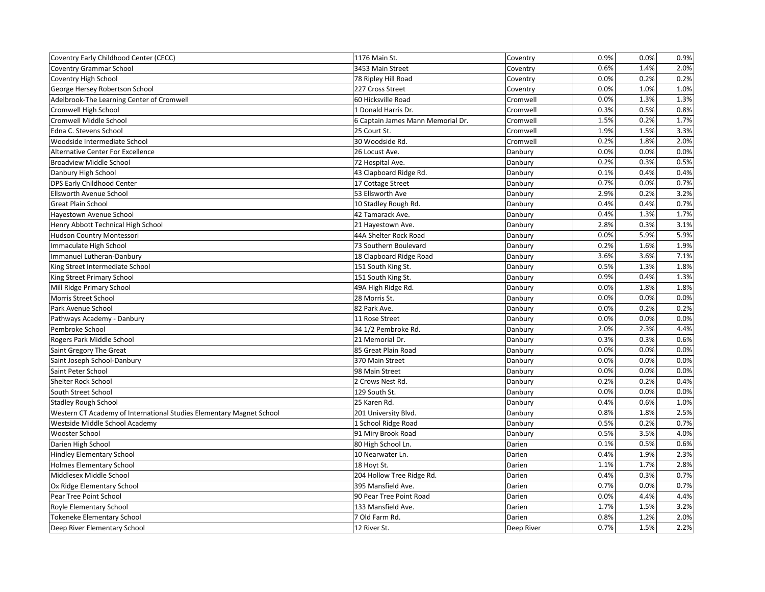| Coventry Early Childhood Center (CECC)                               | 1176 Main St.                     | Coventry   | 0.9% | 0.0% | 0.9% |
|----------------------------------------------------------------------|-----------------------------------|------------|------|------|------|
| <b>Coventry Grammar School</b>                                       | 3453 Main Street                  | Coventry   | 0.6% | 1.4% | 2.0% |
| Coventry High School                                                 | 78 Ripley Hill Road               | Coventry   | 0.0% | 0.2% | 0.2% |
| George Hersey Robertson School                                       | 227 Cross Street                  | Coventry   | 0.0% | 1.0% | 1.0% |
| Adelbrook-The Learning Center of Cromwell                            | 60 Hicksville Road                | Cromwell   | 0.0% | 1.3% | 1.3% |
| Cromwell High School                                                 | 1 Donald Harris Dr.               | Cromwell   | 0.3% | 0.5% | 0.8% |
| Cromwell Middle School                                               | 6 Captain James Mann Memorial Dr. | Cromwell   | 1.5% | 0.2% | 1.7% |
| Edna C. Stevens School                                               | 25 Court St.                      | Cromwell   | 1.9% | 1.5% | 3.3% |
| Woodside Intermediate School                                         | 30 Woodside Rd.                   | Cromwell   | 0.2% | 1.8% | 2.0% |
| <b>Alternative Center For Excellence</b>                             | 26 Locust Ave.                    | Danbury    | 0.0% | 0.0% | 0.0% |
| <b>Broadview Middle School</b>                                       | 72 Hospital Ave.                  | Danbury    | 0.2% | 0.3% | 0.5% |
| Danbury High School                                                  | 43 Clapboard Ridge Rd.            | Danbury    | 0.1% | 0.4% | 0.4% |
| DPS Early Childhood Center                                           | 17 Cottage Street                 | Danbury    | 0.7% | 0.0% | 0.7% |
| Ellsworth Avenue School                                              | 53 Ellsworth Ave                  | Danbury    | 2.9% | 0.2% | 3.2% |
| <b>Great Plain School</b>                                            | 10 Stadley Rough Rd.              | Danbury    | 0.4% | 0.4% | 0.7% |
| Hayestown Avenue School                                              | 42 Tamarack Ave.                  | Danbury    | 0.4% | 1.3% | 1.7% |
| Henry Abbott Technical High School                                   | 21 Hayestown Ave.                 | Danbury    | 2.8% | 0.3% | 3.1% |
| Hudson Country Montessori                                            | 44A Shelter Rock Road             | Danbury    | 0.0% | 5.9% | 5.9% |
| Immaculate High School                                               | 73 Southern Boulevard             | Danbury    | 0.2% | 1.6% | 1.9% |
| Immanuel Lutheran-Danbury                                            | 18 Clapboard Ridge Road           | Danbury    | 3.6% | 3.6% | 7.1% |
| King Street Intermediate School                                      | 151 South King St.                | Danbury    | 0.5% | 1.3% | 1.8% |
| King Street Primary School                                           | 151 South King St.                | Danbury    | 0.9% | 0.4% | 1.3% |
| Mill Ridge Primary School                                            | 49A High Ridge Rd.                | Danbury    | 0.0% | 1.8% | 1.8% |
| Morris Street School                                                 | 28 Morris St.                     | Danbury    | 0.0% | 0.0% | 0.0% |
| Park Avenue School                                                   | 82 Park Ave.                      | Danbury    | 0.0% | 0.2% | 0.2% |
| Pathways Academy - Danbury                                           | 11 Rose Street                    | Danbury    | 0.0% | 0.0% | 0.0% |
| Pembroke School                                                      | 34 1/2 Pembroke Rd.               | Danbury    | 2.0% | 2.3% | 4.4% |
| Rogers Park Middle School                                            | 21 Memorial Dr.                   | Danbury    | 0.3% | 0.3% | 0.6% |
| Saint Gregory The Great                                              | 85 Great Plain Road               | Danbury    | 0.0% | 0.0% | 0.0% |
| Saint Joseph School-Danbury                                          | 370 Main Street                   | Danbury    | 0.0% | 0.0% | 0.0% |
| Saint Peter School                                                   | 98 Main Street                    | Danbury    | 0.0% | 0.0% | 0.0% |
| Shelter Rock School                                                  | 2 Crows Nest Rd.                  | Danbury    | 0.2% | 0.2% | 0.4% |
| South Street School                                                  | 129 South St.                     | Danbury    | 0.0% | 0.0% | 0.0% |
| <b>Stadley Rough School</b>                                          | 25 Karen Rd.                      | Danbury    | 0.4% | 0.6% | 1.0% |
| Western CT Academy of International Studies Elementary Magnet School | 201 University Blvd.              | Danbury    | 0.8% | 1.8% | 2.5% |
| Westside Middle School Academy                                       | 1 School Ridge Road               | Danbury    | 0.5% | 0.2% | 0.7% |
| Wooster School                                                       | 91 Miry Brook Road                | Danbury    | 0.5% | 3.5% | 4.0% |
| Darien High School                                                   | 80 High School Ln.                | Darien     | 0.1% | 0.5% | 0.6% |
| Hindley Elementary School                                            | 10 Nearwater Ln.                  | Darien     | 0.4% | 1.9% | 2.3% |
| <b>Holmes Elementary School</b>                                      | 18 Hoyt St.                       | Darien     | 1.1% | 1.7% | 2.8% |
| Middlesex Middle School                                              | 204 Hollow Tree Ridge Rd.         | Darien     | 0.4% | 0.3% | 0.7% |
| Ox Ridge Elementary School                                           | 395 Mansfield Ave.                | Darien     | 0.7% | 0.0% | 0.7% |
| Pear Tree Point School                                               | 90 Pear Tree Point Road           | Darien     | 0.0% | 4.4% | 4.4% |
| Royle Elementary School                                              | 133 Mansfield Ave.                | Darien     | 1.7% | 1.5% | 3.2% |
| <b>Tokeneke Elementary School</b>                                    | 7 Old Farm Rd.                    | Darien     | 0.8% | 1.2% | 2.0% |
| Deep River Elementary School                                         | 12 River St.                      | Deep River | 0.7% | 1.5% | 2.2% |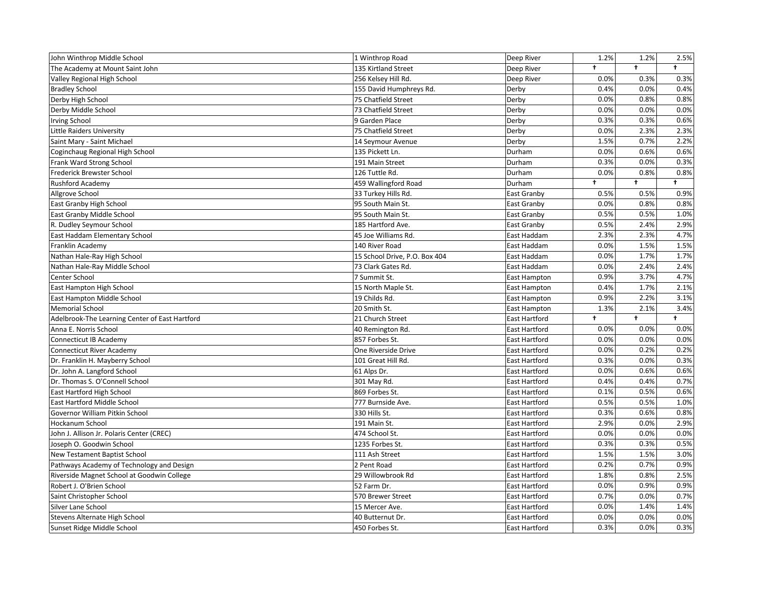| John Winthrop Middle School                    | 1 Winthrop Road               | Deep River    | 1.2%       | 1.2%       | 2.5%       |
|------------------------------------------------|-------------------------------|---------------|------------|------------|------------|
| The Academy at Mount Saint John                | 135 Kirtland Street           | Deep River    | $\ddagger$ | $\ddagger$ | $\ddagger$ |
| Valley Regional High School                    | 256 Kelsey Hill Rd.           | Deep River    | 0.0%       | 0.3%       | 0.3%       |
| <b>Bradley School</b>                          | 155 David Humphreys Rd.       | Derby         | 0.4%       | 0.0%       | 0.4%       |
| Derby High School                              | 75 Chatfield Street           | Derby         | 0.0%       | 0.8%       | 0.8%       |
| Derby Middle School                            | 73 Chatfield Street           | Derby         | 0.0%       | 0.0%       | 0.0%       |
| <b>Irving School</b>                           | 9 Garden Place                | Derby         | 0.3%       | 0.3%       | 0.6%       |
| Little Raiders University                      | 75 Chatfield Street           | Derby         | 0.0%       | 2.3%       | 2.3%       |
| Saint Mary - Saint Michael                     | 14 Seymour Avenue             | Derby         | 1.5%       | 0.7%       | 2.2%       |
| Coginchaug Regional High School                | 135 Pickett Ln.               | Durham        | 0.0%       | 0.6%       | 0.6%       |
| Frank Ward Strong School                       | 191 Main Street               | Durham        | 0.3%       | 0.0%       | 0.3%       |
| Frederick Brewster School                      | 126 Tuttle Rd.                | Durham        | 0.0%       | 0.8%       | 0.8%       |
| <b>Rushford Academy</b>                        | 459 Wallingford Road          | Durham        | $\ddagger$ | $\ddagger$ | $\ddagger$ |
| Allgrove School                                | 33 Turkey Hills Rd.           | East Granby   | 0.5%       | 0.5%       | 0.9%       |
| East Granby High School                        | 95 South Main St.             | East Granby   | 0.0%       | 0.8%       | 0.8%       |
| East Granby Middle School                      | 95 South Main St.             | East Granby   | 0.5%       | 0.5%       | 1.0%       |
| R. Dudley Seymour School                       | 185 Hartford Ave.             | East Granby   | 0.5%       | 2.4%       | 2.9%       |
| East Haddam Elementary School                  | 45 Joe Williams Rd.           | East Haddam   | 2.3%       | 2.3%       | 4.7%       |
| Franklin Academy                               | 140 River Road                | East Haddam   | 0.0%       | 1.5%       | 1.5%       |
| Nathan Hale-Ray High School                    | 15 School Drive, P.O. Box 404 | East Haddam   | 0.0%       | 1.7%       | 1.7%       |
| Nathan Hale-Ray Middle School                  | 73 Clark Gates Rd.            | East Haddam   | 0.0%       | 2.4%       | 2.4%       |
| Center School                                  | 7 Summit St.                  | East Hampton  | 0.9%       | 3.7%       | 4.7%       |
| East Hampton High School                       | 15 North Maple St.            | East Hampton  | 0.4%       | 1.7%       | 2.1%       |
| East Hampton Middle School                     | 19 Childs Rd.                 | East Hampton  | 0.9%       | 2.2%       | 3.1%       |
| <b>Memorial School</b>                         | 20 Smith St.                  | East Hampton  | 1.3%       | 2.1%       | 3.4%       |
| Adelbrook-The Learning Center of East Hartford | 21 Church Street              | East Hartford | ŧ          | $\ddagger$ | $\ddagger$ |
| Anna E. Norris School                          | 40 Remington Rd.              | East Hartford | 0.0%       | 0.0%       | 0.0%       |
| Connecticut IB Academy                         | 857 Forbes St.                | East Hartford | 0.0%       | 0.0%       | 0.0%       |
| <b>Connecticut River Academy</b>               | One Riverside Drive           | East Hartford | 0.0%       | 0.2%       | 0.2%       |
| Dr. Franklin H. Mayberry School                | 101 Great Hill Rd.            | East Hartford | 0.3%       | 0.0%       | 0.3%       |
| Dr. John A. Langford School                    | 61 Alps Dr.                   | East Hartford | 0.0%       | 0.6%       | 0.6%       |
| Dr. Thomas S. O'Connell School                 | 301 May Rd.                   | East Hartford | 0.4%       | 0.4%       | 0.7%       |
| East Hartford High School                      | 869 Forbes St.                | East Hartford | 0.1%       | 0.5%       | 0.6%       |
| East Hartford Middle School                    | 777 Burnside Ave.             | East Hartford | 0.5%       | 0.5%       | 1.0%       |
| Governor William Pitkin School                 | 330 Hills St.                 | East Hartford | 0.3%       | 0.6%       | 0.8%       |
| Hockanum School                                | 191 Main St.                  | East Hartford | 2.9%       | 0.0%       | 2.9%       |
| John J. Allison Jr. Polaris Center (CREC)      | 474 School St.                | East Hartford | 0.0%       | 0.0%       | 0.0%       |
| Joseph O. Goodwin School                       | 1235 Forbes St.               | East Hartford | 0.3%       | 0.3%       | 0.5%       |
| <b>New Testament Baptist School</b>            | 111 Ash Street                | East Hartford | 1.5%       | 1.5%       | 3.0%       |
| Pathways Academy of Technology and Design      | 2 Pent Road                   | East Hartford | 0.2%       | 0.7%       | 0.9%       |
| Riverside Magnet School at Goodwin College     | 29 Willowbrook Rd             | East Hartford | 1.8%       | 0.8%       | 2.5%       |
| Robert J. O'Brien School                       | 52 Farm Dr.                   | East Hartford | 0.0%       | 0.9%       | 0.9%       |
| Saint Christopher School                       | 570 Brewer Street             | East Hartford | 0.7%       | 0.0%       | 0.7%       |
| Silver Lane School                             | 15 Mercer Ave.                | East Hartford | 0.0%       | 1.4%       | 1.4%       |
| Stevens Alternate High School                  | 40 Butternut Dr.              | East Hartford | 0.0%       | 0.0%       | 0.0%       |
| Sunset Ridge Middle School                     | 450 Forbes St.                | East Hartford | 0.3%       | 0.0%       | 0.3%       |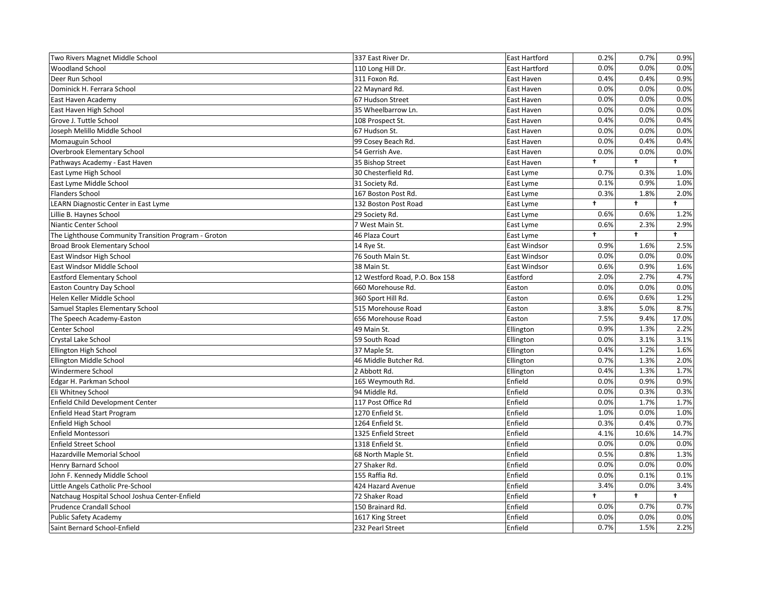| Two Rivers Magnet Middle School                      | 337 East River Dr.             | East Hartford        | 0.2%                 | 0.7%       | 0.9%       |
|------------------------------------------------------|--------------------------------|----------------------|----------------------|------------|------------|
| <b>Woodland School</b>                               | 110 Long Hill Dr.              | <b>East Hartford</b> | 0.0%                 | 0.0%       | 0.0%       |
| Deer Run School                                      | 311 Foxon Rd.                  | East Haven           | 0.4%                 | 0.4%       | 0.9%       |
| Dominick H. Ferrara School                           | 22 Maynard Rd.                 | East Haven           | 0.0%                 | 0.0%       | 0.0%       |
| East Haven Academy                                   | 67 Hudson Street               | East Haven           | 0.0%                 | 0.0%       | 0.0%       |
| East Haven High School                               | 35 Wheelbarrow Ln.             | East Haven           | 0.0%                 | 0.0%       | 0.0%       |
| Grove J. Tuttle School                               | 108 Prospect St.               | East Haven           | 0.4%                 | 0.0%       | 0.4%       |
| Joseph Melillo Middle School                         | 67 Hudson St.                  | East Haven           | 0.0%                 | 0.0%       | 0.0%       |
| Momauguin School                                     | 99 Cosey Beach Rd.             | East Haven           | 0.0%                 | 0.4%       | 0.4%       |
| <b>Overbrook Elementary School</b>                   | 54 Gerrish Ave.                | East Haven           | 0.0%                 | 0.0%       | 0.0%       |
| Pathways Academy - East Haven                        | 35 Bishop Street               | East Haven           | $\ddot{\phantom{1}}$ | $\ddagger$ | $\ddagger$ |
| East Lyme High School                                | 30 Chesterfield Rd.            | East Lyme            | 0.7%                 | 0.3%       | 1.0%       |
| East Lyme Middle School                              | 31 Society Rd.                 | East Lyme            | 0.1%                 | 0.9%       | 1.0%       |
| <b>Flanders School</b>                               | 167 Boston Post Rd.            | East Lyme            | 0.3%                 | 1.8%       | 2.0%       |
| LEARN Diagnostic Center in East Lyme                 | 132 Boston Post Road           | East Lyme            | $\ddagger$           | $\ddagger$ | $\ddagger$ |
| Lillie B. Haynes School                              | 29 Society Rd.                 | East Lyme            | 0.6%                 | 0.6%       | 1.2%       |
| Niantic Center School                                | 7 West Main St.                | East Lyme            | 0.6%                 | 2.3%       | 2.9%       |
| The Lighthouse Community Transition Program - Groton | 46 Plaza Court                 | East Lyme            | t                    | $\ddagger$ | $\ddagger$ |
| Broad Brook Elementary School                        | 14 Rye St.                     | East Windsor         | 0.9%                 | 1.6%       | 2.5%       |
| East Windsor High School                             | 76 South Main St.              | East Windsor         | 0.0%                 | 0.0%       | 0.0%       |
| East Windsor Middle School                           | 38 Main St.                    | East Windsor         | 0.6%                 | 0.9%       | 1.6%       |
| <b>Eastford Elementary School</b>                    | 12 Westford Road, P.O. Box 158 | Eastford             | 2.0%                 | 2.7%       | 4.7%       |
| <b>Easton Country Day School</b>                     | 660 Morehouse Rd.              | Easton               | 0.0%                 | 0.0%       | 0.0%       |
| Helen Keller Middle School                           | 360 Sport Hill Rd.             | Easton               | 0.6%                 | 0.6%       | 1.2%       |
| Samuel Staples Elementary School                     | 515 Morehouse Road             | Easton               | 3.8%                 | 5.0%       | 8.7%       |
| The Speech Academy-Easton                            | 656 Morehouse Road             | Easton               | 7.5%                 | 9.4%       | 17.0%      |
| Center School                                        | 49 Main St.                    | Ellington            | 0.9%                 | 1.3%       | 2.2%       |
| Crystal Lake School                                  | 59 South Road                  | Ellington            | 0.0%                 | 3.1%       | 3.1%       |
| Ellington High School                                | 37 Maple St.                   | Ellington            | 0.4%                 | 1.2%       | 1.6%       |
| Ellington Middle School                              | 46 Middle Butcher Rd.          | Ellington            | 0.7%                 | 1.3%       | 2.0%       |
| Windermere School                                    | 2 Abbott Rd.                   | Ellington            | 0.4%                 | 1.3%       | 1.7%       |
| Edgar H. Parkman School                              | 165 Weymouth Rd.               | Enfield              | 0.0%                 | 0.9%       | 0.9%       |
| Eli Whitney School                                   | 94 Middle Rd.                  | Enfield              | 0.0%                 | 0.3%       | 0.3%       |
| Enfield Child Development Center                     | 117 Post Office Rd             | Enfield              | 0.0%                 | 1.7%       | 1.7%       |
| Enfield Head Start Program                           | 1270 Enfield St.               | Enfield              | 1.0%                 | 0.0%       | 1.0%       |
| Enfield High School                                  | 1264 Enfield St.               | Enfield              | 0.3%                 | 0.4%       | 0.7%       |
| Enfield Montessori                                   | 1325 Enfield Street            | Enfield              | 4.1%                 | 10.6%      | 14.7%      |
| <b>Enfield Street School</b>                         | 1318 Enfield St.               | Enfield              | 0.0%                 | 0.0%       | 0.0%       |
| Hazardville Memorial School                          | 68 North Maple St.             | Enfield              | 0.5%                 | 0.8%       | 1.3%       |
| <b>Henry Barnard School</b>                          | 27 Shaker Rd.                  | Enfield              | 0.0%                 | 0.0%       | 0.0%       |
| John F. Kennedy Middle School                        | 155 Raffia Rd.                 | Enfield              | 0.0%                 | 0.1%       | 0.1%       |
| Little Angels Catholic Pre-School                    | 424 Hazard Avenue              | Enfield              | 3.4%                 | 0.0%       | 3.4%       |
| Natchaug Hospital School Joshua Center-Enfield       | 72 Shaker Road                 | Enfield              | $\ddot{\phantom{1}}$ | $\ddagger$ | $\ddagger$ |
| Prudence Crandall School                             | 150 Brainard Rd.               | Enfield              | 0.0%                 | 0.7%       | 0.7%       |
| <b>Public Safety Academy</b>                         | 1617 King Street               | Enfield              | 0.0%                 | 0.0%       | 0.0%       |
| Saint Bernard School-Enfield                         | 232 Pearl Street               | Enfield              | 0.7%                 | 1.5%       | 2.2%       |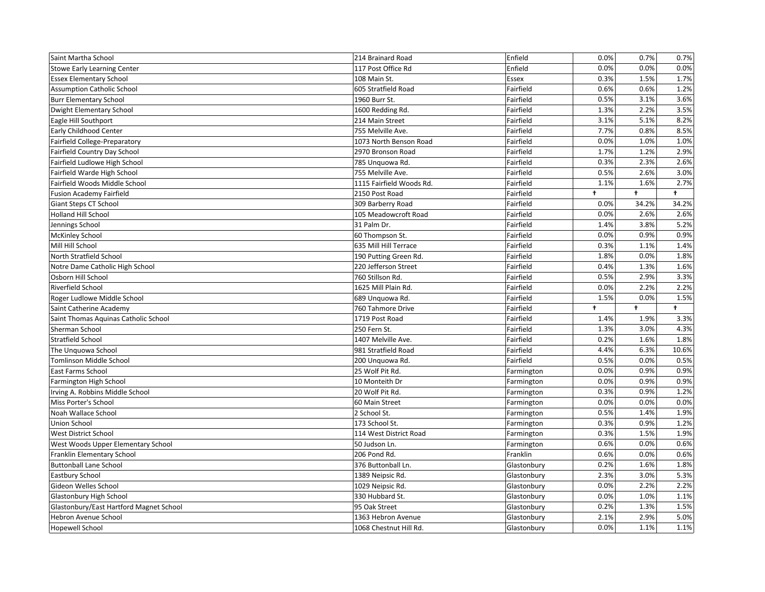| Saint Martha School                     | 214 Brainard Road        | Enfield     | 0.0%       | 0.7%       | 0.7%       |
|-----------------------------------------|--------------------------|-------------|------------|------------|------------|
| <b>Stowe Early Learning Center</b>      | 117 Post Office Rd       | Enfield     | 0.0%       | 0.0%       | 0.0%       |
| <b>Essex Elementary School</b>          | 108 Main St.             | Essex       | 0.3%       | 1.5%       | 1.7%       |
| <b>Assumption Catholic School</b>       | 605 Stratfield Road      | Fairfield   | 0.6%       | 0.6%       | 1.2%       |
| <b>Burr Elementary School</b>           | 1960 Burr St.            | Fairfield   | 0.5%       | 3.1%       | 3.6%       |
| Dwight Elementary School                | 1600 Redding Rd.         | Fairfield   | 1.3%       | 2.2%       | 3.5%       |
| Eagle Hill Southport                    | 214 Main Street          | Fairfield   | 3.1%       | 5.1%       | 8.2%       |
| Early Childhood Center                  | 755 Melville Ave.        | Fairfield   | 7.7%       | 0.8%       | 8.5%       |
| Fairfield College-Preparatory           | 1073 North Benson Road   | Fairfield   | 0.0%       | 1.0%       | 1.0%       |
| Fairfield Country Day School            | 2970 Bronson Road        | Fairfield   | 1.7%       | 1.2%       | 2.9%       |
| Fairfield Ludlowe High School           | 785 Unquowa Rd.          | Fairfield   | 0.3%       | 2.3%       | 2.6%       |
| Fairfield Warde High School             | 755 Melville Ave.        | Fairfield   | 0.5%       | 2.6%       | 3.0%       |
| Fairfield Woods Middle School           | 1115 Fairfield Woods Rd. | Fairfield   | 1.1%       | 1.6%       | 2.7%       |
| <b>Fusion Academy Fairfield</b>         | 2150 Post Road           | Fairfield   | $\ddagger$ | $\ddagger$ | $\ddagger$ |
| Giant Steps CT School                   | 309 Barberry Road        | Fairfield   | 0.0%       | 34.2%      | 34.2%      |
| Holland Hill School                     | 105 Meadowcroft Road     | Fairfield   | 0.0%       | 2.6%       | 2.6%       |
| Jennings School                         | 31 Palm Dr.              | Fairfield   | 1.4%       | 3.8%       | 5.2%       |
| <b>McKinley School</b>                  | 60 Thompson St.          | Fairfield   | 0.0%       | 0.9%       | 0.9%       |
| Mill Hill School                        | 635 Mill Hill Terrace    | Fairfield   | 0.3%       | 1.1%       | 1.4%       |
| North Stratfield School                 | 190 Putting Green Rd.    | Fairfield   | 1.8%       | 0.0%       | 1.8%       |
| Notre Dame Catholic High School         | 220 Jefferson Street     | Fairfield   | 0.4%       | 1.3%       | 1.6%       |
| Osborn Hill School                      | 760 Stillson Rd.         | Fairfield   | 0.5%       | 2.9%       | 3.3%       |
| <b>Riverfield School</b>                | 1625 Mill Plain Rd.      | Fairfield   | 0.0%       | 2.2%       | 2.2%       |
|                                         |                          |             |            |            |            |
| Roger Ludlowe Middle School             | 689 Unquowa Rd.          | Fairfield   | 1.5%       | 0.0%       | 1.5%       |
| Saint Catherine Academy                 | 760 Tahmore Drive        | Fairfield   | $\ddagger$ | $\ddagger$ | $\ddagger$ |
| Saint Thomas Aquinas Catholic School    | 1719 Post Road           | Fairfield   | 1.4%       | 1.9%       | 3.3%       |
| Sherman School                          | 250 Fern St.             | Fairfield   | 1.3%       | 3.0%       | 4.3%       |
| <b>Stratfield School</b>                | 1407 Melville Ave.       | Fairfield   | 0.2%       | 1.6%       | 1.8%       |
| The Unguowa School                      | 981 Stratfield Road      | Fairfield   | 4.4%       | 6.3%       | 10.6%      |
| <b>Tomlinson Middle School</b>          | 200 Unquowa Rd.          | Fairfield   | 0.5%       | 0.0%       | 0.5%       |
| East Farms School                       | 25 Wolf Pit Rd.          | Farmington  | 0.0%       | 0.9%       | 0.9%       |
| Farmington High School                  | 10 Monteith Dr           | Farmington  | 0.0%       | 0.9%       | 0.9%       |
| Irving A. Robbins Middle School         | 20 Wolf Pit Rd.          | Farmington  | 0.3%       | 0.9%       | 1.2%       |
| Miss Porter's School                    | 60 Main Street           | Farmington  | 0.0%       | 0.0%       | 0.0%       |
| Noah Wallace School                     | 2 School St.             | Farmington  | 0.5%       | 1.4%       | 1.9%       |
| Union School                            | 173 School St.           | Farmington  | 0.3%       | 0.9%       | 1.2%       |
| West District School                    | 114 West District Road   | Farmington  | 0.3%       | 1.5%       | 1.9%       |
| West Woods Upper Elementary School      | 50 Judson Ln.            | Farmington  | 0.6%       | 0.0%       | 0.6%       |
| Franklin Elementary School              | 206 Pond Rd.             | Franklin    | 0.6%       | 0.0%       | 0.6%       |
| <b>Buttonball Lane School</b>           | 376 Buttonball Ln.       | Glastonbury | 0.2%       | 1.6%       | 1.8%       |
| Eastbury School                         | 1389 Neipsic Rd.         | Glastonbury | 2.3%       | 3.0%       | 5.3%       |
| Gideon Welles School                    | 1029 Neipsic Rd.         | Glastonbury | 0.0%       | 2.2%       | 2.2%       |
| Glastonbury High School                 | 330 Hubbard St.          | Glastonbury | 0.0%       | 1.0%       | 1.1%       |
| Glastonbury/East Hartford Magnet School | 95 Oak Street            | Glastonbury | 0.2%       | 1.3%       | 1.5%       |
| Hebron Avenue School                    | 1363 Hebron Avenue       | Glastonbury | 2.1%       | 2.9%       | 5.0%       |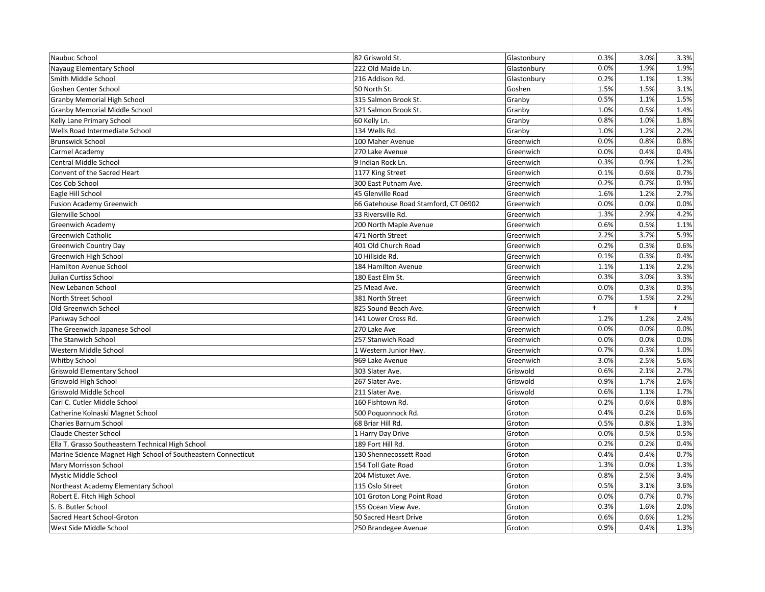|                                                               | 82 Griswold St.                      | Glastonbury | 0.3%       | 3.0%       | 3.3%       |
|---------------------------------------------------------------|--------------------------------------|-------------|------------|------------|------------|
| Nayaug Elementary School                                      | 222 Old Maide Ln.                    | Glastonbury | 0.0%       | 1.9%       | 1.9%       |
| Smith Middle School                                           | 216 Addison Rd.                      | Glastonbury | 0.2%       | 1.1%       | 1.3%       |
| Goshen Center School                                          | 50 North St.                         | Goshen      | 1.5%       | 1.5%       | 3.1%       |
| <b>Granby Memorial High School</b>                            | 315 Salmon Brook St.                 | Granby      | 0.5%       | 1.1%       | 1.5%       |
| Granby Memorial Middle School                                 | 321 Salmon Brook St.                 | Granby      | 1.0%       | 0.5%       | 1.4%       |
| Kelly Lane Primary School                                     | 60 Kelly Ln.                         | Granby      | 0.8%       | 1.0%       | 1.8%       |
| Wells Road Intermediate School                                | 134 Wells Rd.                        | Granby      | 1.0%       | 1.2%       | 2.2%       |
| <b>Brunswick School</b>                                       | 100 Maher Avenue                     | Greenwich   | 0.0%       | 0.8%       | 0.8%       |
| Carmel Academy                                                | 270 Lake Avenue                      | Greenwich   | 0.0%       | 0.4%       | 0.4%       |
| <b>Central Middle School</b>                                  | 9 Indian Rock Ln.                    | Greenwich   | 0.3%       | 0.9%       | 1.2%       |
| Convent of the Sacred Heart                                   | 1177 King Street                     | Greenwich   | 0.1%       | 0.6%       | 0.7%       |
| Cos Cob School                                                | 300 East Putnam Ave.                 | Greenwich   | 0.2%       | 0.7%       | 0.9%       |
| Eagle Hill School                                             | 45 Glenville Road                    | Greenwich   | 1.6%       | 1.2%       | 2.7%       |
| <b>Fusion Academy Greenwich</b>                               | 66 Gatehouse Road Stamford, CT 06902 | Greenwich   | 0.0%       | 0.0%       | 0.0%       |
| Glenville School                                              | 33 Riversville Rd.                   | Greenwich   | 1.3%       | 2.9%       | 4.2%       |
| <b>Greenwich Academy</b>                                      | 200 North Maple Avenue               | Greenwich   | 0.6%       | 0.5%       | 1.1%       |
| <b>Greenwich Catholic</b>                                     | 471 North Street                     | Greenwich   | 2.2%       | 3.7%       | 5.9%       |
| Greenwich Country Day                                         | 401 Old Church Road                  | Greenwich   | 0.2%       | 0.3%       | 0.6%       |
| Greenwich High School                                         | 10 Hillside Rd.                      | Greenwich   | 0.1%       | 0.3%       | 0.4%       |
| Hamilton Avenue School                                        | 184 Hamilton Avenue                  | Greenwich   | 1.1%       | 1.1%       | 2.2%       |
| Julian Curtiss School                                         | 180 East Elm St.                     | Greenwich   | 0.3%       | 3.0%       | 3.3%       |
| New Lebanon School                                            | 25 Mead Ave.                         | Greenwich   | 0.0%       | 0.3%       | 0.3%       |
| North Street School                                           | 381 North Street                     | Greenwich   | 0.7%       | 1.5%       | 2.2%       |
| Old Greenwich School                                          | 825 Sound Beach Ave.                 | Greenwich   | $\ddagger$ | $\ddagger$ | $\ddagger$ |
|                                                               |                                      |             |            |            |            |
| Parkway School                                                | 141 Lower Cross Rd.                  | Greenwich   | 1.2%       | 1.2%       | 2.4%       |
| The Greenwich Japanese School                                 | 270 Lake Ave                         | Greenwich   | 0.0%       | 0.0%       | 0.0%       |
| The Stanwich School                                           | 257 Stanwich Road                    | Greenwich   | 0.0%       | 0.0%       | 0.0%       |
| Western Middle School                                         | 1 Western Junior Hwy.                | Greenwich   | 0.7%       | 0.3%       | 1.0%       |
| Whitby School                                                 | 969 Lake Avenue                      | Greenwich   | 3.0%       | 2.5%       | 5.6%       |
| <b>Griswold Elementary School</b>                             | 303 Slater Ave.                      | Griswold    | 0.6%       | 2.1%       | 2.7%       |
| Griswold High School                                          | 267 Slater Ave.                      | Griswold    | 0.9%       | 1.7%       | 2.6%       |
| Griswold Middle School                                        | 211 Slater Ave.                      | Griswold    | 0.6%       | 1.1%       | 1.7%       |
| Carl C. Cutler Middle School                                  | 160 Fishtown Rd.                     | Groton      | 0.2%       | 0.6%       | 0.8%       |
| Catherine Kolnaski Magnet School                              | 500 Poquonnock Rd.                   | Groton      | 0.4%       | 0.2%       | 0.6%       |
| Charles Barnum School                                         | 68 Briar Hill Rd.                    | Groton      | 0.5%       | 0.8%       | 1.3%       |
| <b>Claude Chester School</b>                                  | 1 Harry Day Drive                    | Groton      | 0.0%       | 0.5%       | 0.5%       |
| Ella T. Grasso Southeastern Technical High School             | 189 Fort Hill Rd.                    | Groton      | 0.2%       | 0.2%       | 0.4%       |
| Marine Science Magnet High School of Southeastern Connecticut | 130 Shennecossett Road               | Groton      | 0.4%       | 0.4%       | 0.7%       |
| Mary Morrisson School                                         | 154 Toll Gate Road                   | Groton      | 1.3%       | 0.0%       | 1.3%       |
| Mystic Middle School                                          | 204 Mistuxet Ave.                    | Groton      | 0.8%       | 2.5%       | 3.4%       |
| Northeast Academy Elementary School                           | 115 Oslo Street                      | Groton      | 0.5%       | 3.1%       | 3.6%       |
| Robert E. Fitch High School                                   | 101 Groton Long Point Road           | Groton      | 0.0%       | 0.7%       | 0.7%       |
| S. B. Butler School                                           | 155 Ocean View Ave.                  | Groton      | 0.3%       | 1.6%       | 2.0%       |
| Sacred Heart School-Groton                                    | 50 Sacred Heart Drive                | Groton      | 0.6%       | 0.6%       | 1.2%       |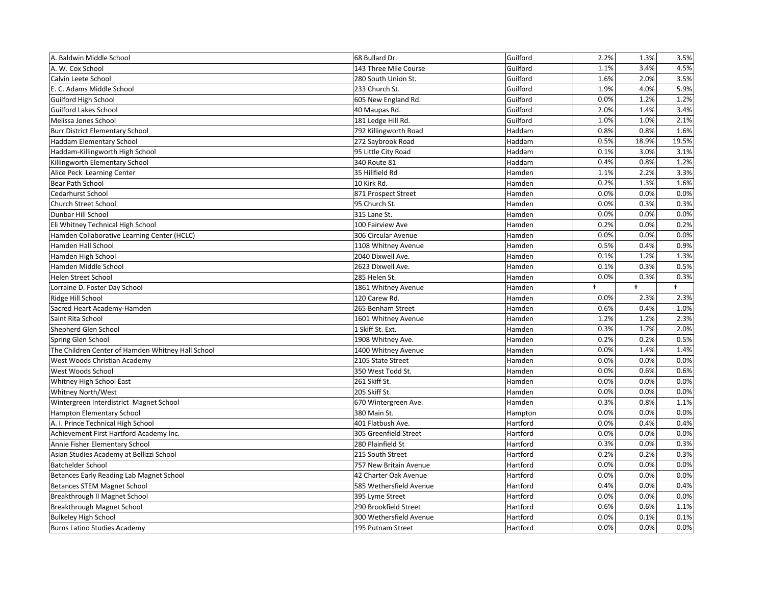| A. Baldwin Middle School                          | 68 Bullard Dr.          | Guilford | 2.2%      | 1.3%       | 3.5%       |
|---------------------------------------------------|-------------------------|----------|-----------|------------|------------|
| A. W. Cox School                                  | 143 Three Mile Course   | Guilford | 1.1%      | 3.4%       | 4.5%       |
| Calvin Leete School                               | 280 South Union St.     | Guilford | 1.6%      | 2.0%       | 3.5%       |
| E. C. Adams Middle School                         | 233 Church St.          | Guilford | 1.9%      | 4.0%       | 5.9%       |
| <b>Guilford High School</b>                       | 605 New England Rd.     | Guilford | 0.0%      | 1.2%       | 1.2%       |
| <b>Guilford Lakes School</b>                      | 40 Maupas Rd.           | Guilford | 2.0%      | 1.4%       | 3.4%       |
| Melissa Jones School                              | 181 Ledge Hill Rd.      | Guilford | 1.0%      | 1.0%       | 2.1%       |
| <b>Burr District Elementary School</b>            | 792 Killingworth Road   | Haddam   | 0.8%      | 0.8%       | 1.6%       |
| <b>Haddam Elementary School</b>                   | 272 Saybrook Road       | Haddam   | 0.5%      | 18.9%      | 19.5%      |
| Haddam-Killingworth High School                   | 95 Little City Road     | Haddam   | 0.1%      | 3.0%       | 3.1%       |
| Killingworth Elementary School                    | 340 Route 81            | Haddam   | 0.4%      | 0.8%       | 1.2%       |
| Alice Peck Learning Center                        | 35 Hillfield Rd         | Hamden   | 1.1%      | 2.2%       | 3.3%       |
| <b>Bear Path School</b>                           | 10 Kirk Rd.             | Hamden   | 0.2%      | 1.3%       | 1.6%       |
| Cedarhurst School                                 | 871 Prospect Street     | Hamden   | 0.0%      | 0.0%       | 0.0%       |
| Church Street School                              | 95 Church St.           | Hamden   | 0.0%      | 0.3%       | 0.3%       |
| Dunbar Hill School                                | 315 Lane St.            | Hamden   | 0.0%      | 0.0%       | 0.0%       |
| Eli Whitney Technical High School                 | 100 Fairview Ave        | Hamden   | 0.2%      | 0.0%       | 0.2%       |
| Hamden Collaborative Learning Center (HCLC)       | 306 Circular Avenue     | Hamden   | 0.0%      | 0.0%       | 0.0%       |
| Hamden Hall School                                | 1108 Whitney Avenue     | Hamden   | 0.5%      | 0.4%       | 0.9%       |
| Hamden High School                                | 2040 Dixwell Ave.       | Hamden   | 0.1%      | 1.2%       | 1.3%       |
| Hamden Middle School                              | 2623 Dixwell Ave.       | Hamden   | 0.1%      | 0.3%       | 0.5%       |
| Helen Street School                               | 285 Helen St.           | Hamden   | 0.0%      | 0.3%       | 0.3%       |
| Lorraine D. Foster Day School                     | 1861 Whitney Avenue     | Hamden   | $\ddot{}$ | $\ddagger$ | $\ddagger$ |
| Ridge Hill School                                 | 120 Carew Rd.           | Hamden   | 0.0%      | 2.3%       | 2.3%       |
| Sacred Heart Academy-Hamden                       | 265 Benham Street       | Hamden   | 0.6%      | 0.4%       | 1.0%       |
| Saint Rita School                                 | 1601 Whitney Avenue     | Hamden   | 1.2%      | 1.2%       | 2.3%       |
| Shepherd Glen School                              | 1 Skiff St. Ext.        | Hamden   | 0.3%      | 1.7%       | 2.0%       |
| Spring Glen School                                | 1908 Whitney Ave.       | Hamden   | 0.2%      | 0.2%       | 0.5%       |
| The Children Center of Hamden Whitney Hall School | 1400 Whitney Avenue     | Hamden   | 0.0%      | 1.4%       | 1.4%       |
| West Woods Christian Academy                      | 2105 State Street       | Hamden   | 0.0%      | 0.0%       | 0.0%       |
| West Woods School                                 | 350 West Todd St.       | Hamden   | 0.0%      | 0.6%       | 0.6%       |
| Whitney High School East                          | 261 Skiff St.           | Hamden   | 0.0%      | 0.0%       | 0.0%       |
| Whitney North/West                                | 205 Skiff St.           | Hamden   | 0.0%      | 0.0%       | 0.0%       |
| Wintergreen Interdistrict Magnet School           | 670 Wintergreen Ave.    | Hamden   | 0.3%      | 0.8%       | 1.1%       |
| Hampton Elementary School                         | 380 Main St.            | Hampton  | 0.0%      | 0.0%       | 0.0%       |
| A. I. Prince Technical High School                |                         |          |           |            | 0.4%       |
| Achievement First Hartford Academy Inc.           | 401 Flatbush Ave.       | Hartford | 0.0%      | 0.4%       |            |
|                                                   | 305 Greenfield Street   | Hartford | 0.0%      | 0.0%       | 0.0%       |
| Annie Fisher Elementary School                    | 280 Plainfield St       | Hartford | 0.3%      | 0.0%       | 0.3%       |
| Asian Studies Academy at Bellizzi School          | 215 South Street        | Hartford | 0.2%      | 0.2%       | 0.3%       |
| <b>Batchelder School</b>                          | 757 New Britain Avenue  | Hartford | 0.0%      | 0.0%       | 0.0%       |
| Betances Early Reading Lab Magnet School          | 42 Charter Oak Avenue   | Hartford | 0.0%      | 0.0%       | 0.0%       |
| <b>Betances STEM Magnet School</b>                | 585 Wethersfield Avenue | Hartford | 0.4%      | 0.0%       | 0.4%       |
| Breakthrough II Magnet School                     | 395 Lyme Street         | Hartford | 0.0%      | 0.0%       | 0.0%       |
| Breakthrough Magnet School                        | 290 Brookfield Street   | Hartford | 0.6%      | 0.6%       | 1.1%       |
| <b>Bulkeley High School</b>                       | 300 Wethersfield Avenue | Hartford | 0.0%      | 0.1%       | 0.1%       |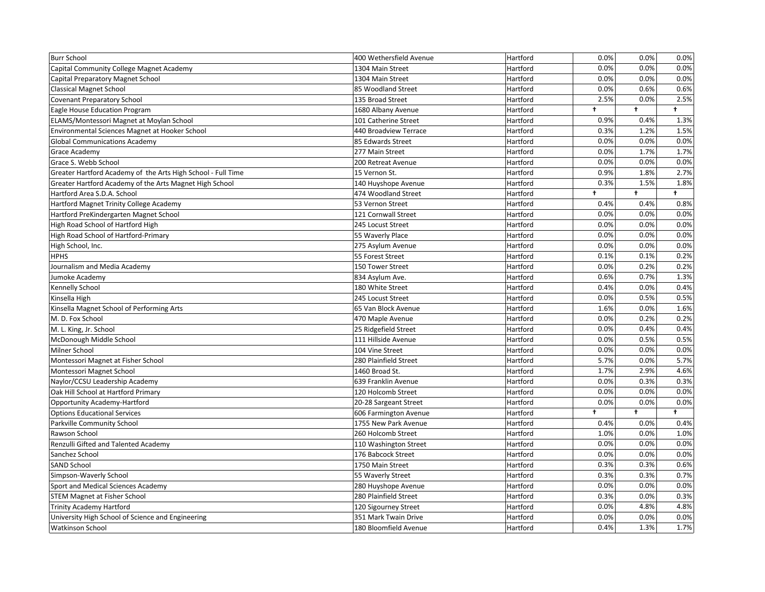| <b>Burr School</b>                                           | 400 Wethersfield Avenue | Hartford | 0.0%                 | 0.0%       | 0.0%       |
|--------------------------------------------------------------|-------------------------|----------|----------------------|------------|------------|
| Capital Community College Magnet Academy                     | 1304 Main Street        | Hartford | 0.0%                 | 0.0%       | 0.0%       |
| Capital Preparatory Magnet School                            | 1304 Main Street        | Hartford | 0.0%                 | 0.0%       | 0.0%       |
| <b>Classical Magnet School</b>                               | 85 Woodland Street      | Hartford | 0.0%                 | 0.6%       | 0.6%       |
| <b>Covenant Preparatory School</b>                           | 135 Broad Street        | Hartford | 2.5%                 | 0.0%       | 2.5%       |
| Eagle House Education Program                                | 1680 Albany Avenue      | Hartford | $\ddot{\phantom{1}}$ | $\ddagger$ | $\ddagger$ |
| ELAMS/Montessori Magnet at Moylan School                     | 101 Catherine Street    | Hartford | 0.9%                 | 0.4%       | 1.3%       |
| Environmental Sciences Magnet at Hooker School               | 440 Broadview Terrace   | Hartford | 0.3%                 | 1.2%       | 1.5%       |
| <b>Global Communications Academy</b>                         | 85 Edwards Street       | Hartford | 0.0%                 | 0.0%       | 0.0%       |
| Grace Academy                                                | 277 Main Street         | Hartford | 0.0%                 | 1.7%       | 1.7%       |
| Grace S. Webb School                                         | 200 Retreat Avenue      | Hartford | 0.0%                 | 0.0%       | 0.0%       |
| Greater Hartford Academy of the Arts High School - Full Time | 15 Vernon St.           | Hartford | 0.9%                 | 1.8%       | 2.7%       |
| Greater Hartford Academy of the Arts Magnet High School      | 140 Huyshope Avenue     | Hartford | 0.3%                 | 1.5%       | 1.8%       |
| Hartford Area S.D.A. School                                  | 474 Woodland Street     | Hartford | $\ddagger$           | $\ddagger$ | $\ddagger$ |
| Hartford Magnet Trinity College Academy                      | 53 Vernon Street        | Hartford | 0.4%                 | 0.4%       | 0.8%       |
| Hartford PreKindergarten Magnet School                       | 121 Cornwall Street     | Hartford | 0.0%                 | 0.0%       | 0.0%       |
| High Road School of Hartford High                            | 245 Locust Street       | Hartford | 0.0%                 | 0.0%       | 0.0%       |
| High Road School of Hartford-Primary                         | 55 Waverly Place        | Hartford | 0.0%                 | 0.0%       | 0.0%       |
| High School, Inc.                                            | 275 Asylum Avenue       | Hartford | 0.0%                 | 0.0%       | 0.0%       |
| <b>HPHS</b>                                                  | 55 Forest Street        | Hartford | 0.1%                 | 0.1%       | 0.2%       |
| Journalism and Media Academy                                 | 150 Tower Street        | Hartford | 0.0%                 | 0.2%       | 0.2%       |
| Jumoke Academy                                               | 834 Asylum Ave.         | Hartford | 0.6%                 | 0.7%       | 1.3%       |
| Kennelly School                                              | 180 White Street        | Hartford | 0.4%                 | 0.0%       | 0.4%       |
| Kinsella High                                                | 245 Locust Street       | Hartford | 0.0%                 | 0.5%       | 0.5%       |
| Kinsella Magnet School of Performing Arts                    | 65 Van Block Avenue     | Hartford | 1.6%                 | 0.0%       | 1.6%       |
| M. D. Fox School                                             | 470 Maple Avenue        | Hartford | 0.0%                 | 0.2%       | 0.2%       |
| M. L. King, Jr. School                                       | 25 Ridgefield Street    | Hartford | 0.0%                 | 0.4%       | 0.4%       |
| McDonough Middle School                                      | 111 Hillside Avenue     | Hartford | 0.0%                 | 0.5%       | 0.5%       |
| Milner School                                                | 104 Vine Street         | Hartford | 0.0%                 | 0.0%       | 0.0%       |
| Montessori Magnet at Fisher School                           | 280 Plainfield Street   | Hartford | 5.7%                 | 0.0%       | 5.7%       |
| Montessori Magnet School                                     | 1460 Broad St.          | Hartford | 1.7%                 | 2.9%       | 4.6%       |
| Naylor/CCSU Leadership Academy                               | 639 Franklin Avenue     | Hartford | 0.0%                 | 0.3%       | 0.3%       |
| Oak Hill School at Hartford Primary                          | 120 Holcomb Street      | Hartford | 0.0%                 | 0.0%       | 0.0%       |
| Opportunity Academy-Hartford                                 | 20-28 Sargeant Street   | Hartford | 0.0%                 | 0.0%       | 0.0%       |
| <b>Options Educational Services</b>                          | 606 Farmington Avenue   | Hartford | t                    | $\ddagger$ | $\ddagger$ |
| Parkville Community School                                   | 1755 New Park Avenue    | Hartford | 0.4%                 | 0.0%       | 0.4%       |
| Rawson School                                                | 260 Holcomb Street      | Hartford | 1.0%                 | 0.0%       | 1.0%       |
| Renzulli Gifted and Talented Academy                         | 110 Washington Street   | Hartford | 0.0%                 | 0.0%       | 0.0%       |
| Sanchez School                                               | 176 Babcock Street      | Hartford | 0.0%                 | 0.0%       | 0.0%       |
| <b>SAND School</b>                                           | 1750 Main Street        | Hartford | 0.3%                 | 0.3%       | 0.6%       |
| Simpson-Waverly School                                       | 55 Waverly Street       | Hartford | 0.3%                 | 0.3%       | 0.7%       |
| Sport and Medical Sciences Academy                           | 280 Huyshope Avenue     | Hartford | 0.0%                 | 0.0%       | 0.0%       |
| <b>STEM Magnet at Fisher School</b>                          | 280 Plainfield Street   | Hartford | 0.3%                 | 0.0%       | 0.3%       |
| <b>Trinity Academy Hartford</b>                              | 120 Sigourney Street    | Hartford | 0.0%                 | 4.8%       | 4.8%       |
| University High School of Science and Engineering            | 351 Mark Twain Drive    | Hartford | 0.0%                 | 0.0%       | 0.0%       |
| Watkinson School                                             | 180 Bloomfield Avenue   | Hartford | 0.4%                 | 1.3%       | 1.7%       |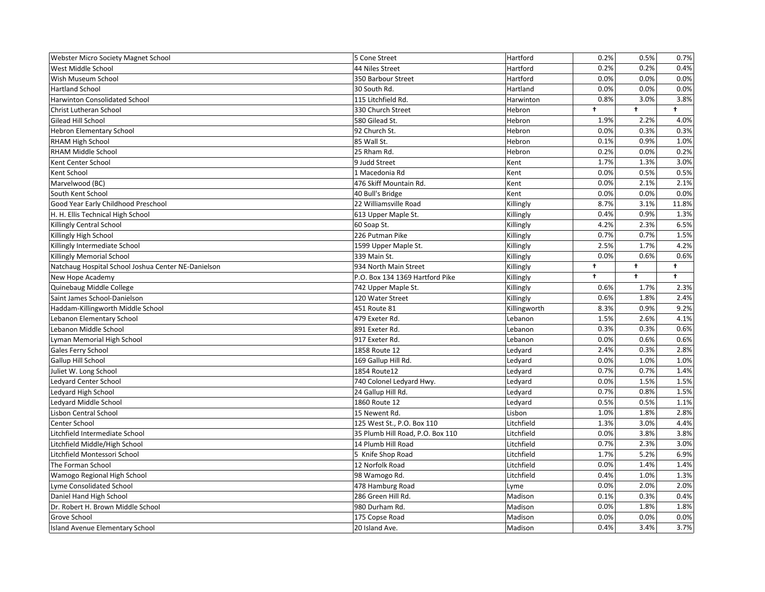| Webster Micro Society Magnet School                 | 5 Cone Street                    | Hartford     | 0.2%                 | 0.5%       | 0.7%       |
|-----------------------------------------------------|----------------------------------|--------------|----------------------|------------|------------|
| West Middle School                                  | 44 Niles Street                  | Hartford     | 0.2%                 | 0.2%       | 0.4%       |
| Wish Museum School                                  | 350 Barbour Street               | Hartford     | 0.0%                 | 0.0%       | 0.0%       |
| <b>Hartland School</b>                              | 30 South Rd.                     | Hartland     | 0.0%                 | 0.0%       | 0.0%       |
| Harwinton Consolidated School                       | 115 Litchfield Rd.               | Harwinton    | 0.8%                 | 3.0%       | 3.8%       |
| Christ Lutheran School                              | 330 Church Street                | Hebron       | $\ddagger$           | $\ddagger$ | $\ddagger$ |
| <b>Gilead Hill School</b>                           | 580 Gilead St.                   | Hebron       | 1.9%                 | 2.2%       | 4.0%       |
| <b>Hebron Elementary School</b>                     | 92 Church St.                    | Hebron       | 0.0%                 | 0.3%       | 0.3%       |
| RHAM High School                                    | 85 Wall St.                      | Hebron       | 0.1%                 | 0.9%       | 1.0%       |
| RHAM Middle School                                  | 25 Rham Rd.                      | Hebron       | 0.2%                 | 0.0%       | 0.2%       |
| Kent Center School                                  | 9 Judd Street                    | Kent         | 1.7%                 | 1.3%       | 3.0%       |
| Kent School                                         | 1 Macedonia Rd                   | Kent         | 0.0%                 | 0.5%       | 0.5%       |
| Marvelwood (BC)                                     | 476 Skiff Mountain Rd.           | Kent         | 0.0%                 | 2.1%       | 2.1%       |
| South Kent School                                   | 40 Bull's Bridge                 | Kent         | 0.0%                 | 0.0%       | 0.0%       |
| Good Year Early Childhood Preschool                 | 22 Williamsville Road            | Killingly    | 8.7%                 | 3.1%       | 11.8%      |
| H. H. Ellis Technical High School                   | 613 Upper Maple St.              | Killingly    | 0.4%                 | 0.9%       | 1.3%       |
| Killingly Central School                            | 60 Soap St.                      | Killingly    | 4.2%                 | 2.3%       | 6.5%       |
| Killingly High School                               | 226 Putman Pike                  | Killingly    | 0.7%                 | 0.7%       | 1.5%       |
| Killingly Intermediate School                       | 1599 Upper Maple St.             | Killingly    | 2.5%                 | 1.7%       | 4.2%       |
| Killingly Memorial School                           | 339 Main St.                     | Killingly    | 0.0%                 | 0.6%       | 0.6%       |
| Natchaug Hospital School Joshua Center NE-Danielson | 934 North Main Street            | Killingly    | ŧ                    | t.         | $\ddagger$ |
| New Hope Academy                                    | P.O. Box 134 1369 Hartford Pike  | Killingly    | $\ddot{\phantom{1}}$ | $\ddagger$ | $\ddagger$ |
| Quinebaug Middle College                            | 742 Upper Maple St.              | Killingly    | 0.6%                 | 1.7%       | 2.3%       |
| Saint James School-Danielson                        | 120 Water Street                 | Killingly    | 0.6%                 | 1.8%       | 2.4%       |
| Haddam-Killingworth Middle School                   | 451 Route 81                     | Killingworth | 8.3%                 | 0.9%       | 9.2%       |
| Lebanon Elementary School                           | 479 Exeter Rd.                   | Lebanon      | 1.5%                 | 2.6%       | 4.1%       |
| Lebanon Middle School                               | 891 Exeter Rd.                   | Lebanon      | 0.3%                 | 0.3%       | 0.6%       |
| Lyman Memorial High School                          | 917 Exeter Rd.                   | Lebanon      | 0.0%                 | 0.6%       | 0.6%       |
| Gales Ferry School                                  | 1858 Route 12                    | Ledyard      | 2.4%                 | 0.3%       | 2.8%       |
| Gallup Hill School                                  | 169 Gallup Hill Rd.              | Ledyard      | 0.0%                 | 1.0%       | 1.0%       |
| Juliet W. Long School                               | 1854 Route12                     | Ledvard      | 0.7%                 | 0.7%       | 1.4%       |
| Ledyard Center School                               | 740 Colonel Ledyard Hwy.         | Ledyard      | 0.0%                 | 1.5%       | 1.5%       |
| Ledyard High School                                 | 24 Gallup Hill Rd.               | Ledyard      | 0.7%                 | 0.8%       | 1.5%       |
| Ledyard Middle School                               | 1860 Route 12                    | Ledyard      | 0.5%                 | 0.5%       | 1.1%       |
| Lisbon Central School                               | 15 Newent Rd.                    | Lisbon       | 1.0%                 | 1.8%       | 2.8%       |
| Center School                                       | 125 West St., P.O. Box 110       | Litchfield   | 1.3%                 | 3.0%       | 4.4%       |
| Litchfield Intermediate School                      | 35 Plumb Hill Road, P.O. Box 110 | Litchfield   | 0.0%                 | 3.8%       | 3.8%       |
| Litchfield Middle/High School                       | 14 Plumb Hill Road               | Litchfield   | 0.7%                 | 2.3%       | 3.0%       |
| Litchfield Montessori School                        | 5 Knife Shop Road                | Litchfield   | 1.7%                 | 5.2%       | 6.9%       |
| The Forman School                                   | 12 Norfolk Road                  | Litchfield   | 0.0%                 | 1.4%       | 1.4%       |
| Wamogo Regional High School                         | 98 Wamogo Rd.                    | Litchfield   | 0.4%                 | 1.0%       | 1.3%       |
| Lyme Consolidated School                            |                                  |              |                      |            | 2.0%       |
|                                                     | 478 Hamburg Road                 | Lyme         | 0.0%                 | 2.0%       |            |
| Daniel Hand High School                             | 286 Green Hill Rd.               | Madison      | 0.1%                 | 0.3%       | 0.4%       |
| Dr. Robert H. Brown Middle School                   | 980 Durham Rd.                   | Madison      | 0.0%                 | 1.8%       | 1.8%       |
| Grove School                                        | 175 Copse Road                   | Madison      | 0.0%                 | 0.0%       | 0.0%       |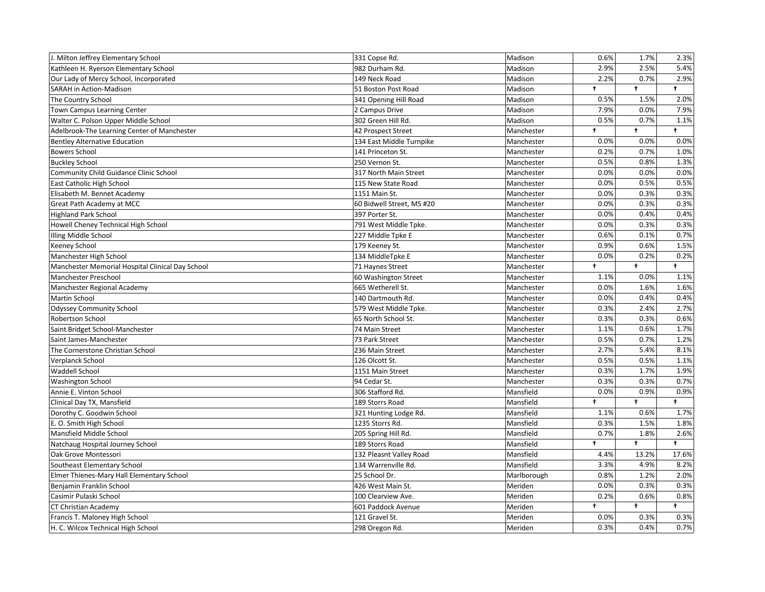| J. Milton Jeffrey Elementary School              | 331 Copse Rd.             | Madison     | 0.6%       | 1.7%       | 2.3%       |
|--------------------------------------------------|---------------------------|-------------|------------|------------|------------|
| Kathleen H. Ryerson Elementary School            | 982 Durham Rd.            | Madison     | 2.9%       | 2.5%       | 5.4%       |
| Our Lady of Mercy School, Incorporated           | 149 Neck Road             | Madison     | 2.2%       | 0.7%       | 2.9%       |
| <b>SARAH</b> in Action-Madison                   | 51 Boston Post Road       | Madison     | $\ddagger$ | $\ddagger$ | $\ddagger$ |
| The Country School                               | 341 Opening Hill Road     | Madison     | 0.5%       | 1.5%       | 2.0%       |
| Town Campus Learning Center                      | 2 Campus Drive            | Madison     | 7.9%       | 0.0%       | 7.9%       |
| Walter C. Polson Upper Middle School             | 302 Green Hill Rd.        | Madison     | 0.5%       | 0.7%       | 1.1%       |
| Adelbrook-The Learning Center of Manchester      | 42 Prospect Street        | Manchester  | $\ddagger$ | $\ddagger$ | $\ddagger$ |
| <b>Bentley Alternative Education</b>             | 134 East Middle Turnpike  | Manchester  | 0.0%       | 0.0%       | 0.0%       |
| <b>Bowers School</b>                             | 141 Princeton St.         | Manchester  | 0.2%       | 0.7%       | 1.0%       |
| <b>Buckley School</b>                            | 250 Vernon St.            | Manchester  | 0.5%       | 0.8%       | 1.3%       |
| Community Child Guidance Clinic School           | 317 North Main Street     | Manchester  | 0.0%       | 0.0%       | 0.0%       |
| East Catholic High School                        | 115 New State Road        | Manchester  | 0.0%       | 0.5%       | 0.5%       |
| Elisabeth M. Bennet Academy                      | 1151 Main St.             | Manchester  | 0.0%       | 0.3%       | 0.3%       |
| Great Path Academy at MCC                        | 60 Bidwell Street, MS #20 | Manchester  | 0.0%       | 0.3%       | 0.3%       |
| <b>Highland Park School</b>                      | 397 Porter St.            | Manchester  | 0.0%       | 0.4%       | 0.4%       |
| Howell Cheney Technical High School              | 791 West Middle Tpke.     | Manchester  | 0.0%       | 0.3%       | 0.3%       |
| Illing Middle School                             | 227 Middle Tpke E         | Manchester  | 0.6%       | 0.1%       | 0.7%       |
| Keeney School                                    | 179 Keeney St.            | Manchester  | 0.9%       | 0.6%       | 1.5%       |
| Manchester High School                           | 134 MiddleTpke E          | Manchester  | 0.0%       | 0.2%       | 0.2%       |
| Manchester Memorial Hospital Clinical Day School | 71 Haynes Street          | Manchester  | ŧ          | t.         | $\ddagger$ |
| Manchester Preschool                             | 60 Washington Street      | Manchester  | 1.1%       | 0.0%       | 1.1%       |
| Manchester Regional Academy                      | 665 Wetherell St.         | Manchester  | 0.0%       | 1.6%       | 1.6%       |
| Martin School                                    | 140 Dartmouth Rd.         | Manchester  | 0.0%       | 0.4%       | 0.4%       |
| <b>Odyssey Community School</b>                  | 579 West Middle Tpke.     | Manchester  | 0.3%       | 2.4%       | 2.7%       |
| Robertson School                                 | 65 North School St.       | Manchester  | 0.3%       | 0.3%       | 0.6%       |
| Saint Bridget School-Manchester                  | 74 Main Street            | Manchester  | 1.1%       | 0.6%       | 1.7%       |
| Saint James-Manchester                           | 73 Park Street            | Manchester  | 0.5%       | 0.7%       | 1.2%       |
| The Cornerstone Christian School                 | 236 Main Street           | Manchester  | 2.7%       | 5.4%       | 8.1%       |
| Verplanck School                                 | 126 Olcott St.            | Manchester  | 0.5%       | 0.5%       | 1.1%       |
| Waddell School                                   | 1151 Main Street          | Manchester  | 0.3%       | 1.7%       | 1.9%       |
| <b>Washington School</b>                         | 94 Cedar St.              | Manchester  | 0.3%       | 0.3%       | 0.7%       |
| Annie E. Vinton School                           | 306 Stafford Rd.          | Mansfield   | 0.0%       | 0.9%       | 0.9%       |
| Clinical Day TX, Mansfield                       | 189 Storrs Road           | Mansfield   | $\ddagger$ | $\ddagger$ | $\ddagger$ |
| Dorothy C. Goodwin School                        | 321 Hunting Lodge Rd.     | Mansfield   | 1.1%       | 0.6%       | 1.7%       |
| E. O. Smith High School                          | 1235 Storrs Rd.           | Mansfield   | 0.3%       | 1.5%       | 1.8%       |
| Mansfield Middle School                          | 205 Spring Hill Rd.       | Mansfield   | 0.7%       | 1.8%       | 2.6%       |
| Natchaug Hospital Journey School                 | 189 Storrs Road           | Mansfield   | $\ddagger$ | $\ddagger$ | $\ddagger$ |
| Oak Grove Montessori                             | 132 Pleasnt Valley Road   | Mansfield   | 4.4%       | 13.2%      | 17.6%      |
| Southeast Elementary School                      | 134 Warrenville Rd.       | Mansfield   | 3.3%       | 4.9%       | 8.2%       |
| Elmer Thienes-Mary Hall Elementary School        | 25 School Dr.             | Marlborough | 0.8%       | 1.2%       | 2.0%       |
| Benjamin Franklin School                         | 426 West Main St.         | Meriden     | 0.0%       | 0.3%       | 0.3%       |
| Casimir Pulaski School                           | 100 Clearview Ave.        | Meriden     | 0.2%       | 0.6%       | 0.8%       |
| <b>CT Christian Academy</b>                      | 601 Paddock Avenue        | Meriden     | $\ddagger$ | $\ddagger$ | $\ddagger$ |
| Francis T. Maloney High School                   | 121 Gravel St.            | Meriden     | 0.0%       | 0.3%       | 0.3%       |
| H. C. Wilcox Technical High School               | 298 Oregon Rd.            | Meriden     | 0.3%       | 0.4%       | 0.7%       |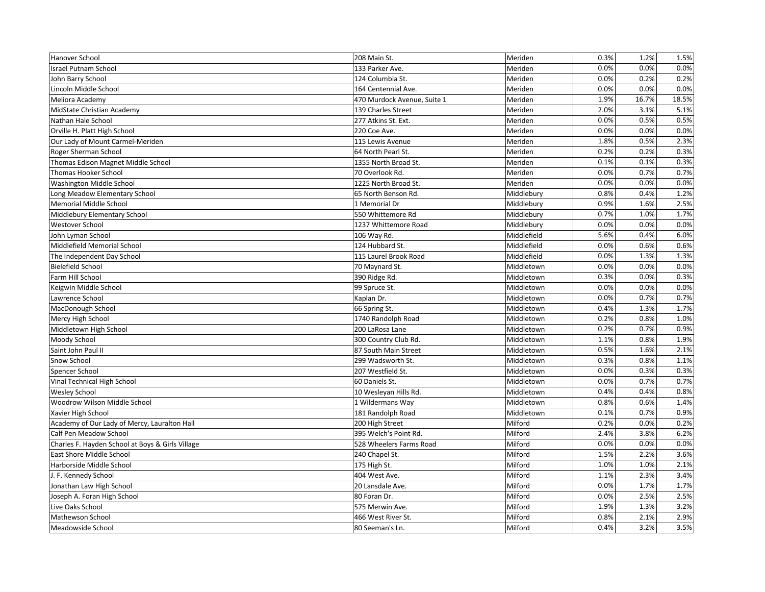| Hanover School                                   | 208 Main St.                | Meriden     | 0.3% | 1.2%  | 1.5%  |
|--------------------------------------------------|-----------------------------|-------------|------|-------|-------|
| Israel Putnam School                             | 133 Parker Ave.             | Meriden     | 0.0% | 0.0%  | 0.0%  |
| John Barry School                                | 124 Columbia St.            | Meriden     | 0.0% | 0.2%  | 0.2%  |
| Lincoln Middle School                            | 164 Centennial Ave.         | Meriden     | 0.0% | 0.0%  | 0.0%  |
| Meliora Academy                                  | 470 Murdock Avenue, Suite 1 | Meriden     | 1.9% | 16.7% | 18.5% |
| MidState Christian Academy                       | 139 Charles Street          | Meriden     | 2.0% | 3.1%  | 5.1%  |
| Nathan Hale School                               | 277 Atkins St. Ext.         | Meriden     | 0.0% | 0.5%  | 0.5%  |
| Orville H. Platt High School                     | 220 Coe Ave.                | Meriden     | 0.0% | 0.0%  | 0.0%  |
| Our Lady of Mount Carmel-Meriden                 | 115 Lewis Avenue            | Meriden     | 1.8% | 0.5%  | 2.3%  |
| Roger Sherman School                             | 64 North Pearl St.          | Meriden     | 0.2% | 0.2%  | 0.3%  |
| Thomas Edison Magnet Middle School               | 1355 North Broad St.        | Meriden     | 0.1% | 0.1%  | 0.3%  |
| <b>Thomas Hooker School</b>                      | 70 Overlook Rd.             | Meriden     | 0.0% | 0.7%  | 0.7%  |
| Washington Middle School                         | 1225 North Broad St.        | Meriden     | 0.0% | 0.0%  | 0.0%  |
| Long Meadow Elementary School                    | 65 North Benson Rd.         | Middlebury  | 0.8% | 0.4%  | 1.2%  |
| Memorial Middle School                           | 1 Memorial Dr               | Middlebury  | 0.9% | 1.6%  | 2.5%  |
| Middlebury Elementary School                     | 550 Whittemore Rd           | Middlebury  | 0.7% | 1.0%  | 1.7%  |
| Westover School                                  | 1237 Whittemore Road        | Middlebury  | 0.0% | 0.0%  | 0.0%  |
| John Lyman School                                | 106 Way Rd.                 | Middlefield | 5.6% | 0.4%  | 6.0%  |
| Middlefield Memorial School                      | 124 Hubbard St.             | Middlefield | 0.0% | 0.6%  | 0.6%  |
| The Independent Day School                       | 115 Laurel Brook Road       | Middlefield | 0.0% | 1.3%  | 1.3%  |
| <b>Bielefield School</b>                         | 70 Maynard St.              | Middletown  | 0.0% | 0.0%  | 0.0%  |
| Farm Hill School                                 | 390 Ridge Rd.               | Middletown  | 0.3% | 0.0%  | 0.3%  |
| Keigwin Middle School                            | 99 Spruce St.               | Middletown  | 0.0% | 0.0%  | 0.0%  |
| Lawrence School                                  | Kaplan Dr.                  | Middletown  | 0.0% | 0.7%  | 0.7%  |
| MacDonough School                                | 66 Spring St.               | Middletown  | 0.4% | 1.3%  | 1.7%  |
| Mercy High School                                | 1740 Randolph Road          | Middletown  | 0.2% | 0.8%  | 1.0%  |
| Middletown High School                           | 200 LaRosa Lane             | Middletown  | 0.2% | 0.7%  | 0.9%  |
| Moody School                                     | 300 Country Club Rd.        | Middletown  | 1.1% | 0.8%  | 1.9%  |
| Saint John Paul II                               | 87 South Main Street        | Middletown  | 0.5% | 1.6%  | 2.1%  |
| Snow School                                      | 299 Wadsworth St.           | Middletown  | 0.3% | 0.8%  | 1.1%  |
| Spencer School                                   | 207 Westfield St.           | Middletown  | 0.0% | 0.3%  | 0.3%  |
| Vinal Technical High School                      | 60 Daniels St.              | Middletown  | 0.0% | 0.7%  | 0.7%  |
| <b>Wesley School</b>                             | 10 Wesleyan Hills Rd.       | Middletown  | 0.4% | 0.4%  | 0.8%  |
| Woodrow Wilson Middle School                     | 1 Wildermans Way            | Middletown  | 0.8% | 0.6%  | 1.4%  |
| Xavier High School                               | 181 Randolph Road           | Middletown  | 0.1% | 0.7%  | 0.9%  |
| Academy of Our Lady of Mercy, Lauralton Hall     | 200 High Street             | Milford     | 0.2% | 0.0%  | 0.2%  |
| Calf Pen Meadow School                           | 395 Welch's Point Rd.       | Milford     | 2.4% | 3.8%  | 6.2%  |
| Charles F. Hayden School at Boys & Girls Village | 528 Wheelers Farms Road     | Milford     | 0.0% | 0.0%  | 0.0%  |
| East Shore Middle School                         | 240 Chapel St.              | Milford     | 1.5% | 2.2%  | 3.6%  |
| Harborside Middle School                         | 175 High St.                | Milford     | 1.0% | 1.0%  | 2.1%  |
| J. F. Kennedy School                             | 404 West Ave.               | Milford     | 1.1% | 2.3%  | 3.4%  |
| Jonathan Law High School                         | 20 Lansdale Ave.            | Milford     | 0.0% | 1.7%  | 1.7%  |
| Joseph A. Foran High School                      | 80 Foran Dr.                | Milford     | 0.0% | 2.5%  | 2.5%  |
| Live Oaks School                                 | 575 Merwin Ave.             | Milford     | 1.9% | 1.3%  | 3.2%  |
| Mathewson School                                 | 466 West River St.          | Milford     | 0.8% | 2.1%  | 2.9%  |
| Meadowside School                                | 80 Seeman's Ln.             | Milford     | 0.4% | 3.2%  | 3.5%  |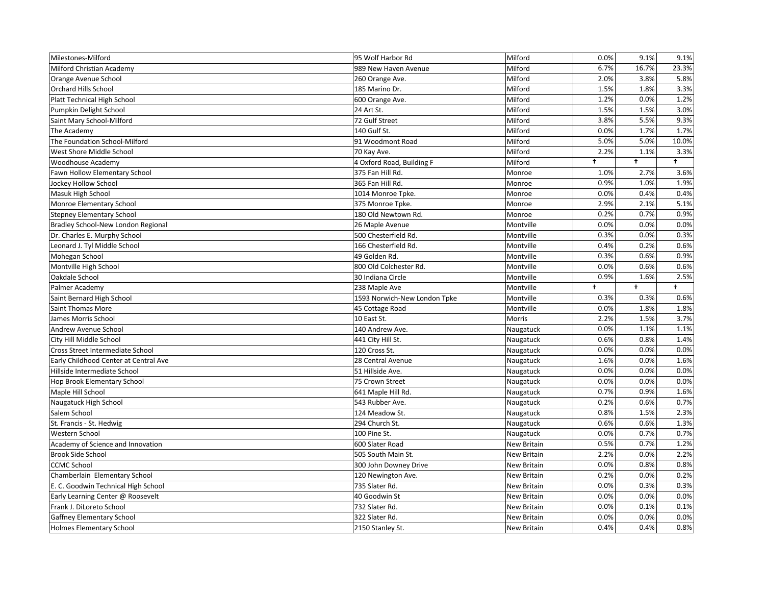| Milestones-Milford                    | 95 Wolf Harbor Rd            | Milford            | 0.0% | 9.1%       | 9.1%       |
|---------------------------------------|------------------------------|--------------------|------|------------|------------|
| Milford Christian Academy             | 989 New Haven Avenue         | Milford            | 6.7% | 16.7%      | 23.3%      |
| Orange Avenue School                  | 260 Orange Ave.              | Milford            | 2.0% | 3.8%       | 5.8%       |
| <b>Orchard Hills School</b>           | 185 Marino Dr.               | Milford            | 1.5% | 1.8%       | 3.3%       |
| Platt Technical High School           | 600 Orange Ave.              | Milford            | 1.2% | 0.0%       | 1.2%       |
| Pumpkin Delight School                | 24 Art St.                   | Milford            | 1.5% | 1.5%       | 3.0%       |
| Saint Mary School-Milford             | 72 Gulf Street               | Milford            | 3.8% | 5.5%       | 9.3%       |
| The Academy                           | 140 Gulf St.                 | Milford            | 0.0% | 1.7%       | 1.7%       |
| The Foundation School-Milford         | 91 Woodmont Road             | Milford            | 5.0% | 5.0%       | 10.0%      |
| West Shore Middle School              | 70 Kay Ave.                  | Milford            | 2.2% | 1.1%       | 3.3%       |
| Woodhouse Academy                     | 4 Oxford Road, Building F    | Milford            | t    | $\ddagger$ | $\ddagger$ |
| Fawn Hollow Elementary School         | 375 Fan Hill Rd.             | Monroe             | 1.0% | 2.7%       | 3.6%       |
| Jockey Hollow School                  | 365 Fan Hill Rd.             | Monroe             | 0.9% | 1.0%       | 1.9%       |
| Masuk High School                     | 1014 Monroe Tpke.            | Monroe             | 0.0% | 0.4%       | 0.4%       |
| Monroe Elementary School              | 375 Monroe Tpke.             | Monroe             | 2.9% | 2.1%       | 5.1%       |
| <b>Stepney Elementary School</b>      | 180 Old Newtown Rd.          | Monroe             | 0.2% | 0.7%       | 0.9%       |
| Bradley School-New London Regional    | 26 Maple Avenue              | Montville          | 0.0% | 0.0%       | 0.0%       |
| Dr. Charles E. Murphy School          | 500 Chesterfield Rd.         | Montville          | 0.3% | 0.0%       | 0.3%       |
| Leonard J. Tyl Middle School          | 166 Chesterfield Rd.         | Montville          | 0.4% | 0.2%       | 0.6%       |
| Mohegan School                        | 49 Golden Rd.                | Montville          | 0.3% | 0.6%       | 0.9%       |
| Montville High School                 | 800 Old Colchester Rd.       | Montville          | 0.0% | 0.6%       | 0.6%       |
| Oakdale School                        | 30 Indiana Circle            | Montville          | 0.9% | 1.6%       | 2.5%       |
| Palmer Academy                        | 238 Maple Ave                | Montville          | t    | $\ddagger$ | $\ddagger$ |
| Saint Bernard High School             | 1593 Norwich-New London Tpke | Montville          | 0.3% | 0.3%       | 0.6%       |
| <b>Saint Thomas More</b>              | 45 Cottage Road              | Montville          | 0.0% | 1.8%       | 1.8%       |
| James Morris School                   | 10 East St.                  | Morris             | 2.2% | 1.5%       | 3.7%       |
| Andrew Avenue School                  | 140 Andrew Ave.              | Naugatuck          | 0.0% | 1.1%       | 1.1%       |
| City Hill Middle School               | 441 City Hill St.            | Naugatuck          | 0.6% | 0.8%       | 1.4%       |
| Cross Street Intermediate School      | 120 Cross St.                | Naugatuck          | 0.0% | 0.0%       | 0.0%       |
| Early Childhood Center at Central Ave | 28 Central Avenue            | Naugatuck          | 1.6% | 0.0%       | 1.6%       |
| Hillside Intermediate School          | 51 Hillside Ave.             | Naugatuck          | 0.0% | 0.0%       | 0.0%       |
| Hop Brook Elementary School           | 75 Crown Street              | Naugatuck          | 0.0% | 0.0%       | 0.0%       |
| Maple Hill School                     | 641 Maple Hill Rd.           | Naugatuck          | 0.7% | 0.9%       | 1.6%       |
| Naugatuck High School                 | 543 Rubber Ave.              | Naugatuck          | 0.2% | 0.6%       | 0.7%       |
| Salem School                          | 124 Meadow St.               | Naugatuck          | 0.8% | 1.5%       | 2.3%       |
| St. Francis - St. Hedwig              | 294 Church St.               | Naugatuck          | 0.6% | 0.6%       | 1.3%       |
| Western School                        | 100 Pine St.                 | Naugatuck          | 0.0% | 0.7%       | 0.7%       |
| Academy of Science and Innovation     | 600 Slater Road              | New Britain        | 0.5% | 0.7%       | 1.2%       |
| <b>Brook Side School</b>              | 505 South Main St.           | <b>New Britain</b> | 2.2% | 0.0%       | 2.2%       |
| <b>CCMC School</b>                    | 300 John Downey Drive        | <b>New Britain</b> | 0.0% | 0.8%       | 0.8%       |
| Chamberlain Elementary School         |                              |                    |      | 0.0%       | 0.2%       |
|                                       | 120 Newington Ave.           | <b>New Britain</b> | 0.2% |            |            |
| E. C. Goodwin Technical High School   | 735 Slater Rd.               | <b>New Britain</b> | 0.0% | 0.3%       | 0.3%       |
| Early Learning Center @ Roosevelt     | 40 Goodwin St                | <b>New Britain</b> | 0.0% | 0.0%       | 0.0%       |
| Frank J. DiLoreto School              | 732 Slater Rd.               | <b>New Britain</b> | 0.0% | 0.1%       | 0.1%       |
| Gaffney Elementary School             | 322 Slater Rd.               | <b>New Britain</b> | 0.0% | 0.0%       | 0.0%       |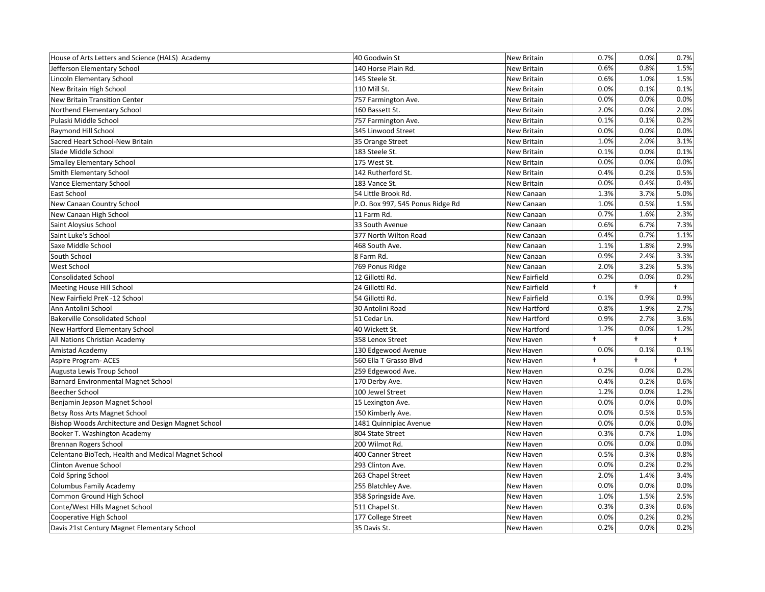| House of Arts Letters and Science (HALS) Academy    | 40 Goodwin St                    | <b>New Britain</b>   | 0.7%       | 0.0%       | 0.7%       |
|-----------------------------------------------------|----------------------------------|----------------------|------------|------------|------------|
| Jefferson Elementary School                         | 140 Horse Plain Rd.              | <b>New Britain</b>   | 0.6%       | 0.8%       | 1.5%       |
| Lincoln Elementary School                           | 145 Steele St.                   | <b>New Britain</b>   | 0.6%       | 1.0%       | 1.5%       |
| New Britain High School                             | 110 Mill St.                     | <b>New Britain</b>   | 0.0%       | 0.1%       | 0.1%       |
| New Britain Transition Center                       | 757 Farmington Ave.              | <b>New Britain</b>   | 0.0%       | 0.0%       | 0.0%       |
| Northend Elementary School                          | 160 Bassett St.                  | New Britain          | 2.0%       | 0.0%       | 2.0%       |
| Pulaski Middle School                               | 757 Farmington Ave.              | <b>New Britain</b>   | 0.1%       | 0.1%       | 0.2%       |
| Raymond Hill School                                 | 345 Linwood Street               | <b>New Britain</b>   | 0.0%       | 0.0%       | 0.0%       |
| Sacred Heart School-New Britain                     | 35 Orange Street                 | <b>New Britain</b>   | 1.0%       | 2.0%       | 3.1%       |
| Slade Middle School                                 | 183 Steele St.                   | New Britain          | 0.1%       | 0.0%       | 0.1%       |
| <b>Smalley Elementary School</b>                    | 175 West St.                     | <b>New Britain</b>   | 0.0%       | 0.0%       | 0.0%       |
| <b>Smith Elementary School</b>                      | 142 Rutherford St.               | <b>New Britain</b>   | 0.4%       | 0.2%       | 0.5%       |
| Vance Elementary School                             | 183 Vance St.                    | <b>New Britain</b>   | 0.0%       | 0.4%       | 0.4%       |
| East School                                         | 54 Little Brook Rd.              | New Canaan           | 1.3%       | 3.7%       | 5.0%       |
| New Canaan Country School                           | P.O. Box 997, 545 Ponus Ridge Rd | New Canaan           | 1.0%       | 0.5%       | 1.5%       |
| New Canaan High School                              | 11 Farm Rd.                      | New Canaan           | 0.7%       | 1.6%       | 2.3%       |
| Saint Aloysius School                               | 33 South Avenue                  | New Canaan           | 0.6%       | 6.7%       | 7.3%       |
| Saint Luke's School                                 | 377 North Wilton Road            | New Canaan           | 0.4%       | 0.7%       | 1.1%       |
| Saxe Middle School                                  | 468 South Ave.                   | New Canaan           | 1.1%       | 1.8%       | 2.9%       |
| South School                                        | 8 Farm Rd.                       | New Canaan           | 0.9%       | 2.4%       | 3.3%       |
| <b>West School</b>                                  | 769 Ponus Ridge                  | New Canaan           | 2.0%       | 3.2%       | 5.3%       |
| <b>Consolidated School</b>                          | 12 Gillotti Rd.                  | <b>New Fairfield</b> | 0.2%       | 0.0%       | 0.2%       |
| Meeting House Hill School                           | 24 Gillotti Rd.                  | <b>New Fairfield</b> | t          | $\ddagger$ | $\ddagger$ |
| New Fairfield PreK -12 School                       | 54 Gillotti Rd.                  | New Fairfield        | 0.1%       | 0.9%       | 0.9%       |
| Ann Antolini School                                 | 30 Antolini Road                 | <b>New Hartford</b>  | 0.8%       | 1.9%       | 2.7%       |
| <b>Bakerville Consolidated School</b>               | 51 Cedar Ln.                     | New Hartford         | 0.9%       | 2.7%       | 3.6%       |
| New Hartford Elementary School                      | 40 Wickett St.                   | <b>New Hartford</b>  | 1.2%       | 0.0%       | 1.2%       |
| All Nations Christian Academy                       | 358 Lenox Street                 | <b>New Haven</b>     | $\ddagger$ | $\ddagger$ | $\ddagger$ |
| Amistad Academy                                     | 130 Edgewood Avenue              | New Haven            | 0.0%       | 0.1%       | 0.1%       |
| <b>Aspire Program- ACES</b>                         | 560 Ella T Grasso Blvd           | New Haven            | $\ddagger$ | $\ddagger$ | $\ddagger$ |
| Augusta Lewis Troup School                          | 259 Edgewood Ave.                | New Haven            | 0.2%       | 0.0%       | 0.2%       |
| <b>Barnard Environmental Magnet School</b>          | 170 Derby Ave.                   | New Haven            | 0.4%       | 0.2%       | 0.6%       |
| <b>Beecher School</b>                               | 100 Jewel Street                 | New Haven            | 1.2%       | 0.0%       | 1.2%       |
| Benjamin Jepson Magnet School                       | 15 Lexington Ave.                | New Haven            | 0.0%       | 0.0%       | 0.0%       |
| Betsy Ross Arts Magnet School                       | 150 Kimberly Ave.                | New Haven            | 0.0%       | 0.5%       | 0.5%       |
| Bishop Woods Architecture and Design Magnet School  | 1481 Quinnipiac Avenue           | New Haven            | 0.0%       | 0.0%       | 0.0%       |
| Booker T. Washington Academy                        | 804 State Street                 | New Haven            | 0.3%       | 0.7%       | 1.0%       |
| <b>Brennan Rogers School</b>                        | 200 Wilmot Rd.                   | New Haven            | 0.0%       | 0.0%       | 0.0%       |
| Celentano BioTech, Health and Medical Magnet School | 400 Canner Street                | New Haven            | 0.5%       | 0.3%       | 0.8%       |
| <b>Clinton Avenue School</b>                        | 293 Clinton Ave.                 | New Haven            | 0.0%       | 0.2%       | 0.2%       |
| Cold Spring School                                  | 263 Chapel Street                | New Haven            | 2.0%       | 1.4%       | 3.4%       |
| Columbus Family Academy                             | 255 Blatchley Ave.               | New Haven            | 0.0%       | 0.0%       | 0.0%       |
| Common Ground High School                           | 358 Springside Ave.              | New Haven            | 1.0%       | 1.5%       | 2.5%       |
| Conte/West Hills Magnet School                      | 511 Chapel St.                   | New Haven            | 0.3%       | 0.3%       | 0.6%       |
| Cooperative High School                             |                                  |                      |            |            |            |
|                                                     | 177 College Street               | New Haven            | 0.0%       | 0.2%       | 0.2%       |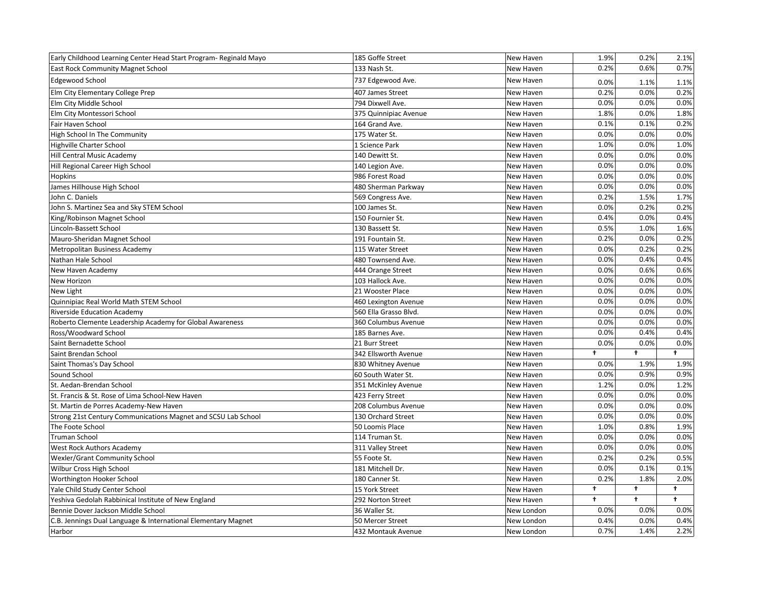| Early Childhood Learning Center Head Start Program- Reginald Mayo | 185 Goffe Street      | New Haven  | 1.9%       | 0.2%       | 2.1%       |
|-------------------------------------------------------------------|-----------------------|------------|------------|------------|------------|
| <b>East Rock Community Magnet School</b>                          | 133 Nash St.          | New Haven  | 0.2%       | 0.6%       | 0.7%       |
| <b>Edgewood School</b>                                            | 737 Edgewood Ave.     | New Haven  | 0.0%       | 1.1%       | 1.1%       |
| Elm City Elementary College Prep                                  | 407 James Street      | New Haven  | 0.2%       | 0.0%       | 0.2%       |
| Elm City Middle School                                            | 794 Dixwell Ave.      | New Haven  | 0.0%       | 0.0%       | 0.0%       |
| Elm City Montessori School                                        | 375 Quinnipiac Avenue | New Haven  | 1.8%       | 0.0%       | 1.8%       |
| Fair Haven School                                                 | 164 Grand Ave.        | New Haven  | 0.1%       | 0.1%       | 0.2%       |
| High School In The Community                                      | 175 Water St.         | New Haven  | 0.0%       | 0.0%       | 0.0%       |
| Highville Charter School                                          | 1 Science Park        | New Haven  | 1.0%       | 0.0%       | 1.0%       |
| Hill Central Music Academy                                        | 140 Dewitt St.        | New Haven  | 0.0%       | 0.0%       | 0.0%       |
| Hill Regional Career High School                                  | 140 Legion Ave.       | New Haven  | 0.0%       | 0.0%       | 0.0%       |
| <b>Hopkins</b>                                                    | 986 Forest Road       | New Haven  | 0.0%       | 0.0%       | 0.0%       |
| James Hillhouse High School                                       | 480 Sherman Parkway   | New Haven  | 0.0%       | 0.0%       | 0.0%       |
| John C. Daniels                                                   | 569 Congress Ave.     | New Haven  | 0.2%       | 1.5%       | 1.7%       |
| John S. Martinez Sea and Sky STEM School                          | 100 James St.         | New Haven  | 0.0%       | 0.2%       | 0.2%       |
| King/Robinson Magnet School                                       | 150 Fournier St.      | New Haven  | 0.4%       | 0.0%       | 0.4%       |
| Lincoln-Bassett School                                            | 130 Bassett St.       | New Haven  | 0.5%       | 1.0%       | 1.6%       |
| Mauro-Sheridan Magnet School                                      | 191 Fountain St.      | New Haven  | 0.2%       | 0.0%       | 0.2%       |
| Metropolitan Business Academy                                     | 115 Water Street      | New Haven  | 0.0%       | 0.2%       | 0.2%       |
| Nathan Hale School                                                | 480 Townsend Ave.     | New Haven  | 0.0%       | 0.4%       | 0.4%       |
| New Haven Academy                                                 | 444 Orange Street     | New Haven  | 0.0%       | 0.6%       | 0.6%       |
| New Horizon                                                       | 103 Hallock Ave.      | New Haven  | 0.0%       | 0.0%       | 0.0%       |
| New Light                                                         | 21 Wooster Place      | New Haven  | 0.0%       | 0.0%       | 0.0%       |
| Quinnipiac Real World Math STEM School                            | 460 Lexington Avenue  | New Haven  | 0.0%       | 0.0%       | 0.0%       |
| <b>Riverside Education Academy</b>                                | 560 Ella Grasso Blvd. | New Haven  | 0.0%       | 0.0%       | 0.0%       |
| Roberto Clemente Leadership Academy for Global Awareness          | 360 Columbus Avenue   | New Haven  | 0.0%       | 0.0%       | 0.0%       |
| Ross/Woodward School                                              | 185 Barnes Ave.       | New Haven  | 0.0%       | 0.4%       | 0.4%       |
| Saint Bernadette School                                           | 21 Burr Street        | New Haven  | 0.0%       | 0.0%       | 0.0%       |
| Saint Brendan School                                              | 342 Ellsworth Avenue  | New Haven  | $\ddagger$ | $\ddagger$ | $\ddagger$ |
| Saint Thomas's Day School                                         | 830 Whitney Avenue    | New Haven  | 0.0%       | 1.9%       | 1.9%       |
| Sound School                                                      | 60 South Water St.    | New Haven  | 0.0%       | 0.9%       | 0.9%       |
| St. Aedan-Brendan School                                          | 351 McKinley Avenue   | New Haven  | 1.2%       | 0.0%       | 1.2%       |
| St. Francis & St. Rose of Lima School-New Haven                   | 423 Ferry Street      | New Haven  | 0.0%       | 0.0%       | 0.0%       |
| St. Martin de Porres Academy-New Haven                            | 208 Columbus Avenue   | New Haven  | 0.0%       | 0.0%       | 0.0%       |
| Strong 21st Century Communications Magnet and SCSU Lab School     | 130 Orchard Street    | New Haven  | 0.0%       | 0.0%       | 0.0%       |
| The Foote School                                                  | 50 Loomis Place       | New Haven  | 1.0%       | 0.8%       | 1.9%       |
| <b>Truman School</b>                                              | 114 Truman St.        | New Haven  | 0.0%       | 0.0%       | 0.0%       |
| <b>West Rock Authors Academy</b>                                  | 311 Valley Street     | New Haven  | 0.0%       | 0.0%       | 0.0%       |
| Wexler/Grant Community School                                     | 55 Foote St.          | New Haven  | 0.2%       | 0.2%       | 0.5%       |
| Wilbur Cross High School                                          | 181 Mitchell Dr.      | New Haven  | 0.0%       | 0.1%       | 0.1%       |
| Worthington Hooker School                                         | 180 Canner St.        | New Haven  | 0.2%       | 1.8%       | 2.0%       |
| Yale Child Study Center School                                    | 15 York Street        | New Haven  | $\ddagger$ | t.         | $\ddagger$ |
| Yeshiva Gedolah Rabbinical Institute of New England               | 292 Norton Street     | New Haven  | $\ddagger$ | $\ddagger$ | $\ddagger$ |
| Bennie Dover Jackson Middle School                                | 36 Waller St.         | New London | 0.0%       | 0.0%       | 0.0%       |
| C.B. Jennings Dual Language & International Elementary Magnet     | 50 Mercer Street      | New London | 0.4%       | 0.0%       | 0.4%       |
| Harbor                                                            | 432 Montauk Avenue    | New London | 0.7%       | 1.4%       | 2.2%       |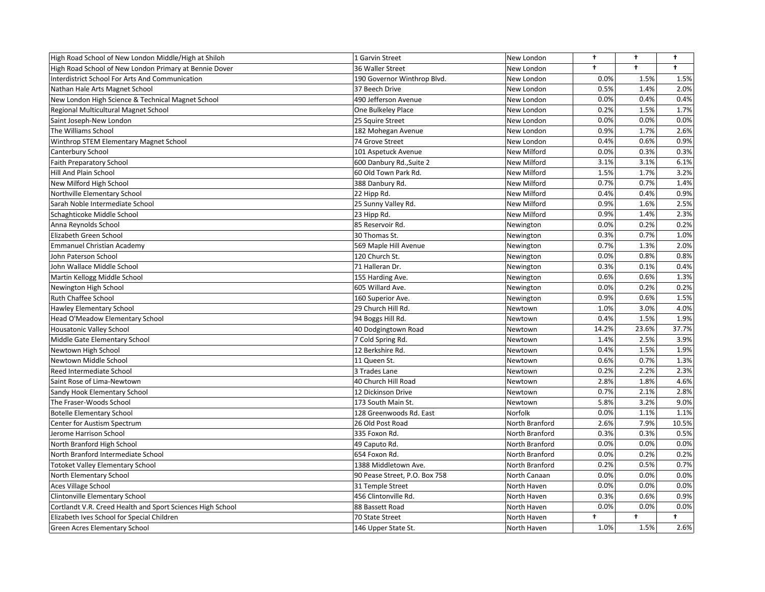| High Road School of New London Middle/High at Shiloh       | 1 Garvin Street               | New London     | $\ddagger$ | t.         | $^{\dagger}$ |
|------------------------------------------------------------|-------------------------------|----------------|------------|------------|--------------|
| High Road School of New London Primary at Bennie Dover     | 36 Waller Street              | New London     | $\ddagger$ | $\ddagger$ | $\ddagger$   |
| <b>Interdistrict School For Arts And Communication</b>     | 190 Governor Winthrop Blvd.   | New London     | 0.0%       | 1.5%       | 1.5%         |
| Nathan Hale Arts Magnet School                             | 37 Beech Drive                | New London     | 0.5%       | 1.4%       | 2.0%         |
| New London High Science & Technical Magnet School          | 490 Jefferson Avenue          | New London     | 0.0%       | 0.4%       | 0.4%         |
| Regional Multicultural Magnet School                       | One Bulkeley Place            | New London     | 0.2%       | 1.5%       | 1.7%         |
| Saint Joseph-New London                                    | 25 Squire Street              | New London     | 0.0%       | 0.0%       | 0.0%         |
| The Williams School                                        | 182 Mohegan Avenue            | New London     | 0.9%       | 1.7%       | 2.6%         |
| Winthrop STEM Elementary Magnet School                     | 74 Grove Street               | New London     | 0.4%       | 0.6%       | 0.9%         |
| Canterbury School                                          | 101 Aspetuck Avenue           | New Milford    | 0.0%       | 0.3%       | 0.3%         |
| Faith Preparatory School                                   | 600 Danbury Rd., Suite 2      | New Milford    | 3.1%       | 3.1%       | 6.1%         |
| Hill And Plain School                                      | 60 Old Town Park Rd.          | New Milford    | 1.5%       | 1.7%       | 3.2%         |
| New Milford High School                                    | 388 Danbury Rd.               | New Milford    | 0.7%       | 0.7%       | 1.4%         |
| Northville Elementary School                               | 22 Hipp Rd.                   | New Milford    | 0.4%       | 0.4%       | 0.9%         |
| Sarah Noble Intermediate School                            | 25 Sunny Valley Rd.           | New Milford    | 0.9%       | 1.6%       | 2.5%         |
| Schaghticoke Middle School                                 | 23 Hipp Rd.                   | New Milford    | 0.9%       | 1.4%       | 2.3%         |
| Anna Reynolds School                                       | 85 Reservoir Rd.              | Newington      | 0.0%       | 0.2%       | 0.2%         |
| Elizabeth Green School                                     | 30 Thomas St.                 | Newington      | 0.3%       | 0.7%       | 1.0%         |
| <b>Emmanuel Christian Academy</b>                          | 569 Maple Hill Avenue         | Newington      | 0.7%       | 1.3%       | 2.0%         |
| John Paterson School                                       | 120 Church St.                | Newington      | 0.0%       | 0.8%       | 0.8%         |
| John Wallace Middle School                                 | 71 Halleran Dr.               | Newington      | 0.3%       | 0.1%       | 0.4%         |
| Martin Kellogg Middle School                               | 155 Harding Ave.              | Newington      | 0.6%       | 0.6%       | 1.3%         |
| Newington High School                                      | 605 Willard Ave.              | Newington      | 0.0%       | 0.2%       | 0.2%         |
| Ruth Chaffee School                                        | 160 Superior Ave.             | Newington      | 0.9%       | 0.6%       | 1.5%         |
| Hawley Elementary School                                   | 29 Church Hill Rd.            | Newtown        | 1.0%       | 3.0%       | 4.0%         |
| Head O'Meadow Elementary School                            | 94 Boggs Hill Rd.             | Newtown        | 0.4%       | 1.5%       | 1.9%         |
| Housatonic Valley School                                   | 40 Dodgingtown Road           | Newtown        | 14.2%      | 23.6%      | 37.7%        |
| Middle Gate Elementary School                              | 7 Cold Spring Rd.             | Newtown        | 1.4%       | 2.5%       | 3.9%         |
| Newtown High School                                        | 12 Berkshire Rd.              | Newtown        | 0.4%       | 1.5%       | 1.9%         |
| Newtown Middle School                                      | 11 Queen St.                  | Newtown        | 0.6%       | 0.7%       | 1.3%         |
| Reed Intermediate School                                   | 3 Trades Lane                 | Newtown        | 0.2%       | 2.2%       | 2.3%         |
| Saint Rose of Lima-Newtown                                 | 40 Church Hill Road           | Newtown        | 2.8%       | 1.8%       | 4.6%         |
| Sandy Hook Elementary School                               | 12 Dickinson Drive            | Newtown        | 0.7%       | 2.1%       | 2.8%         |
| The Fraser-Woods School                                    | 173 South Main St.            | Newtown        | 5.8%       | 3.2%       | 9.0%         |
| <b>Botelle Elementary School</b>                           | 128 Greenwoods Rd. East       | Norfolk        | 0.0%       | 1.1%       | 1.1%         |
| Center for Austism Spectrum                                | 26 Old Post Road              | North Branford | 2.6%       | 7.9%       | 10.5%        |
| Jerome Harrison School                                     | 335 Foxon Rd.                 | North Branford | 0.3%       | 0.3%       | 0.5%         |
| North Branford High School                                 | 49 Caputo Rd.                 | North Branford | 0.0%       | 0.0%       | 0.0%         |
| North Branford Intermediate School                         | 654 Foxon Rd.                 | North Branford | 0.0%       | 0.2%       | 0.2%         |
| <b>Totoket Valley Elementary School</b>                    | 1388 Middletown Ave.          | North Branford | 0.2%       | 0.5%       | 0.7%         |
| North Elementary School                                    | 90 Pease Street, P.O. Box 758 | North Canaan   | 0.0%       | 0.0%       | 0.0%         |
| Aces Village School                                        | 31 Temple Street              | North Haven    | 0.0%       | 0.0%       | 0.0%         |
| Clintonville Elementary School                             | 456 Clintonville Rd.          | North Haven    | 0.3%       | 0.6%       | 0.9%         |
| Cortlandt V.R. Creed Health and Sport Sciences High School | 88 Bassett Road               | North Haven    | 0.0%       | 0.0%       | 0.0%         |
| Elizabeth Ives School for Special Children                 | 70 State Street               | North Haven    | ŧ          | ÷          | $\ddagger$   |
| Green Acres Elementary School                              | 146 Upper State St.           | North Haven    | 1.0%       | 1.5%       | 2.6%         |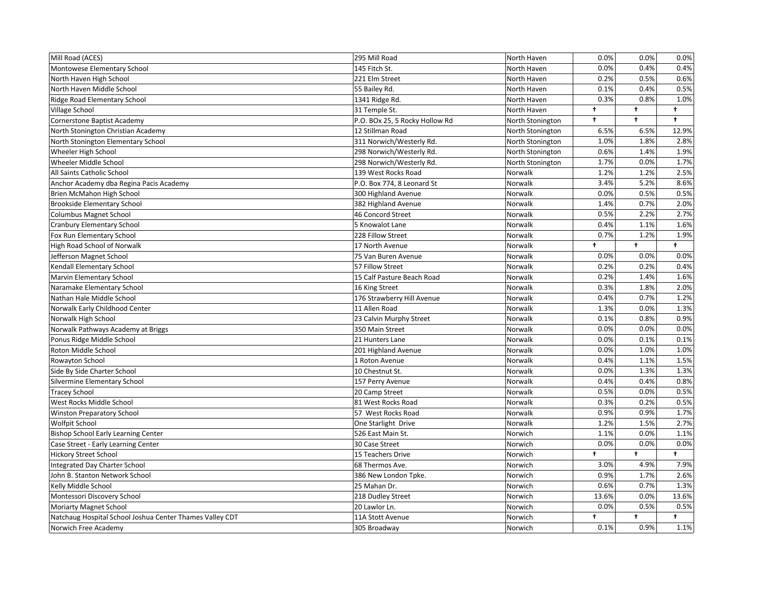| Mill Road (ACES)                                         | 295 Mill Road                  | North Haven      | 0.0%       | 0.0%                 | 0.0%       |
|----------------------------------------------------------|--------------------------------|------------------|------------|----------------------|------------|
| Montowese Elementary School                              | 145 Fitch St.                  | North Haven      | 0.0%       | 0.4%                 | 0.4%       |
| North Haven High School                                  | 221 Elm Street                 | North Haven      | 0.2%       | 0.5%                 | 0.6%       |
| North Haven Middle School                                | 55 Bailey Rd.                  | North Haven      | 0.1%       | 0.4%                 | 0.5%       |
| Ridge Road Elementary School                             | 1341 Ridge Rd.                 | North Haven      | 0.3%       | 0.8%                 | 1.0%       |
| Village School                                           | 31 Temple St.                  | North Haven      | $\ddagger$ | $\ddagger$           | $\ddagger$ |
| Cornerstone Baptist Academy                              | P.O. BOx 25, 5 Rocky Hollow Rd | North Stonington | $\ddagger$ | $\ddagger$           | $\ddagger$ |
| North Stonington Christian Academy                       | 12 Stillman Road               | North Stonington | 6.5%       | 6.5%                 | 12.9%      |
| North Stonington Elementary School                       | 311 Norwich/Westerly Rd.       | North Stonington | 1.0%       | 1.8%                 | 2.8%       |
| Wheeler High School                                      | 298 Norwich/Westerly Rd.       | North Stonington | 0.6%       | 1.4%                 | 1.9%       |
| Wheeler Middle School                                    | 298 Norwich/Westerly Rd.       | North Stonington | 1.7%       | 0.0%                 | 1.7%       |
| All Saints Catholic School                               | 139 West Rocks Road            | Norwalk          | 1.2%       | 1.2%                 | 2.5%       |
| Anchor Academy dba Regina Pacis Academy                  | P.O. Box 774, 8 Leonard St     | Norwalk          | 3.4%       | 5.2%                 | 8.6%       |
| Brien McMahon High School                                | 300 Highland Avenue            | Norwalk          | 0.0%       | 0.5%                 | 0.5%       |
| <b>Brookside Elementary School</b>                       | 382 Highland Avenue            | Norwalk          | 1.4%       | 0.7%                 | 2.0%       |
| <b>Columbus Magnet School</b>                            | 46 Concord Street              | Norwalk          | 0.5%       | 2.2%                 | 2.7%       |
| <b>Cranbury Elementary School</b>                        | 5 Knowalot Lane                | Norwalk          | 0.4%       | 1.1%                 | 1.6%       |
| Fox Run Elementary School                                | 228 Fillow Street              | Norwalk          | 0.7%       | 1.2%                 | 1.9%       |
| High Road School of Norwalk                              | 17 North Avenue                | Norwalk          | ŧ          | $\ddot{\phantom{1}}$ | $\ddagger$ |
| Jefferson Magnet School                                  | 75 Van Buren Avenue            | Norwalk          | 0.0%       | 0.0%                 | 0.0%       |
| Kendall Elementary School                                | 57 Fillow Street               | Norwalk          | 0.2%       | 0.2%                 | 0.4%       |
| Marvin Elementary School                                 | 15 Calf Pasture Beach Road     | Norwalk          | 0.2%       | 1.4%                 | 1.6%       |
| Naramake Elementary School                               | 16 King Street                 | Norwalk          | 0.3%       | 1.8%                 | 2.0%       |
| Nathan Hale Middle School                                | 176 Strawberry Hill Avenue     | Norwalk          | 0.4%       | 0.7%                 | 1.2%       |
| Norwalk Early Childhood Center                           | 11 Allen Road                  | Norwalk          | 1.3%       | 0.0%                 | 1.3%       |
| Norwalk High School                                      | 23 Calvin Murphy Street        | Norwalk          | 0.1%       | 0.8%                 | 0.9%       |
| Norwalk Pathways Academy at Briggs                       | 350 Main Street                | Norwalk          | 0.0%       | 0.0%                 | 0.0%       |
| Ponus Ridge Middle School                                | 21 Hunters Lane                | Norwalk          | 0.0%       | 0.1%                 | 0.1%       |
| Roton Middle School                                      | 201 Highland Avenue            | Norwalk          | 0.0%       | 1.0%                 | 1.0%       |
| Rowayton School                                          | 1 Roton Avenue                 | Norwalk          | 0.4%       | 1.1%                 | 1.5%       |
| Side By Side Charter School                              | 10 Chestnut St.                | Norwalk          | 0.0%       | 1.3%                 | 1.3%       |
| Silvermine Elementary School                             | 157 Perry Avenue               | Norwalk          | 0.4%       | 0.4%                 | 0.8%       |
| <b>Tracey School</b>                                     | 20 Camp Street                 | Norwalk          | 0.5%       | 0.0%                 | 0.5%       |
| West Rocks Middle School                                 | 81 West Rocks Road             | Norwalk          | 0.3%       | 0.2%                 | 0.5%       |
| Winston Preparatory School                               | 57 West Rocks Road             | Norwalk          | 0.9%       | 0.9%                 | 1.7%       |
| <b>Wolfpit School</b>                                    | One Starlight Drive            | Norwalk          | 1.2%       | 1.5%                 | 2.7%       |
| <b>Bishop School Early Learning Center</b>               | 526 East Main St.              | Norwich          | 1.1%       | 0.0%                 | 1.1%       |
| Case Street - Early Learning Center                      | 30 Case Street                 | Norwich          | 0.0%       | 0.0%                 | 0.0%       |
| <b>Hickory Street School</b>                             | 15 Teachers Drive              | Norwich          | t          | $\ddagger$           | $\ddagger$ |
| Integrated Day Charter School                            | 68 Thermos Ave.                | Norwich          | 3.0%       | 4.9%                 | 7.9%       |
| John B. Stanton Network School                           | 386 New London Tpke.           | Norwich          | 0.9%       | 1.7%                 | 2.6%       |
| Kelly Middle School                                      | 25 Mahan Dr.                   | Norwich          | 0.6%       | 0.7%                 | 1.3%       |
| Montessori Discovery School                              | 218 Dudley Street              | Norwich          | 13.6%      | 0.0%                 | 13.6%      |
| <b>Moriarty Magnet School</b>                            | 20 Lawlor Ln.                  | Norwich          | 0.0%       | 0.5%                 | 0.5%       |
| Natchaug Hospital School Joshua Center Thames Valley CDT | 11A Stott Avenue               | Norwich          | $\ddagger$ | ÷                    | $\ddagger$ |
| Norwich Free Academy                                     | 305 Broadway                   | Norwich          | 0.1%       | 0.9%                 | 1.1%       |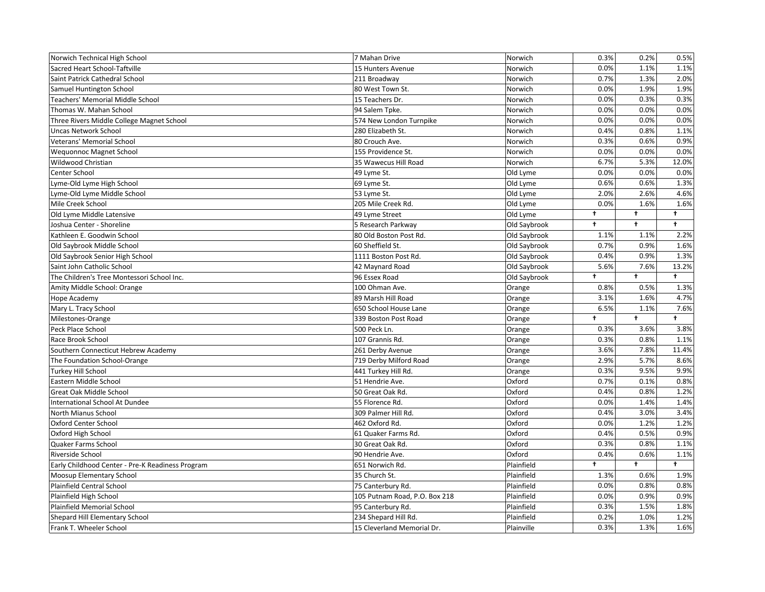| Norwich Technical High School                    | 7 Mahan Drive                 | Norwich      | 0.3%                 | 0.2%       | 0.5%       |
|--------------------------------------------------|-------------------------------|--------------|----------------------|------------|------------|
| Sacred Heart School-Taftville                    | 15 Hunters Avenue             | Norwich      | 0.0%                 | 1.1%       | 1.1%       |
| Saint Patrick Cathedral School                   | 211 Broadway                  | Norwich      | 0.7%                 | 1.3%       | 2.0%       |
| Samuel Huntington School                         | 80 West Town St.              | Norwich      | 0.0%                 | 1.9%       | 1.9%       |
| Teachers' Memorial Middle School                 | 15 Teachers Dr.               | Norwich      | 0.0%                 | 0.3%       | 0.3%       |
| Thomas W. Mahan School                           | 94 Salem Tpke.                | Norwich      | 0.0%                 | 0.0%       | 0.0%       |
| Three Rivers Middle College Magnet School        | 574 New London Turnpike       | Norwich      | 0.0%                 | 0.0%       | 0.0%       |
| <b>Uncas Network School</b>                      | 280 Elizabeth St.             | Norwich      | 0.4%                 | 0.8%       | 1.1%       |
| Veterans' Memorial School                        | 80 Crouch Ave.                | Norwich      | 0.3%                 | 0.6%       | 0.9%       |
| <b>Wequonnoc Magnet School</b>                   | 155 Providence St.            | Norwich      | 0.0%                 | 0.0%       | 0.0%       |
| Wildwood Christian                               | 35 Wawecus Hill Road          | Norwich      | 6.7%                 | 5.3%       | 12.0%      |
| Center School                                    | 49 Lyme St.                   | Old Lyme     | 0.0%                 | 0.0%       | 0.0%       |
| Lyme-Old Lyme High School                        | 69 Lyme St.                   | Old Lyme     | 0.6%                 | 0.6%       | 1.3%       |
| Lyme-Old Lyme Middle School                      | 53 Lyme St.                   | Old Lyme     | 2.0%                 | 2.6%       | 4.6%       |
| Mile Creek School                                | 205 Mile Creek Rd.            | Old Lyme     | 0.0%                 | 1.6%       | 1.6%       |
| Old Lyme Middle Latensive                        | 49 Lyme Street                | Old Lyme     | t                    | $\ddagger$ | $\ddagger$ |
| Joshua Center - Shoreline                        | 5 Research Parkway            | Old Saybrook | $\ddagger$           | $\ddagger$ | $\ddagger$ |
| Kathleen E. Goodwin School                       | 80 Old Boston Post Rd.        | Old Saybrook | 1.1%                 | 1.1%       | 2.2%       |
| Old Saybrook Middle School                       | 60 Sheffield St.              | Old Saybrook | 0.7%                 | 0.9%       | 1.6%       |
| Old Saybrook Senior High School                  | 1111 Boston Post Rd.          | Old Saybrook | 0.4%                 | 0.9%       | 1.3%       |
| Saint John Catholic School                       | 42 Maynard Road               | Old Saybrook | 5.6%                 | 7.6%       | 13.2%      |
| The Children's Tree Montessori School Inc.       | 96 Essex Road                 | Old Saybrook | $\ddot{\phantom{1}}$ | $\ddagger$ | $\ddagger$ |
| Amity Middle School: Orange                      | 100 Ohman Ave.                | Orange       | 0.8%                 | 0.5%       | 1.3%       |
| Hope Academy                                     | 89 Marsh Hill Road            | Orange       | 3.1%                 | 1.6%       | 4.7%       |
| Mary L. Tracy School                             | 650 School House Lane         | Orange       | 6.5%                 | 1.1%       | 7.6%       |
| Milestones-Orange                                | 339 Boston Post Road          | Orange       | $\ddot{\phantom{1}}$ | $\ddagger$ | $\ddagger$ |
| Peck Place School                                | 500 Peck Ln.                  | Orange       | 0.3%                 | 3.6%       | 3.8%       |
| Race Brook School                                | 107 Grannis Rd.               | Orange       | 0.3%                 | 0.8%       | 1.1%       |
| Southern Connecticut Hebrew Academy              | 261 Derby Avenue              | Orange       | 3.6%                 | 7.8%       | 11.4%      |
| The Foundation School-Orange                     | 719 Derby Milford Road        | Orange       | 2.9%                 | 5.7%       | 8.6%       |
| <b>Turkey Hill School</b>                        | 441 Turkey Hill Rd.           | Orange       | 0.3%                 | 9.5%       | 9.9%       |
| Eastern Middle School                            | 51 Hendrie Ave.               | Oxford       | 0.7%                 | 0.1%       | 0.8%       |
| Great Oak Middle School                          | 50 Great Oak Rd.              | Oxford       | 0.4%                 | 0.8%       | 1.2%       |
| International School At Dundee                   | 55 Florence Rd.               | Oxford       | 0.0%                 | 1.4%       | 1.4%       |
| North Mianus School                              | 309 Palmer Hill Rd.           | Oxford       | 0.4%                 | 3.0%       | 3.4%       |
| <b>Oxford Center School</b>                      | 462 Oxford Rd.                | Oxford       | 0.0%                 | 1.2%       | 1.2%       |
| Oxford High School                               | 61 Quaker Farms Rd.           | Oxford       | 0.4%                 | 0.5%       | 0.9%       |
| Quaker Farms School                              | 30 Great Oak Rd.              | Oxford       | 0.3%                 | 0.8%       | 1.1%       |
| Riverside School                                 | 90 Hendrie Ave.               | Oxford       | 0.4%                 | 0.6%       | 1.1%       |
| Early Childhood Center - Pre-K Readiness Program | 651 Norwich Rd.               | Plainfield   | t                    | t.         | $\ddagger$ |
| Moosup Elementary School                         | 35 Church St.                 | Plainfield   | 1.3%                 | 0.6%       | 1.9%       |
| Plainfield Central School                        | 75 Canterbury Rd.             | Plainfield   | 0.0%                 | 0.8%       | 0.8%       |
| Plainfield High School                           | 105 Putnam Road, P.O. Box 218 | Plainfield   | 0.0%                 | 0.9%       | 0.9%       |
| Plainfield Memorial School                       | 95 Canterbury Rd.             | Plainfield   | 0.3%                 | 1.5%       | 1.8%       |
| Shepard Hill Elementary School                   | 234 Shepard Hill Rd.          | Plainfield   | 0.2%                 | 1.0%       | 1.2%       |
| Frank T. Wheeler School                          | 15 Cleverland Memorial Dr.    | Plainville   | 0.3%                 | 1.3%       | 1.6%       |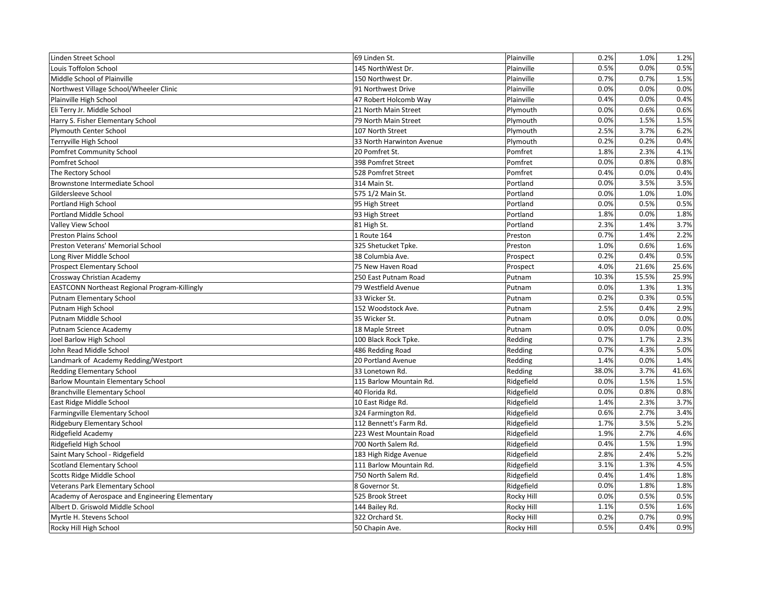| Linden Street School                            | 69 Linden St.             | Plainville        | 0.2%  | 1.0%  | 1.2%  |
|-------------------------------------------------|---------------------------|-------------------|-------|-------|-------|
| Louis Toffolon School                           | 145 NorthWest Dr.         | Plainville        | 0.5%  | 0.0%  | 0.5%  |
| Middle School of Plainville                     | 150 Northwest Dr.         | Plainville        | 0.7%  | 0.7%  | 1.5%  |
| Northwest Village School/Wheeler Clinic         | 91 Northwest Drive        | Plainville        | 0.0%  | 0.0%  | 0.0%  |
| Plainville High School                          | 47 Robert Holcomb Way     | Plainville        | 0.4%  | 0.0%  | 0.4%  |
| Eli Terry Jr. Middle School                     | 21 North Main Street      | Plymouth          | 0.0%  | 0.6%  | 0.6%  |
| Harry S. Fisher Elementary School               | 79 North Main Street      | Plymouth          | 0.0%  | 1.5%  | 1.5%  |
| Plymouth Center School                          | 107 North Street          | Plymouth          | 2.5%  | 3.7%  | 6.2%  |
| Terryville High School                          | 33 North Harwinton Avenue | Plymouth          | 0.2%  | 0.2%  | 0.4%  |
| Pomfret Community School                        | 20 Pomfret St.            | Pomfret           | 1.8%  | 2.3%  | 4.1%  |
| Pomfret School                                  | 398 Pomfret Street        | Pomfret           | 0.0%  | 0.8%  | 0.8%  |
| The Rectory School                              | 528 Pomfret Street        | Pomfret           | 0.4%  | 0.0%  | 0.4%  |
| Brownstone Intermediate School                  | 314 Main St.              | Portland          | 0.0%  | 3.5%  | 3.5%  |
| Gildersleeve School                             | 575 1/2 Main St.          | Portland          | 0.0%  | 1.0%  | 1.0%  |
| Portland High School                            | 95 High Street            | Portland          | 0.0%  | 0.5%  | 0.5%  |
| Portland Middle School                          | 93 High Street            | Portland          | 1.8%  | 0.0%  | 1.8%  |
| Valley View School                              | 81 High St.               | Portland          | 2.3%  | 1.4%  | 3.7%  |
| <b>Preston Plains School</b>                    | 1 Route 164               | Preston           | 0.7%  | 1.4%  | 2.2%  |
| Preston Veterans' Memorial School               | 325 Shetucket Tpke.       | Preston           | 1.0%  | 0.6%  | 1.6%  |
| Long River Middle School                        | 38 Columbia Ave.          | Prospect          | 0.2%  | 0.4%  | 0.5%  |
| <b>Prospect Elementary School</b>               | 75 New Haven Road         | Prospect          | 4.0%  | 21.6% | 25.6% |
| Crossway Christian Academy                      | 250 East Putnam Road      | Putnam            | 10.3% | 15.5% | 25.9% |
| EASTCONN Northeast Regional Program-Killingly   | 79 Westfield Avenue       | Putnam            | 0.0%  | 1.3%  | 1.3%  |
| Putnam Elementary School                        | 33 Wicker St.             | Putnam            | 0.2%  | 0.3%  | 0.5%  |
| Putnam High School                              | 152 Woodstock Ave.        | Putnam            | 2.5%  | 0.4%  | 2.9%  |
| Putnam Middle School                            | 35 Wicker St.             | Putnam            | 0.0%  | 0.0%  | 0.0%  |
| Putnam Science Academy                          | 18 Maple Street           | Putnam            | 0.0%  | 0.0%  | 0.0%  |
| Joel Barlow High School                         | 100 Black Rock Tpke.      | Redding           | 0.7%  | 1.7%  | 2.3%  |
| John Read Middle School                         | 486 Redding Road          | Redding           | 0.7%  | 4.3%  | 5.0%  |
| Landmark of Academy Redding/Westport            | 20 Portland Avenue        | Redding           | 1.4%  | 0.0%  | 1.4%  |
| Redding Elementary School                       | 33 Lonetown Rd.           | Redding           | 38.0% | 3.7%  | 41.6% |
| <b>Barlow Mountain Elementary School</b>        | 115 Barlow Mountain Rd.   | Ridgefield        | 0.0%  | 1.5%  | 1.5%  |
| <b>Branchville Elementary School</b>            | 40 Florida Rd.            | Ridgefield        | 0.0%  | 0.8%  | 0.8%  |
| East Ridge Middle School                        | 10 East Ridge Rd.         | Ridgefield        | 1.4%  | 2.3%  | 3.7%  |
| Farmingville Elementary School                  | 324 Farmington Rd.        | Ridgefield        | 0.6%  | 2.7%  | 3.4%  |
| Ridgebury Elementary School                     | 112 Bennett's Farm Rd.    | Ridgefield        | 1.7%  | 3.5%  | 5.2%  |
| Ridgefield Academy                              | 223 West Mountain Road    | Ridgefield        | 1.9%  | 2.7%  | 4.6%  |
| Ridgefield High School                          | 700 North Salem Rd.       | Ridgefield        | 0.4%  | 1.5%  | 1.9%  |
| Saint Mary School - Ridgefield                  | 183 High Ridge Avenue     | Ridgefield        | 2.8%  | 2.4%  | 5.2%  |
| <b>Scotland Elementary School</b>               | 111 Barlow Mountain Rd.   | Ridgefield        | 3.1%  | 1.3%  | 4.5%  |
| Scotts Ridge Middle School                      | 750 North Salem Rd.       | Ridgefield        | 0.4%  | 1.4%  | 1.8%  |
| Veterans Park Elementary School                 | 8 Governor St.            | Ridgefield        | 0.0%  | 1.8%  | 1.8%  |
| Academy of Aerospace and Engineering Elementary | 525 Brook Street          | Rocky Hill        | 0.0%  | 0.5%  | 0.5%  |
| Albert D. Griswold Middle School                | 144 Bailey Rd.            | <b>Rocky Hill</b> | 1.1%  | 0.5%  | 1.6%  |
| Myrtle H. Stevens School                        | 322 Orchard St.           | Rocky Hill        | 0.2%  | 0.7%  | 0.9%  |
| Rocky Hill High School                          | 50 Chapin Ave.            | <b>Rocky Hill</b> | 0.5%  | 0.4%  | 0.9%  |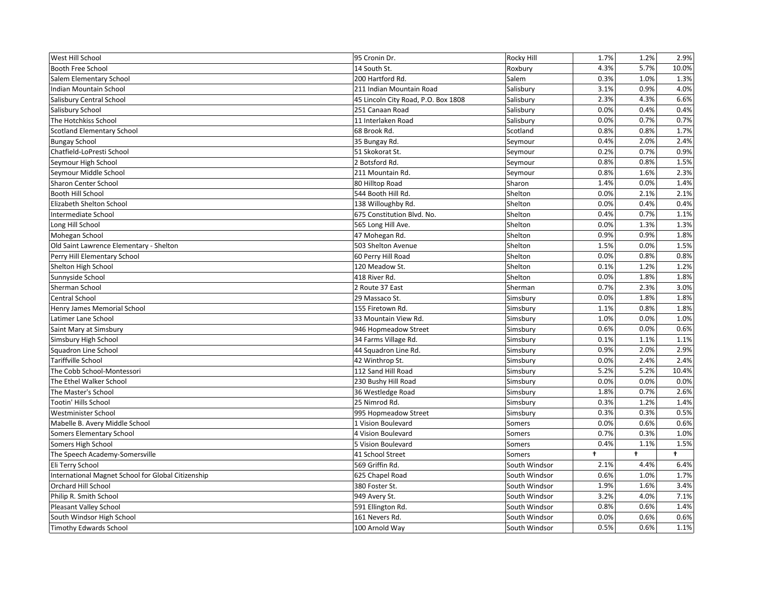| West Hill School                                   | 95 Cronin Dr.                       | Rocky Hill    | 1.7% | 1.2%       | 2.9%       |
|----------------------------------------------------|-------------------------------------|---------------|------|------------|------------|
| Booth Free School                                  | 14 South St.                        | Roxbury       | 4.3% | 5.7%       | 10.0%      |
| Salem Elementary School                            | 200 Hartford Rd.                    | Salem         | 0.3% | 1.0%       | 1.3%       |
| Indian Mountain School                             | 211 Indian Mountain Road            | Salisbury     | 3.1% | 0.9%       | 4.0%       |
| Salisbury Central School                           | 45 Lincoln City Road, P.O. Box 1808 | Salisbury     | 2.3% | 4.3%       | 6.6%       |
| Salisbury School                                   | 251 Canaan Road                     | Salisbury     | 0.0% | 0.4%       | 0.4%       |
| The Hotchkiss School                               | 11 Interlaken Road                  | Salisbury     | 0.0% | 0.7%       | 0.7%       |
| <b>Scotland Elementary School</b>                  | 68 Brook Rd.                        | Scotland      | 0.8% | 0.8%       | 1.7%       |
| <b>Bungay School</b>                               | 35 Bungay Rd.                       | Seymour       | 0.4% | 2.0%       | 2.4%       |
| Chatfield-LoPresti School                          | 51 Skokorat St.                     | Seymour       | 0.2% | 0.7%       | 0.9%       |
| Seymour High School                                | 2 Botsford Rd.                      | Seymour       | 0.8% | 0.8%       | 1.5%       |
| Seymour Middle School                              | 211 Mountain Rd.                    | Seymour       | 0.8% | 1.6%       | 2.3%       |
| Sharon Center School                               | 80 Hilltop Road                     | Sharon        | 1.4% | 0.0%       | 1.4%       |
| Booth Hill School                                  | 544 Booth Hill Rd.                  | Shelton       | 0.0% | 2.1%       | 2.1%       |
| Elizabeth Shelton School                           | 138 Willoughby Rd.                  | Shelton       | 0.0% | 0.4%       | 0.4%       |
| Intermediate School                                | 675 Constitution Blvd. No.          | Shelton       | 0.4% | 0.7%       | 1.1%       |
| Long Hill School                                   | 565 Long Hill Ave.                  | Shelton       | 0.0% | 1.3%       | 1.3%       |
| Mohegan School                                     | 47 Mohegan Rd.                      | Shelton       | 0.9% | 0.9%       | 1.8%       |
| Old Saint Lawrence Elementary - Shelton            | 503 Shelton Avenue                  | Shelton       | 1.5% | 0.0%       | 1.5%       |
| Perry Hill Elementary School                       | 60 Perry Hill Road                  | Shelton       | 0.0% | 0.8%       | 0.8%       |
| Shelton High School                                | 120 Meadow St.                      | Shelton       | 0.1% | 1.2%       | 1.2%       |
| Sunnyside School                                   | 418 River Rd.                       | Shelton       | 0.0% | 1.8%       | 1.8%       |
| Sherman School                                     | 2 Route 37 East                     | Sherman       | 0.7% | 2.3%       | 3.0%       |
| Central School                                     | 29 Massaco St.                      | Simsbury      | 0.0% | 1.8%       | 1.8%       |
| Henry James Memorial School                        | 155 Firetown Rd.                    | Simsbury      | 1.1% | 0.8%       | 1.8%       |
| Latimer Lane School                                | 33 Mountain View Rd.                | Simsbury      | 1.0% | 0.0%       | 1.0%       |
| Saint Mary at Simsbury                             | 946 Hopmeadow Street                | Simsbury      | 0.6% | 0.0%       | 0.6%       |
| Simsbury High School                               | 34 Farms Village Rd.                | Simsbury      | 0.1% | 1.1%       | 1.1%       |
| Squadron Line School                               | 44 Squadron Line Rd.                | Simsbury      | 0.9% | 2.0%       | 2.9%       |
| Tariffville School                                 | 42 Winthrop St.                     | Simsbury      | 0.0% | 2.4%       | 2.4%       |
| The Cobb School-Montessori                         | 112 Sand Hill Road                  | Simsbury      | 5.2% | 5.2%       | 10.4%      |
| The Ethel Walker School                            | 230 Bushy Hill Road                 | Simsbury      | 0.0% | 0.0%       | 0.0%       |
| The Master's School                                | 36 Westledge Road                   | Simsbury      | 1.8% | 0.7%       | 2.6%       |
| Tootin' Hills School                               | 25 Nimrod Rd.                       | Simsbury      | 0.3% | 1.2%       | 1.4%       |
| Westminister School                                | 995 Hopmeadow Street                | Simsbury      | 0.3% | 0.3%       | 0.5%       |
| Mabelle B. Avery Middle School                     | 1 Vision Boulevard                  | Somers        | 0.0% | 0.6%       | 0.6%       |
| Somers Elementary School                           | 4 Vision Boulevard                  | Somers        | 0.7% | 0.3%       | 1.0%       |
| Somers High School                                 | 5 Vision Boulevard                  | Somers        | 0.4% | 1.1%       | 1.5%       |
| The Speech Academy-Somersville                     | 41 School Street                    | <b>Somers</b> | t    | $\ddagger$ | $\ddagger$ |
| Eli Terry School                                   | 569 Griffin Rd.                     | South Windsor | 2.1% | 4.4%       | 6.4%       |
| International Magnet School for Global Citizenship | 625 Chapel Road                     | South Windsor | 0.6% | 1.0%       | 1.7%       |
| Orchard Hill School                                | 380 Foster St.                      | South Windsor | 1.9% | 1.6%       | 3.4%       |
| Philip R. Smith School                             | 949 Avery St.                       | South Windsor | 3.2% | 4.0%       | 7.1%       |
| <b>Pleasant Valley School</b>                      | 591 Ellington Rd.                   | South Windsor | 0.8% | 0.6%       | 1.4%       |
| South Windsor High School                          | 161 Nevers Rd.                      | South Windsor | 0.0% | 0.6%       | 0.6%       |
| <b>Timothy Edwards School</b>                      | 100 Arnold Way                      | South Windsor | 0.5% | 0.6%       | 1.1%       |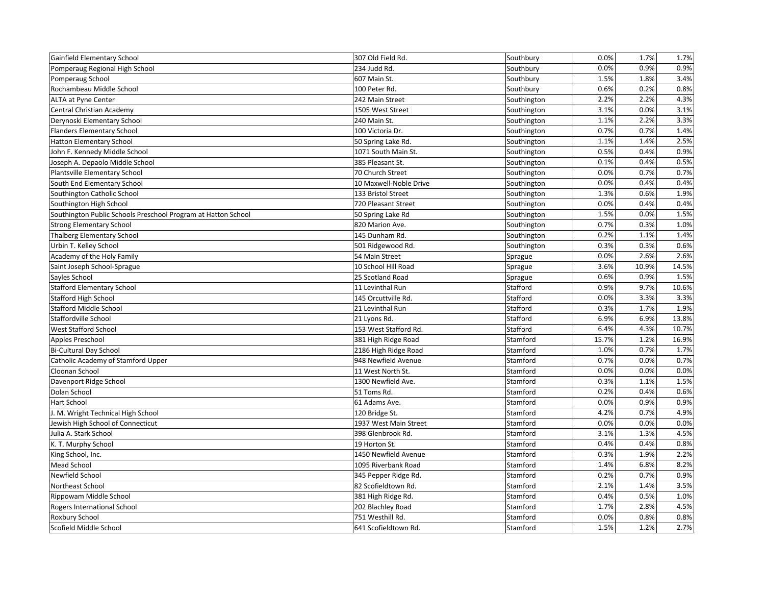| Gainfield Elementary School                                   | 307 Old Field Rd.      | Southbury   | 0.0%  | 1.7%  | 1.7%  |
|---------------------------------------------------------------|------------------------|-------------|-------|-------|-------|
| Pomperaug Regional High School                                | 234 Judd Rd.           | Southbury   | 0.0%  | 0.9%  | 0.9%  |
| Pomperaug School                                              | 607 Main St.           | Southbury   | 1.5%  | 1.8%  | 3.4%  |
| Rochambeau Middle School                                      | 100 Peter Rd.          | Southbury   | 0.6%  | 0.2%  | 0.8%  |
| ALTA at Pyne Center                                           | 242 Main Street        | Southington | 2.2%  | 2.2%  | 4.3%  |
| Central Christian Academy                                     | 1505 West Street       | Southington | 3.1%  | 0.0%  | 3.1%  |
| Derynoski Elementary School                                   | 240 Main St.           | Southington | 1.1%  | 2.2%  | 3.3%  |
| <b>Flanders Elementary School</b>                             | 100 Victoria Dr.       | Southington | 0.7%  | 0.7%  | 1.4%  |
| <b>Hatton Elementary School</b>                               | 50 Spring Lake Rd.     | Southington | 1.1%  | 1.4%  | 2.5%  |
| John F. Kennedy Middle School                                 | 1071 South Main St.    | Southington | 0.5%  | 0.4%  | 0.9%  |
| Joseph A. Depaolo Middle School                               | 385 Pleasant St.       | Southington | 0.1%  | 0.4%  | 0.5%  |
| Plantsville Elementary School                                 | 70 Church Street       | Southington | 0.0%  | 0.7%  | 0.7%  |
| South End Elementary School                                   | 10 Maxwell-Noble Drive | Southington | 0.0%  | 0.4%  | 0.4%  |
| Southington Catholic School                                   | 133 Bristol Street     | Southington | 1.3%  | 0.6%  | 1.9%  |
| Southington High School                                       | 720 Pleasant Street    | Southington | 0.0%  | 0.4%  | 0.4%  |
| Southington Public Schools Preschool Program at Hatton School | 50 Spring Lake Rd      | Southington | 1.5%  | 0.0%  | 1.5%  |
| <b>Strong Elementary School</b>                               | 820 Marion Ave.        | Southington | 0.7%  | 0.3%  | 1.0%  |
| <b>Thalberg Elementary School</b>                             | 145 Dunham Rd.         | Southington | 0.2%  | 1.1%  | 1.4%  |
| Urbin T. Kelley School                                        | 501 Ridgewood Rd.      | Southington | 0.3%  | 0.3%  | 0.6%  |
| Academy of the Holy Family                                    | 54 Main Street         | Sprague     | 0.0%  | 2.6%  | 2.6%  |
| Saint Joseph School-Sprague                                   | 10 School Hill Road    | Sprague     | 3.6%  | 10.9% | 14.5% |
| Sayles School                                                 | 25 Scotland Road       | Sprague     | 0.6%  | 0.9%  | 1.5%  |
| <b>Stafford Elementary School</b>                             | 11 Levinthal Run       | Stafford    | 0.9%  | 9.7%  | 10.6% |
| <b>Stafford High School</b>                                   | 145 Orcuttville Rd.    | Stafford    | 0.0%  | 3.3%  | 3.3%  |
| <b>Stafford Middle School</b>                                 | 21 Levinthal Run       | Stafford    | 0.3%  | 1.7%  | 1.9%  |
| Staffordville School                                          | 21 Lyons Rd.           | Stafford    | 6.9%  | 6.9%  | 13.8% |
| <b>West Stafford School</b>                                   | 153 West Stafford Rd.  | Stafford    | 6.4%  | 4.3%  | 10.7% |
| Apples Preschool                                              | 381 High Ridge Road    | Stamford    | 15.7% | 1.2%  | 16.9% |
| <b>Bi-Cultural Day School</b>                                 | 2186 High Ridge Road   | Stamford    | 1.0%  | 0.7%  | 1.7%  |
| Catholic Academy of Stamford Upper                            | 948 Newfield Avenue    | Stamford    | 0.7%  | 0.0%  | 0.7%  |
| Cloonan School                                                | 11 West North St.      | Stamford    | 0.0%  | 0.0%  | 0.0%  |
| Davenport Ridge School                                        | 1300 Newfield Ave.     | Stamford    | 0.3%  | 1.1%  | 1.5%  |
| Dolan School                                                  | 51 Toms Rd.            | Stamford    | 0.2%  | 0.4%  | 0.6%  |
| <b>Hart School</b>                                            | 61 Adams Ave.          | Stamford    | 0.0%  | 0.9%  | 0.9%  |
| J. M. Wright Technical High School                            | 120 Bridge St.         | Stamford    | 4.2%  | 0.7%  | 4.9%  |
| Jewish High School of Connecticut                             | 1937 West Main Street  | Stamford    | 0.0%  | 0.0%  | 0.0%  |
| Julia A. Stark School                                         | 398 Glenbrook Rd.      | Stamford    | 3.1%  | 1.3%  | 4.5%  |
| K. T. Murphy School                                           | 19 Horton St.          | Stamford    | 0.4%  | 0.4%  | 0.8%  |
| King School, Inc.                                             | 1450 Newfield Avenue   | Stamford    | 0.3%  | 1.9%  | 2.2%  |
| Mead School                                                   | 1095 Riverbank Road    | Stamford    | 1.4%  | 6.8%  | 8.2%  |
| Newfield School                                               | 345 Pepper Ridge Rd.   | Stamford    | 0.2%  | 0.7%  | 0.9%  |
| Northeast School                                              | 82 Scofieldtown Rd.    | Stamford    | 2.1%  | 1.4%  | 3.5%  |
| Rippowam Middle School                                        | 381 High Ridge Rd.     | Stamford    | 0.4%  | 0.5%  | 1.0%  |
| Rogers International School                                   | 202 Blachley Road      | Stamford    | 1.7%  | 2.8%  | 4.5%  |
| Roxbury School                                                | 751 Westhill Rd.       | Stamford    | 0.0%  | 0.8%  | 0.8%  |
| Scofield Middle School                                        | 641 Scofieldtown Rd.   | Stamford    | 1.5%  | 1.2%  | 2.7%  |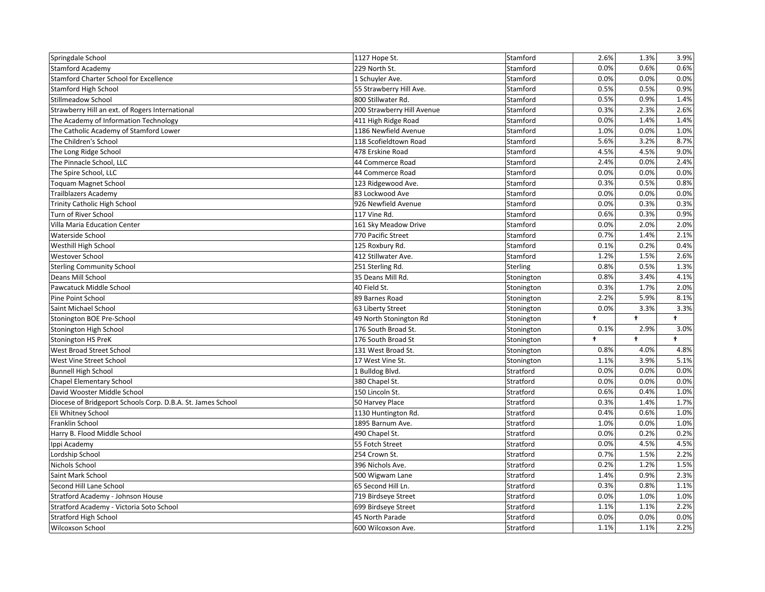| Springdale School                                           | 1127 Hope St.              | Stamford        | 2.6%                 | 1.3%       | 3.9%       |
|-------------------------------------------------------------|----------------------------|-----------------|----------------------|------------|------------|
| <b>Stamford Academy</b>                                     | 229 North St.              | Stamford        | 0.0%                 | 0.6%       | 0.6%       |
| Stamford Charter School for Excellence                      | 1 Schuyler Ave.            | Stamford        | 0.0%                 | 0.0%       | 0.0%       |
| <b>Stamford High School</b>                                 | 55 Strawberry Hill Ave.    | Stamford        | 0.5%                 | 0.5%       | 0.9%       |
| <b>Stillmeadow School</b>                                   | 800 Stillwater Rd.         | Stamford        | 0.5%                 | 0.9%       | 1.4%       |
| Strawberry Hill an ext. of Rogers International             | 200 Strawberry Hill Avenue | Stamford        | 0.3%                 | 2.3%       | 2.6%       |
| The Academy of Information Technology                       | 411 High Ridge Road        | Stamford        | 0.0%                 | 1.4%       | 1.4%       |
| The Catholic Academy of Stamford Lower                      | 1186 Newfield Avenue       | Stamford        | 1.0%                 | 0.0%       | 1.0%       |
| The Children's School                                       | 118 Scofieldtown Road      | Stamford        | 5.6%                 | 3.2%       | 8.7%       |
| The Long Ridge School                                       | 478 Erskine Road           | Stamford        | 4.5%                 | 4.5%       | 9.0%       |
| The Pinnacle School, LLC                                    | 44 Commerce Road           | Stamford        | 2.4%                 | 0.0%       | 2.4%       |
| The Spire School, LLC                                       | 44 Commerce Road           | Stamford        | 0.0%                 | 0.0%       | 0.0%       |
| <b>Toquam Magnet School</b>                                 | 123 Ridgewood Ave.         | Stamford        | 0.3%                 | 0.5%       | 0.8%       |
| Trailblazers Academy                                        | 83 Lockwood Ave            | Stamford        | 0.0%                 | 0.0%       | 0.0%       |
| Trinity Catholic High School                                | 926 Newfield Avenue        | Stamford        | 0.0%                 | 0.3%       | 0.3%       |
| Turn of River School                                        | 117 Vine Rd.               | Stamford        | 0.6%                 | 0.3%       | 0.9%       |
| Villa Maria Education Center                                | 161 Sky Meadow Drive       | Stamford        | 0.0%                 | 2.0%       | 2.0%       |
| Waterside School                                            | 770 Pacific Street         | Stamford        | 0.7%                 | 1.4%       | 2.1%       |
| Westhill High School                                        | 125 Roxbury Rd.            | Stamford        | 0.1%                 | 0.2%       | 0.4%       |
| Westover School                                             | 412 Stillwater Ave.        | Stamford        | 1.2%                 | 1.5%       | 2.6%       |
| <b>Sterling Community School</b>                            | 251 Sterling Rd.           | <b>Sterling</b> | 0.8%                 | 0.5%       | 1.3%       |
| Deans Mill School                                           | 35 Deans Mill Rd.          | Stonington      | 0.8%                 | 3.4%       | 4.1%       |
| Pawcatuck Middle School                                     | 40 Field St.               | Stonington      | 0.3%                 | 1.7%       | 2.0%       |
| Pine Point School                                           | 89 Barnes Road             | Stonington      | 2.2%                 | 5.9%       | 8.1%       |
| Saint Michael School                                        | 63 Liberty Street          | Stonington      | 0.0%                 | 3.3%       | 3.3%       |
| Stonington BOE Pre-School                                   | 49 North Stonington Rd     | Stonington      | $\ddot{\phantom{1}}$ | $\ddagger$ | $\ddagger$ |
| Stonington High School                                      | 176 South Broad St.        | Stonington      | 0.1%                 | 2.9%       | 3.0%       |
| <b>Stonington HS PreK</b>                                   | 176 South Broad St         | Stonington      | t                    | $\ddagger$ | $\ddagger$ |
| West Broad Street School                                    | 131 West Broad St.         | Stonington      | 0.8%                 | 4.0%       | 4.8%       |
| West Vine Street School                                     | 17 West Vine St.           | Stonington      | 1.1%                 | 3.9%       | 5.1%       |
| <b>Bunnell High School</b>                                  | 1 Bulldog Blvd.            | Stratford       | 0.0%                 | 0.0%       | 0.0%       |
| <b>Chapel Elementary School</b>                             | 380 Chapel St.             | Stratford       | 0.0%                 | 0.0%       | 0.0%       |
| David Wooster Middle School                                 | 150 Lincoln St.            | Stratford       | 0.6%                 | 0.4%       | 1.0%       |
| Diocese of Bridgeport Schools Corp. D.B.A. St. James School | 50 Harvey Place            | Stratford       | 0.3%                 | 1.4%       | 1.7%       |
| Eli Whitney School                                          | 1130 Huntington Rd.        | Stratford       | 0.4%                 | 0.6%       | 1.0%       |
| Franklin School                                             | 1895 Barnum Ave.           | Stratford       | 1.0%                 | 0.0%       | 1.0%       |
| Harry B. Flood Middle School                                | 490 Chapel St.             | Stratford       | 0.0%                 | 0.2%       | 0.2%       |
| Ippi Academy                                                | 55 Fotch Street            | Stratford       | 0.0%                 | 4.5%       | 4.5%       |
| Lordship School                                             | 254 Crown St.              | Stratford       | 0.7%                 | 1.5%       | 2.2%       |
| Nichols School                                              | 396 Nichols Ave.           | Stratford       | 0.2%                 | 1.2%       | 1.5%       |
| Saint Mark School                                           | 500 Wigwam Lane            | Stratford       | 1.4%                 | 0.9%       | 2.3%       |
| Second Hill Lane School                                     | 65 Second Hill Ln.         | Stratford       | 0.3%                 | 0.8%       | 1.1%       |
| Stratford Academy - Johnson House                           | 719 Birdseye Street        | Stratford       | 0.0%                 | 1.0%       | 1.0%       |
| Stratford Academy - Victoria Soto School                    | 699 Birdseye Street        | Stratford       | 1.1%                 | 1.1%       | 2.2%       |
| <b>Stratford High School</b>                                | 45 North Parade            | Stratford       | 0.0%                 | 0.0%       | 0.0%       |
| Wilcoxson School                                            | 600 Wilcoxson Ave.         | Stratford       | 1.1%                 | 1.1%       | 2.2%       |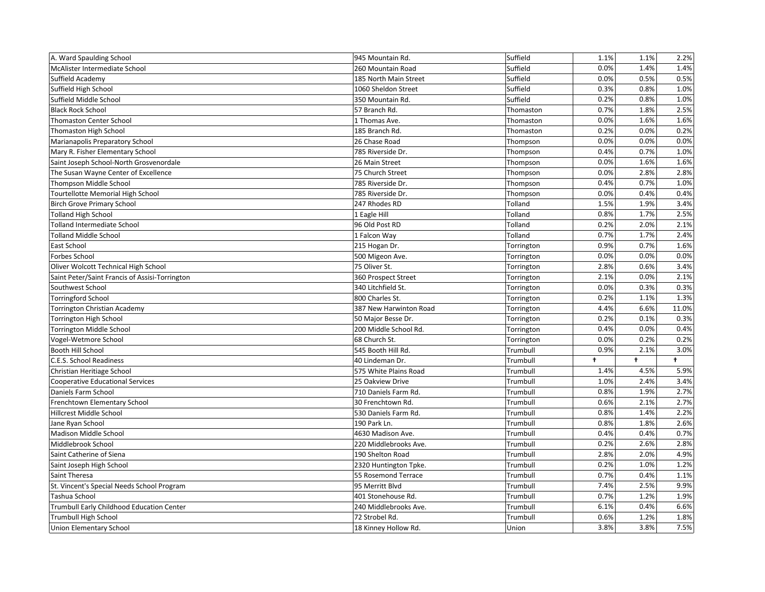| A. Ward Spaulding School                       | 945 Mountain Rd.       | Suffield   | 1.1%       | 1.1%       | 2.2%                 |
|------------------------------------------------|------------------------|------------|------------|------------|----------------------|
| McAlister Intermediate School                  | 260 Mountain Road      | Suffield   | 0.0%       | 1.4%       | 1.4%                 |
| Suffield Academy                               | 185 North Main Street  | Suffield   | 0.0%       | 0.5%       | 0.5%                 |
| Suffield High School                           | 1060 Sheldon Street    | Suffield   | 0.3%       | 0.8%       | 1.0%                 |
| Suffield Middle School                         | 350 Mountain Rd.       | Suffield   | 0.2%       | 0.8%       | 1.0%                 |
| <b>Black Rock School</b>                       | 57 Branch Rd.          | Thomaston  | 0.7%       | 1.8%       | 2.5%                 |
| <b>Thomaston Center School</b>                 | 1 Thomas Ave.          | Thomaston  | 0.0%       | 1.6%       | 1.6%                 |
| Thomaston High School                          | 185 Branch Rd.         | Thomaston  | 0.2%       | 0.0%       | 0.2%                 |
| Marianapolis Preparatory School                | 26 Chase Road          | Thompson   | 0.0%       | 0.0%       | 0.0%                 |
| Mary R. Fisher Elementary School               | 785 Riverside Dr.      | Thompson   | 0.4%       | 0.7%       | 1.0%                 |
| Saint Joseph School-North Grosvenordale        | 26 Main Street         | Thompson   | 0.0%       | 1.6%       | 1.6%                 |
| The Susan Wayne Center of Excellence           | 75 Church Street       | Thompson   | 0.0%       | 2.8%       | 2.8%                 |
| Thompson Middle School                         | 785 Riverside Dr.      | Thompson   | 0.4%       | 0.7%       | 1.0%                 |
| <b>Tourtellotte Memorial High School</b>       | 785 Riverside Dr.      | Thompson   | 0.0%       | 0.4%       | 0.4%                 |
| <b>Birch Grove Primary School</b>              | 247 Rhodes RD          | Tolland    | 1.5%       | 1.9%       | 3.4%                 |
| <b>Tolland High School</b>                     | 1 Eagle Hill           | Tolland    | 0.8%       | 1.7%       | 2.5%                 |
| Tolland Intermediate School                    | 96 Old Post RD         | Tolland    | 0.2%       | 2.0%       | 2.1%                 |
| <b>Tolland Middle School</b>                   | 1 Falcon Way           | Tolland    | 0.7%       | 1.7%       | 2.4%                 |
| East School                                    | 215 Hogan Dr.          | Torrington | 0.9%       | 0.7%       | 1.6%                 |
| Forbes School                                  | 500 Migeon Ave.        | Torrington | 0.0%       | 0.0%       | 0.0%                 |
| Oliver Wolcott Technical High School           | 75 Oliver St.          | Torrington | 2.8%       | 0.6%       | 3.4%                 |
| Saint Peter/Saint Francis of Assisi-Torrington | 360 Prospect Street    | Torrington | 2.1%       | 0.0%       | 2.1%                 |
| Southwest School                               | 340 Litchfield St.     | Torrington | 0.0%       | 0.3%       | 0.3%                 |
| <b>Torringford School</b>                      | 800 Charles St.        | Torrington | 0.2%       | 1.1%       | 1.3%                 |
| <b>Torrington Christian Academy</b>            | 387 New Harwinton Road | Torrington | 4.4%       | 6.6%       | 11.0%                |
| Torrington High School                         | 50 Major Besse Dr.     | Torrington | 0.2%       | 0.1%       | 0.3%                 |
| Torrington Middle School                       | 200 Middle School Rd.  | Torrington | 0.4%       | 0.0%       | 0.4%                 |
| Vogel-Wetmore School                           | 68 Church St.          | Torrington | 0.0%       | 0.2%       | 0.2%                 |
| Booth Hill School                              | 545 Booth Hill Rd.     | Trumbull   | 0.9%       | 2.1%       | 3.0%                 |
| C.E.S. School Readiness                        | 40 Lindeman Dr.        | Trumbull   | $\ddagger$ | $\ddagger$ | $\ddot{\phantom{1}}$ |
| Christian Heritiage School                     | 575 White Plains Road  | Trumbull   | 1.4%       | 4.5%       | 5.9%                 |
| <b>Cooperative Educational Services</b>        | 25 Oakview Drive       | Trumbull   | 1.0%       | 2.4%       | 3.4%                 |
| Daniels Farm School                            | 710 Daniels Farm Rd.   | Trumbull   | 0.8%       | 1.9%       | 2.7%                 |
| Frenchtown Elementary School                   | 30 Frenchtown Rd.      | Trumbull   | 0.6%       | 2.1%       | 2.7%                 |
| Hillcrest Middle School                        | 530 Daniels Farm Rd.   | Trumbull   | 0.8%       | 1.4%       | 2.2%                 |
| Jane Ryan School                               | 190 Park Ln.           | Trumbull   | 0.8%       | 1.8%       | 2.6%                 |
| <b>Madison Middle School</b>                   | 4630 Madison Ave.      | Trumbull   | 0.4%       | 0.4%       | 0.7%                 |
| Middlebrook School                             | 220 Middlebrooks Ave.  | Trumbull   | 0.2%       | 2.6%       | 2.8%                 |
| Saint Catherine of Siena                       | 190 Shelton Road       | Trumbull   | 2.8%       | 2.0%       | 4.9%                 |
| Saint Joseph High School                       | 2320 Huntington Tpke.  | Trumbull   | 0.2%       | 1.0%       | 1.2%                 |
| Saint Theresa                                  | 55 Rosemond Terrace    | Trumbull   | 0.7%       | 0.4%       | 1.1%                 |
| St. Vincent's Special Needs School Program     | 95 Merritt Blvd        | Trumbull   | 7.4%       | 2.5%       | 9.9%                 |
| Tashua School                                  | 401 Stonehouse Rd.     | Trumbull   | 0.7%       | 1.2%       | 1.9%                 |
| Trumbull Early Childhood Education Center      | 240 Middlebrooks Ave.  | Trumbull   | 6.1%       | 0.4%       | 6.6%                 |
| <b>Trumbull High School</b>                    | 72 Strobel Rd.         | Trumbull   | 0.6%       | 1.2%       | 1.8%                 |
| <b>Union Elementary School</b>                 | 18 Kinney Hollow Rd.   | Union      | 3.8%       | 3.8%       | 7.5%                 |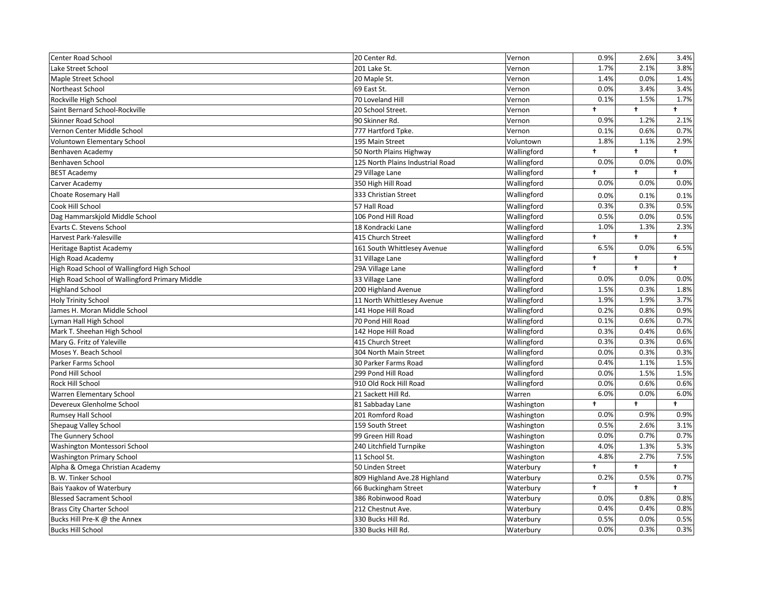| Center Road School                             | 20 Center Rd.                    | Vernon      | 0.9%       | 2.6%                 | 3.4%         |
|------------------------------------------------|----------------------------------|-------------|------------|----------------------|--------------|
| Lake Street School                             | 201 Lake St.                     | Vernon      | 1.7%       | 2.1%                 | 3.8%         |
| Maple Street School                            | 20 Maple St.                     | Vernon      | 1.4%       | 0.0%                 | 1.4%         |
| Northeast School                               | 69 East St.                      | Vernon      | 0.0%       | 3.4%                 | 3.4%         |
| Rockville High School                          | 70 Loveland Hill                 | Vernon      | 0.1%       | 1.5%                 | 1.7%         |
| Saint Bernard School-Rockville                 | 20 School Street.                | Vernon      | $\ddagger$ | $\ddagger$           | $\ddagger$   |
| Skinner Road School                            | 90 Skinner Rd.                   | Vernon      | 0.9%       | 1.2%                 | 2.1%         |
| Vernon Center Middle School                    | 777 Hartford Tpke.               | Vernon      | 0.1%       | 0.6%                 | 0.7%         |
| Voluntown Elementary School                    | 195 Main Street                  | Voluntown   | 1.8%       | 1.1%                 | 2.9%         |
| Benhaven Academy                               | 50 North Plains Highway          | Wallingford | $\ddagger$ | t                    | $^+$         |
| Benhaven School                                | 125 North Plains Industrial Road | Wallingford | 0.0%       | 0.0%                 | 0.0%         |
| <b>BEST Academy</b>                            | 29 Village Lane                  | Wallingford | $\ddagger$ | t.                   | $\ddagger$   |
| Carver Academy                                 | 350 High Hill Road               | Wallingford | 0.0%       | 0.0%                 | 0.0%         |
| Choate Rosemary Hall                           | 333 Christian Street             | Wallingford | 0.0%       | 0.1%                 | 0.1%         |
| Cook Hill School                               | 57 Hall Road                     | Wallingford | 0.3%       | 0.3%                 | 0.5%         |
| Dag Hammarskjold Middle School                 | 106 Pond Hill Road               | Wallingford | 0.5%       | 0.0%                 | 0.5%         |
| Evarts C. Stevens School                       | 18 Kondracki Lane                | Wallingford | 1.0%       | 1.3%                 | 2.3%         |
| Harvest Park-Yalesville                        | 415 Church Street                | Wallingford | $\ddagger$ | $\ddagger$           | $\ddagger$   |
| Heritage Baptist Academy                       | 161 South Whittlesey Avenue      | Wallingford | 6.5%       | 0.0%                 | 6.5%         |
| <b>High Road Academy</b>                       | 31 Village Lane                  | Wallingford | $\ddagger$ | $\ddagger$           | $\ddagger$   |
| High Road School of Wallingford High School    | 29A Village Lane                 | Wallingford | $\ddagger$ | $\ddagger$           | $\ddagger$   |
| High Road School of Wallingford Primary Middle | 33 Village Lane                  | Wallingford | 0.0%       | 0.0%                 | 0.0%         |
| <b>Highland School</b>                         | 200 Highland Avenue              | Wallingford | 1.5%       | 0.3%                 | 1.8%         |
| <b>Holy Trinity School</b>                     | 11 North Whittlesey Avenue       | Wallingford | 1.9%       | 1.9%                 | 3.7%         |
| James H. Moran Middle School                   | 141 Hope Hill Road               | Wallingford | 0.2%       | 0.8%                 | 0.9%         |
| Lyman Hall High School                         | 70 Pond Hill Road                | Wallingford | 0.1%       | 0.6%                 | 0.7%         |
| Mark T. Sheehan High School                    | 142 Hope Hill Road               | Wallingford | 0.3%       | 0.4%                 | 0.6%         |
| Mary G. Fritz of Yaleville                     | 415 Church Street                | Wallingford | 0.3%       | 0.3%                 | 0.6%         |
| Moses Y. Beach School                          | 304 North Main Street            | Wallingford | 0.0%       | 0.3%                 | 0.3%         |
| Parker Farms School                            | 30 Parker Farms Road             | Wallingford | 0.4%       | 1.1%                 | 1.5%         |
| Pond Hill School                               | 299 Pond Hill Road               | Wallingford | 0.0%       | 1.5%                 | 1.5%         |
| Rock Hill School                               | 910 Old Rock Hill Road           | Wallingford | 0.0%       | 0.6%                 | 0.6%         |
| Warren Elementary School                       | 21 Sackett Hill Rd.              | Warren      | 6.0%       | 0.0%                 | 6.0%         |
| Devereux Glenholme School                      | 81 Sabbaday Lane                 | Washington  | $\ddagger$ | $\ddot{\phantom{1}}$ | $\ddagger$   |
| <b>Rumsey Hall School</b>                      | 201 Romford Road                 | Washington  | 0.0%       | 0.9%                 | 0.9%         |
| Shepaug Valley School                          | 159 South Street                 | Washington  | 0.5%       | 2.6%                 | 3.1%         |
| The Gunnery School                             | 99 Green Hill Road               | Washington  | 0.0%       | 0.7%                 | 0.7%         |
| Washington Montessori School                   | 240 Litchfield Turnpike          | Washington  | 4.0%       | 1.3%                 | 5.3%         |
| <b>Washington Primary School</b>               | 11 School St.                    | Washington  | 4.8%       | 2.7%                 | 7.5%         |
| Alpha & Omega Christian Academy                | 50 Linden Street                 | Waterbury   | $\ddagger$ | $\ddagger$           | $^{\dagger}$ |
| B. W. Tinker School                            | 809 Highland Ave.28 Highland     | Waterbury   | 0.2%       | 0.5%                 | 0.7%         |
| Bais Yaakov of Waterbury                       | 66 Buckingham Street             | Waterbury   | $\ddagger$ | $\ddagger$           | $\ddagger$   |
| <b>Blessed Sacrament School</b>                | 386 Robinwood Road               | Waterbury   | 0.0%       | 0.8%                 | 0.8%         |
| <b>Brass City Charter School</b>               | 212 Chestnut Ave.                | Waterbury   | 0.4%       | 0.4%                 | 0.8%         |
| Bucks Hill Pre-K @ the Annex                   | 330 Bucks Hill Rd.               | Waterbury   | 0.5%       | 0.0%                 | 0.5%         |
| <b>Bucks Hill School</b>                       | 330 Bucks Hill Rd.               | Waterbury   | 0.0%       | 0.3%                 | 0.3%         |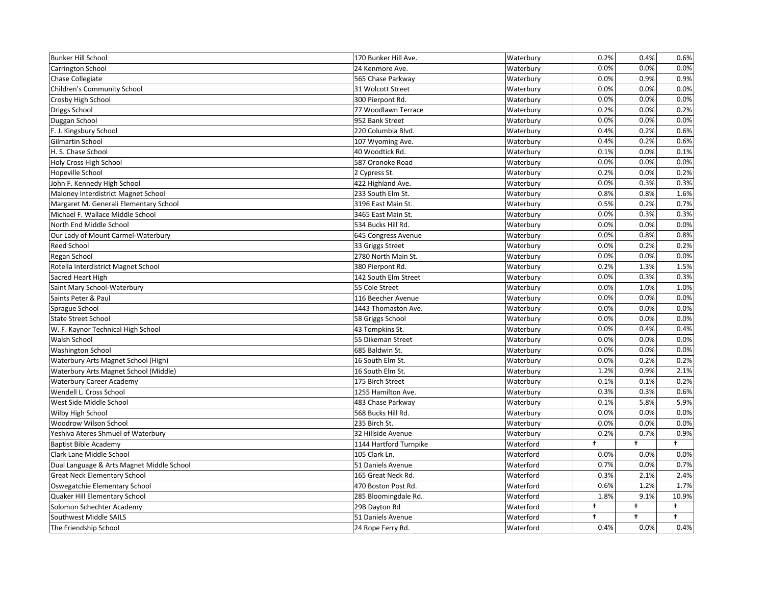| <b>Bunker Hill School</b>                 | 170 Bunker Hill Ave.   | Waterbury | 0.2%       | 0.4%       | 0.6%       |
|-------------------------------------------|------------------------|-----------|------------|------------|------------|
| <b>Carrington School</b>                  | 24 Kenmore Ave.        | Waterbury | 0.0%       | 0.0%       | 0.0%       |
| Chase Collegiate                          | 565 Chase Parkway      | Waterbury | 0.0%       | 0.9%       | 0.9%       |
| <b>Children's Community School</b>        | 31 Wolcott Street      | Waterbury | 0.0%       | 0.0%       | 0.0%       |
| Crosby High School                        | 300 Pierpont Rd.       | Waterbury | 0.0%       | 0.0%       | 0.0%       |
| Driggs School                             | 77 Woodlawn Terrace    | Waterbury | 0.2%       | 0.0%       | 0.2%       |
| Duggan School                             | 952 Bank Street        | Waterbury | 0.0%       | 0.0%       | 0.0%       |
| F. J. Kingsbury School                    | 220 Columbia Blvd.     | Waterbury | 0.4%       | 0.2%       | 0.6%       |
| Gilmartin School                          | 107 Wyoming Ave.       | Waterbury | 0.4%       | 0.2%       | 0.6%       |
| H. S. Chase School                        | 40 Woodtick Rd.        | Waterbury | 0.1%       | 0.0%       | 0.1%       |
| Holy Cross High School                    | 587 Oronoke Road       | Waterbury | 0.0%       | 0.0%       | 0.0%       |
| Hopeville School                          | 2 Cypress St.          | Waterbury | 0.2%       | 0.0%       | 0.2%       |
| John F. Kennedy High School               | 422 Highland Ave.      | Waterbury | 0.0%       | 0.3%       | 0.3%       |
| Maloney Interdistrict Magnet School       | 233 South Elm St.      | Waterbury | 0.8%       | 0.8%       | 1.6%       |
| Margaret M. Generali Elementary School    | 3196 East Main St.     | Waterbury | 0.5%       | 0.2%       | 0.7%       |
| Michael F. Wallace Middle School          | 3465 East Main St.     | Waterbury | 0.0%       | 0.3%       | 0.3%       |
| North End Middle School                   | 534 Bucks Hill Rd.     | Waterbury | 0.0%       | 0.0%       | 0.0%       |
| Our Lady of Mount Carmel-Waterbury        | 645 Congress Avenue    | Waterbury | 0.0%       | 0.8%       | 0.8%       |
| <b>Reed School</b>                        | 33 Griggs Street       | Waterbury | 0.0%       | 0.2%       | 0.2%       |
| Regan School                              | 2780 North Main St.    | Waterbury | 0.0%       | 0.0%       | 0.0%       |
| Rotella Interdistrict Magnet School       | 380 Pierpont Rd.       | Waterbury | 0.2%       | 1.3%       | 1.5%       |
| Sacred Heart High                         | 142 South Elm Street   | Waterbury | 0.0%       | 0.3%       | 0.3%       |
| Saint Mary School-Waterbury               | 55 Cole Street         | Waterbury | 0.0%       | 1.0%       | 1.0%       |
| Saints Peter & Paul                       | 116 Beecher Avenue     | Waterbury | 0.0%       | 0.0%       | 0.0%       |
| Sprague School                            | 1443 Thomaston Ave.    | Waterbury | 0.0%       | 0.0%       | 0.0%       |
| <b>State Street School</b>                | 58 Griggs School       | Waterbury | 0.0%       | 0.0%       | 0.0%       |
| W. F. Kaynor Technical High School        | 43 Tompkins St.        | Waterbury | 0.0%       | 0.4%       | 0.4%       |
| Walsh School                              | 55 Dikeman Street      | Waterbury | 0.0%       | 0.0%       | 0.0%       |
| <b>Washington School</b>                  | 685 Baldwin St.        | Waterbury | 0.0%       | 0.0%       | 0.0%       |
| Waterbury Arts Magnet School (High)       | 16 South Elm St.       | Waterbury | 0.0%       | 0.2%       | 0.2%       |
| Waterbury Arts Magnet School (Middle)     | 16 South Elm St.       | Waterbury | 1.2%       | 0.9%       | 2.1%       |
| <b>Waterbury Career Academy</b>           | 175 Birch Street       | Waterbury | 0.1%       | 0.1%       | 0.2%       |
| Wendell L. Cross School                   | 1255 Hamilton Ave.     | Waterbury | 0.3%       | 0.3%       | 0.6%       |
| West Side Middle School                   | 483 Chase Parkway      | Waterbury | 0.1%       | 5.8%       | 5.9%       |
| Wilby High School                         | 568 Bucks Hill Rd.     | Waterbury | 0.0%       | 0.0%       | 0.0%       |
| Woodrow Wilson School                     | 235 Birch St.          | Waterbury | 0.0%       | 0.0%       | 0.0%       |
| Yeshiva Ateres Shmuel of Waterbury        | 32 Hillside Avenue     | Waterbury | 0.2%       | 0.7%       | 0.9%       |
| <b>Baptist Bible Academy</b>              | 1144 Hartford Turnpike | Waterford | t          | $\ddot{}$  | $\ddagger$ |
| Clark Lane Middle School                  | 105 Clark Ln.          | Waterford | 0.0%       | 0.0%       | 0.0%       |
| Dual Language & Arts Magnet Middle School | 51 Daniels Avenue      | Waterford | 0.7%       | 0.0%       | 0.7%       |
| <b>Great Neck Elementary School</b>       | 165 Great Neck Rd.     | Waterford | 0.3%       | 2.1%       | 2.4%       |
| Oswegatchie Elementary School             | 470 Boston Post Rd.    | Waterford | 0.6%       | 1.2%       | 1.7%       |
| Quaker Hill Elementary School             | 285 Bloomingdale Rd.   | Waterford | 1.8%       | 9.1%       | 10.9%      |
| Solomon Schechter Academy                 | 29B Dayton Rd          | Waterford | $\ddagger$ | $\ddagger$ | $\ddagger$ |
| Southwest Middle SAILS                    | 51 Daniels Avenue      | Waterford | $\ddagger$ | $\ddagger$ | $\ddagger$ |
| The Friendship School                     | 24 Rope Ferry Rd.      | Waterford | 0.4%       | 0.0%       | 0.4%       |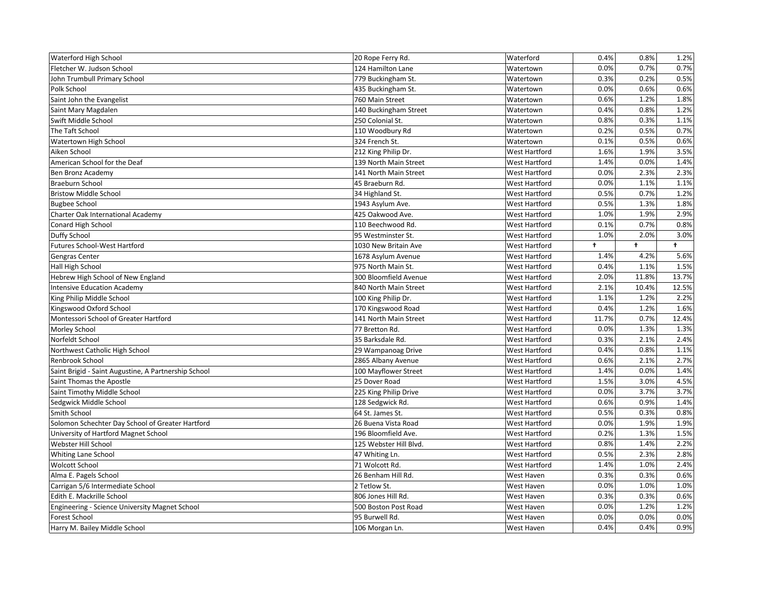| <b>Waterford High School</b>                          | 20 Rope Ferry Rd.      | Waterford            | 0.4%  | 0.8%         | 1.2%       |
|-------------------------------------------------------|------------------------|----------------------|-------|--------------|------------|
| Fletcher W. Judson School                             | 124 Hamilton Lane      | Watertown            | 0.0%  | 0.7%         | 0.7%       |
| John Trumbull Primary School                          | 779 Buckingham St.     | Watertown            | 0.3%  | 0.2%         | 0.5%       |
| Polk School                                           | 435 Buckingham St.     | Watertown            | 0.0%  | 0.6%         | 0.6%       |
| Saint John the Evangelist                             | 760 Main Street        | Watertown            | 0.6%  | 1.2%         | 1.8%       |
| Saint Mary Magdalen                                   | 140 Buckingham Street  | Watertown            | 0.4%  | 0.8%         | 1.2%       |
| Swift Middle School                                   | 250 Colonial St.       | Watertown            | 0.8%  | 0.3%         | 1.1%       |
| The Taft School                                       | 110 Woodbury Rd        | Watertown            | 0.2%  | 0.5%         | 0.7%       |
| Watertown High School                                 | 324 French St.         | Watertown            | 0.1%  | 0.5%         | 0.6%       |
| Aiken School                                          | 212 King Philip Dr.    | West Hartford        | 1.6%  | 1.9%         | 3.5%       |
| American School for the Deaf                          | 139 North Main Street  | West Hartford        | 1.4%  | 0.0%         | 1.4%       |
| Ben Bronz Academy                                     | 141 North Main Street  | <b>West Hartford</b> | 0.0%  | 2.3%         | 2.3%       |
| <b>Braeburn School</b>                                | 45 Braeburn Rd.        | West Hartford        | 0.0%  | 1.1%         | 1.1%       |
| <b>Bristow Middle School</b>                          | 34 Highland St.        | West Hartford        | 0.5%  | 0.7%         | 1.2%       |
| <b>Bugbee School</b>                                  | 1943 Asylum Ave.       | West Hartford        | 0.5%  | 1.3%         | 1.8%       |
| Charter Oak International Academy                     | 425 Oakwood Ave.       | West Hartford        | 1.0%  | 1.9%         | 2.9%       |
| Conard High School                                    | 110 Beechwood Rd.      | West Hartford        | 0.1%  | 0.7%         | 0.8%       |
| Duffy School                                          | 95 Westminster St.     | <b>West Hartford</b> | 1.0%  | 2.0%         | 3.0%       |
| <b>Futures School-West Hartford</b>                   | 1030 New Britain Ave   | West Hartford        | t     | <sup>+</sup> | $\ddagger$ |
| Gengras Center                                        | 1678 Asylum Avenue     | West Hartford        | 1.4%  | 4.2%         | 5.6%       |
| Hall High School                                      | 975 North Main St.     | West Hartford        | 0.4%  | 1.1%         | 1.5%       |
| Hebrew High School of New England                     | 300 Bloomfield Avenue  | West Hartford        | 2.0%  | 11.8%        | 13.7%      |
| <b>Intensive Education Academy</b>                    | 840 North Main Street  | <b>West Hartford</b> | 2.1%  | 10.4%        | 12.5%      |
| King Philip Middle School                             | 100 King Philip Dr.    | West Hartford        | 1.1%  | 1.2%         | 2.2%       |
| Kingswood Oxford School                               | 170 Kingswood Road     | West Hartford        | 0.4%  | 1.2%         | 1.6%       |
| Montessori School of Greater Hartford                 | 141 North Main Street  | <b>West Hartford</b> | 11.7% | 0.7%         | 12.4%      |
| Morley School                                         | 77 Bretton Rd.         | West Hartford        | 0.0%  | 1.3%         | 1.3%       |
| Norfeldt School                                       | 35 Barksdale Rd.       | <b>West Hartford</b> | 0.3%  | 2.1%         | 2.4%       |
| Northwest Catholic High School                        | 29 Wampanoag Drive     | West Hartford        | 0.4%  | 0.8%         | 1.1%       |
| Renbrook School                                       | 2865 Albany Avenue     | <b>West Hartford</b> | 0.6%  | 2.1%         | 2.7%       |
| Saint Brigid - Saint Augustine, A Partnership School  | 100 Mayflower Street   | <b>West Hartford</b> | 1.4%  | 0.0%         | 1.4%       |
| Saint Thomas the Apostle                              | 25 Dover Road          | <b>West Hartford</b> | 1.5%  | 3.0%         | 4.5%       |
| Saint Timothy Middle School                           | 225 King Philip Drive  | <b>West Hartford</b> | 0.0%  | 3.7%         | 3.7%       |
| Sedgwick Middle School                                | 128 Sedgwick Rd.       | West Hartford        | 0.6%  | 0.9%         | 1.4%       |
| Smith School                                          | 64 St. James St.       | West Hartford        | 0.5%  | 0.3%         | 0.8%       |
| Solomon Schechter Day School of Greater Hartford      | 26 Buena Vista Road    | West Hartford        | 0.0%  | 1.9%         | 1.9%       |
| University of Hartford Magnet School                  | 196 Bloomfield Ave.    | West Hartford        | 0.2%  | 1.3%         | 1.5%       |
| Webster Hill School                                   | 125 Webster Hill Blvd. | West Hartford        | 0.8%  | 1.4%         | 2.2%       |
| Whiting Lane School                                   | 47 Whiting Ln.         | West Hartford        | 0.5%  | 2.3%         | 2.8%       |
| Wolcott School                                        | 71 Wolcott Rd.         | West Hartford        | 1.4%  | 1.0%         | 2.4%       |
| Alma E. Pagels School                                 | 26 Benham Hill Rd.     | West Haven           | 0.3%  | 0.3%         | 0.6%       |
| Carrigan 5/6 Intermediate School                      | 2 Tetlow St.           | West Haven           | 0.0%  | 1.0%         | 1.0%       |
| Edith E. Mackrille School                             | 806 Jones Hill Rd.     | West Haven           | 0.3%  | 0.3%         | 0.6%       |
| <b>Engineering - Science University Magnet School</b> | 500 Boston Post Road   | West Haven           | 0.0%  | 1.2%         | 1.2%       |
| Forest School                                         | 95 Burwell Rd.         | West Haven           | 0.0%  | 0.0%         | 0.0%       |
| Harry M. Bailey Middle School                         | 106 Morgan Ln.         | West Haven           | 0.4%  | 0.4%         | 0.9%       |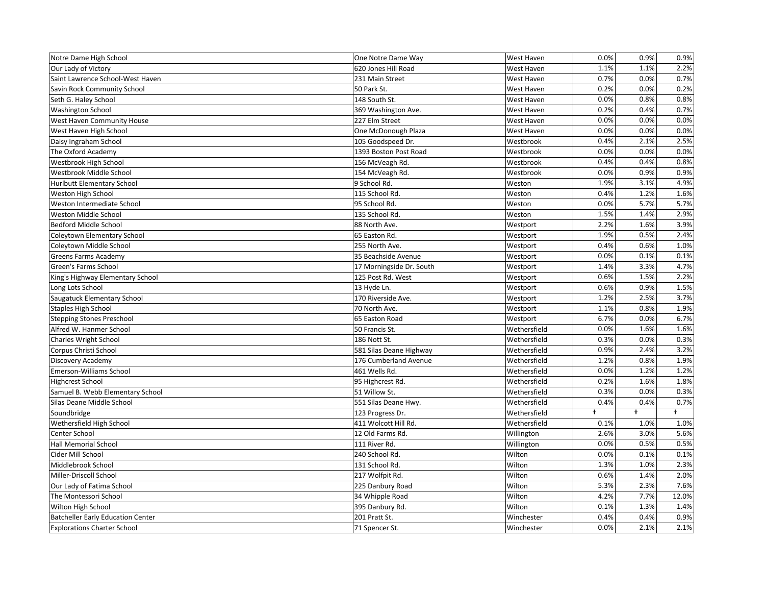| Notre Dame High School                   | One Notre Dame Way       | West Haven        | 0.0% | 0.9%       | 0.9%       |
|------------------------------------------|--------------------------|-------------------|------|------------|------------|
| Our Lady of Victory                      | 620 Jones Hill Road      | <b>West Haven</b> | 1.1% | 1.1%       | 2.2%       |
| Saint Lawrence School-West Haven         | 231 Main Street          | <b>West Haven</b> | 0.7% | 0.0%       | 0.7%       |
| Savin Rock Community School              | 50 Park St.              | <b>West Haven</b> | 0.2% | 0.0%       | 0.2%       |
| Seth G. Haley School                     | 148 South St.            | West Haven        | 0.0% | 0.8%       | 0.8%       |
| <b>Washington School</b>                 | 369 Washington Ave.      | West Haven        | 0.2% | 0.4%       | 0.7%       |
| West Haven Community House               | 227 Elm Street           | <b>West Haven</b> | 0.0% | 0.0%       | 0.0%       |
| West Haven High School                   | One McDonough Plaza      | <b>West Haven</b> | 0.0% | 0.0%       | 0.0%       |
| Daisy Ingraham School                    | 105 Goodspeed Dr.        | Westbrook         | 0.4% | 2.1%       | 2.5%       |
| The Oxford Academy                       | 1393 Boston Post Road    | Westbrook         | 0.0% | 0.0%       | 0.0%       |
| Westbrook High School                    | 156 McVeagh Rd.          | Westbrook         | 0.4% | 0.4%       | 0.8%       |
| Westbrook Middle School                  | 154 McVeagh Rd.          | Westbrook         | 0.0% | 0.9%       | 0.9%       |
| <b>Hurlbutt Elementary School</b>        | 9 School Rd.             | Weston            | 1.9% | 3.1%       | 4.9%       |
| Weston High School                       | 115 School Rd.           | Weston            | 0.4% | 1.2%       | 1.6%       |
| Weston Intermediate School               | 95 School Rd.            | Weston            | 0.0% | 5.7%       | 5.7%       |
| Weston Middle School                     | 135 School Rd.           | Weston            | 1.5% | 1.4%       | 2.9%       |
| <b>Bedford Middle School</b>             | 88 North Ave.            | Westport          | 2.2% | 1.6%       | 3.9%       |
| Coleytown Elementary School              | 65 Easton Rd.            | Westport          | 1.9% | 0.5%       | 2.4%       |
| Coleytown Middle School                  | 255 North Ave.           | Westport          | 0.4% | 0.6%       | 1.0%       |
| Greens Farms Academy                     | 35 Beachside Avenue      | Westport          | 0.0% | 0.1%       | 0.1%       |
| Green's Farms School                     | 17 Morningside Dr. South | Westport          | 1.4% | 3.3%       | 4.7%       |
| King's Highway Elementary School         | 125 Post Rd. West        | Westport          | 0.6% | 1.5%       | 2.2%       |
| Long Lots School                         | 13 Hyde Ln.              | Westport          | 0.6% | 0.9%       | 1.5%       |
| Saugatuck Elementary School              | 170 Riverside Ave.       | Westport          | 1.2% | 2.5%       | 3.7%       |
| <b>Staples High School</b>               | 70 North Ave.            | Westport          | 1.1% | 0.8%       | 1.9%       |
| <b>Stepping Stones Preschool</b>         | 65 Easton Road           | Westport          | 6.7% | 0.0%       | 6.7%       |
| Alfred W. Hanmer School                  | 50 Francis St.           | Wethersfield      | 0.0% | 1.6%       | 1.6%       |
| <b>Charles Wright School</b>             | 186 Nott St.             | Wethersfield      | 0.3% | 0.0%       | 0.3%       |
| Corpus Christi School                    | 581 Silas Deane Highway  | Wethersfield      | 0.9% | 2.4%       | 3.2%       |
| Discovery Academy                        | 176 Cumberland Avenue    | Wethersfield      | 1.2% | 0.8%       | 1.9%       |
| Emerson-Williams School                  | 461 Wells Rd.            | Wethersfield      | 0.0% | 1.2%       | 1.2%       |
| <b>Highcrest School</b>                  | 95 Highcrest Rd.         | Wethersfield      | 0.2% | 1.6%       | 1.8%       |
| Samuel B. Webb Elementary School         | 51 Willow St.            | Wethersfield      | 0.3% | 0.0%       | 0.3%       |
| Silas Deane Middle School                | 551 Silas Deane Hwy.     | Wethersfield      | 0.4% | 0.4%       | 0.7%       |
| Soundbridge                              | 123 Progress Dr.         | Wethersfield      | t    | $\ddagger$ | $\ddagger$ |
| Wethersfield High School                 | 411 Wolcott Hill Rd.     | Wethersfield      | 0.1% | 1.0%       | 1.0%       |
| Center School                            | 12 Old Farms Rd.         | Willington        | 2.6% | 3.0%       | 5.6%       |
| Hall Memorial School                     | 111 River Rd.            | Willington        | 0.0% | 0.5%       | 0.5%       |
| Cider Mill School                        | 240 School Rd.           | Wilton            | 0.0% | 0.1%       | 0.1%       |
| Middlebrook School                       | 131 School Rd.           | Wilton            | 1.3% | 1.0%       | 2.3%       |
| Miller-Driscoll School                   | 217 Wolfpit Rd.          | Wilton            | 0.6% | 1.4%       | 2.0%       |
| Our Lady of Fatima School                | 225 Danbury Road         | Wilton            | 5.3% | 2.3%       | 7.6%       |
| The Montessori School                    | 34 Whipple Road          | Wilton            | 4.2% | 7.7%       | 12.0%      |
| Wilton High School                       | 395 Danbury Rd.          | Wilton            | 0.1% | 1.3%       | 1.4%       |
| <b>Batcheller Early Education Center</b> | 201 Pratt St.            | Winchester        | 0.4% | 0.4%       | 0.9%       |
| <b>Explorations Charter School</b>       | 71 Spencer St.           | Winchester        | 0.0% | 2.1%       | 2.1%       |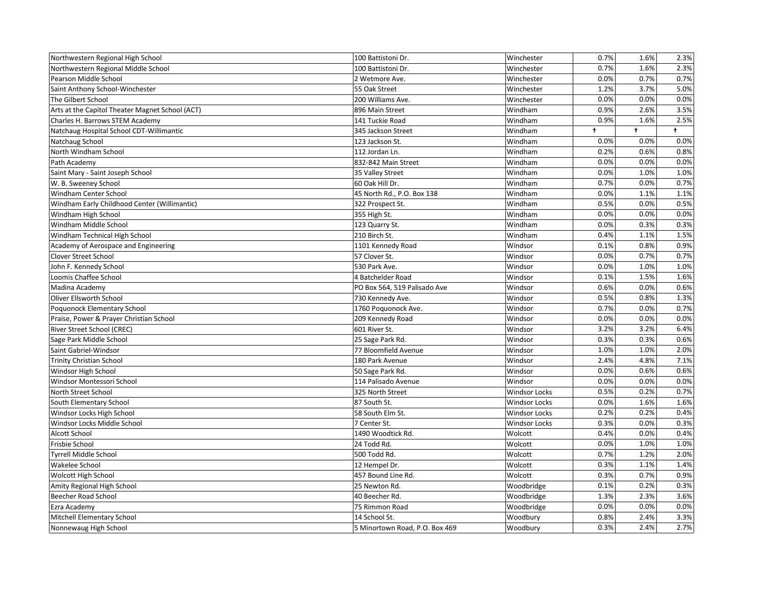| Northwestern Regional High School               | 100 Battistoni Dr.             | Winchester           | 0.7%       | 1.6%       | 2.3%       |
|-------------------------------------------------|--------------------------------|----------------------|------------|------------|------------|
| Northwestern Regional Middle School             | 100 Battistoni Dr.             | Winchester           | 0.7%       | 1.6%       | 2.3%       |
| Pearson Middle School                           | 2 Wetmore Ave.                 | Winchester           | 0.0%       | 0.7%       | 0.7%       |
| Saint Anthony School-Winchester                 | 55 Oak Street                  | Winchester           | 1.2%       | 3.7%       | 5.0%       |
| The Gilbert School                              | 200 Williams Ave.              | Winchester           | 0.0%       | 0.0%       | 0.0%       |
| Arts at the Capitol Theater Magnet School (ACT) | 896 Main Street                | Windham              | 0.9%       | 2.6%       | 3.5%       |
| Charles H. Barrows STEM Academy                 | 141 Tuckie Road                | Windham              | 0.9%       | 1.6%       | 2.5%       |
| Natchaug Hospital School CDT-Willimantic        | 345 Jackson Street             | Windham              | $\ddagger$ | $\ddagger$ | $\ddagger$ |
| Natchaug School                                 | 123 Jackson St.                | Windham              | 0.0%       | 0.0%       | 0.0%       |
| North Windham School                            | 112 Jordan Ln.                 | Windham              | 0.2%       | 0.6%       | 0.8%       |
| Path Academy                                    | 832-842 Main Street            | Windham              | 0.0%       | 0.0%       | 0.0%       |
| Saint Mary - Saint Joseph School                | 35 Valley Street               | Windham              | 0.0%       | 1.0%       | 1.0%       |
| W. B. Sweeney School                            | 60 Oak Hill Dr.                | Windham              | 0.7%       | 0.0%       | 0.7%       |
| Windham Center School                           | 45 North Rd., P.O. Box 138     | Windham              | 0.0%       | 1.1%       | 1.1%       |
| Windham Early Childhood Center (Willimantic)    | 322 Prospect St.               | Windham              | 0.5%       | 0.0%       | 0.5%       |
| Windham High School                             | 355 High St.                   | Windham              | 0.0%       | 0.0%       | 0.0%       |
| Windham Middle School                           | 123 Quarry St.                 | Windham              | 0.0%       | 0.3%       | 0.3%       |
| Windham Technical High School                   | 210 Birch St.                  | Windham              | 0.4%       | 1.1%       | 1.5%       |
| Academy of Aerospace and Engineering            | 1101 Kennedy Road              | Windsor              | 0.1%       | 0.8%       | 0.9%       |
| <b>Clover Street School</b>                     | 57 Clover St.                  | Windsor              | 0.0%       | 0.7%       | 0.7%       |
| John F. Kennedy School                          | 530 Park Ave.                  | Windsor              | 0.0%       | 1.0%       | 1.0%       |
| Loomis Chaffee School                           | 4 Batchelder Road              | Windsor              | 0.1%       | 1.5%       | 1.6%       |
| Madina Academy                                  | PO Box 564, 519 Palisado Ave   | Windsor              | 0.6%       | 0.0%       | 0.6%       |
| Oliver Ellsworth School                         | 730 Kennedy Ave.               | Windsor              | 0.5%       | 0.8%       | 1.3%       |
| Poquonock Elementary School                     | 1760 Poquonock Ave.            | Windsor              | 0.7%       | 0.0%       | 0.7%       |
| Praise, Power & Prayer Christian School         | 209 Kennedy Road               | Windsor              | 0.0%       | 0.0%       | 0.0%       |
| River Street School (CREC)                      | 601 River St.                  | Windsor              | 3.2%       | 3.2%       | 6.4%       |
| Sage Park Middle School                         | 25 Sage Park Rd.               | Windsor              | 0.3%       | 0.3%       | 0.6%       |
| Saint Gabriel-Windsor                           | 77 Bloomfield Avenue           | Windsor              | 1.0%       | 1.0%       | 2.0%       |
| <b>Trinity Christian School</b>                 | 180 Park Avenue                | Windsor              | 2.4%       | 4.8%       | 7.1%       |
| Windsor High School                             | 50 Sage Park Rd.               | Windsor              | 0.0%       | 0.6%       | 0.6%       |
| Windsor Montessori School                       | 114 Palisado Avenue            | Windsor              | 0.0%       | 0.0%       | 0.0%       |
| North Street School                             | 325 North Street               | <b>Windsor Locks</b> | 0.5%       | 0.2%       | 0.7%       |
| South Elementary School                         | 87 South St.                   | <b>Windsor Locks</b> | 0.0%       | 1.6%       | 1.6%       |
| Windsor Locks High School                       | 58 South Elm St.               | <b>Windsor Locks</b> | 0.2%       | 0.2%       | 0.4%       |
| Windsor Locks Middle School                     | 7 Center St.                   | <b>Windsor Locks</b> | 0.3%       | 0.0%       | 0.3%       |
| Alcott School                                   | 1490 Woodtick Rd.              | Wolcott              | 0.4%       | 0.0%       | 0.4%       |
| Frisbie School                                  | 24 Todd Rd.                    | Wolcott              | 0.0%       | 1.0%       | 1.0%       |
| <b>Tyrrell Middle School</b>                    | 500 Todd Rd.                   | Wolcott              | 0.7%       | 1.2%       | 2.0%       |
| Wakelee School                                  | 12 Hempel Dr.                  | Wolcott              | 0.3%       | 1.1%       | 1.4%       |
| Wolcott High School                             | 457 Bound Line Rd.             | Wolcott              | 0.3%       | 0.7%       | 0.9%       |
| Amity Regional High School                      | 25 Newton Rd.                  | Woodbridge           | 0.1%       | 0.2%       | 0.3%       |
| Beecher Road School                             | 40 Beecher Rd.                 | Woodbridge           | 1.3%       | 2.3%       | 3.6%       |
| Ezra Academy                                    | 75 Rimmon Road                 | Woodbridge           | 0.0%       | 0.0%       | 0.0%       |
| Mitchell Elementary School                      | 14 School St.                  | Woodbury             | 0.8%       | 2.4%       | 3.3%       |
| Nonnewaug High School                           | 5 Minortown Road, P.O. Box 469 | Woodbury             | 0.3%       | 2.4%       | 2.7%       |